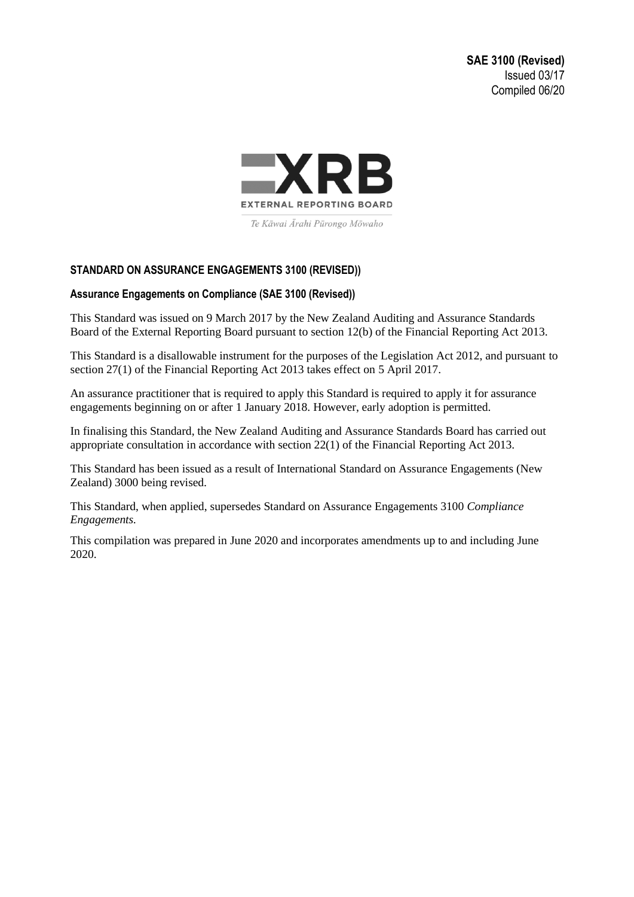**SAE 3100 (Revised)** Issued 03/17 Compiled 06/20



Te Kāwai Ārahi Pūrongo Mōwaho

### **STANDARD ON ASSURANCE ENGAGEMENTS 3100 (REVISED))**

#### **Assurance Engagements on Compliance (SAE 3100 (Revised))**

This Standard was issued on 9 March 2017 by the New Zealand Auditing and Assurance Standards Board of the External Reporting Board pursuant to section 12(b) of the Financial Reporting Act 2013.

This Standard is a disallowable instrument for the purposes of the Legislation Act 2012, and pursuant to section 27(1) of the Financial Reporting Act 2013 takes effect on 5 April 2017.

An assurance practitioner that is required to apply this Standard is required to apply it for assurance engagements beginning on or after 1 January 2018. However, early adoption is permitted.

In finalising this Standard, the New Zealand Auditing and Assurance Standards Board has carried out appropriate consultation in accordance with section 22(1) of the Financial Reporting Act 2013.

This Standard has been issued as a result of International Standard on Assurance Engagements (New Zealand) 3000 being revised.

This Standard, when applied, supersedes Standard on Assurance Engagements 3100 *Compliance Engagements.*

This compilation was prepared in June 2020 and incorporates amendments up to and including June 2020.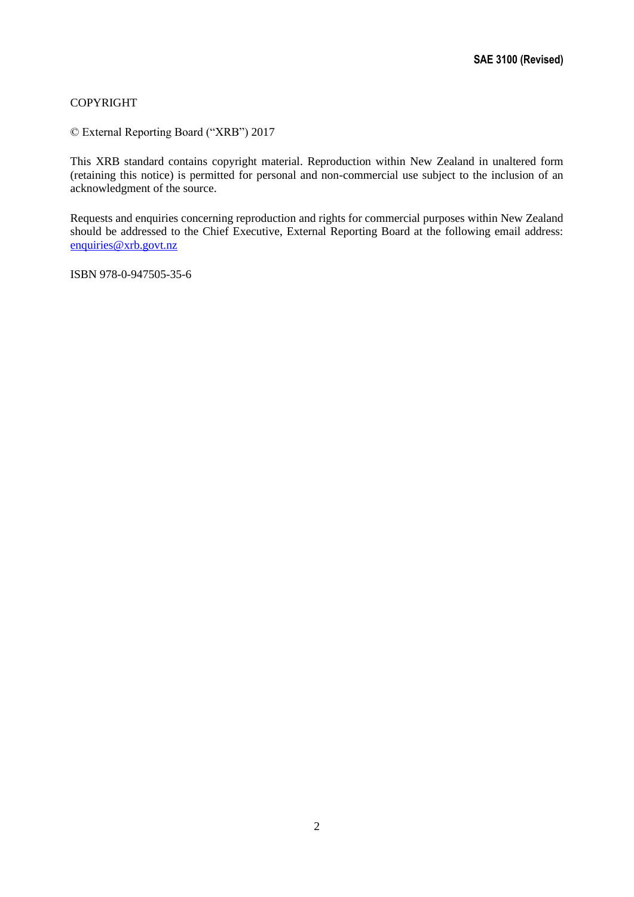### COPYRIGHT

© External Reporting Board ("XRB") 2017

This XRB standard contains copyright material. Reproduction within New Zealand in unaltered form (retaining this notice) is permitted for personal and non-commercial use subject to the inclusion of an acknowledgment of the source.

Requests and enquiries concerning reproduction and rights for commercial purposes within New Zealand should be addressed to the Chief Executive, External Reporting Board at the following email address: [enquiries@xrb.govt.nz](mailto:enquiries@xrb.govt.nz)

ISBN 978-0-947505-35-6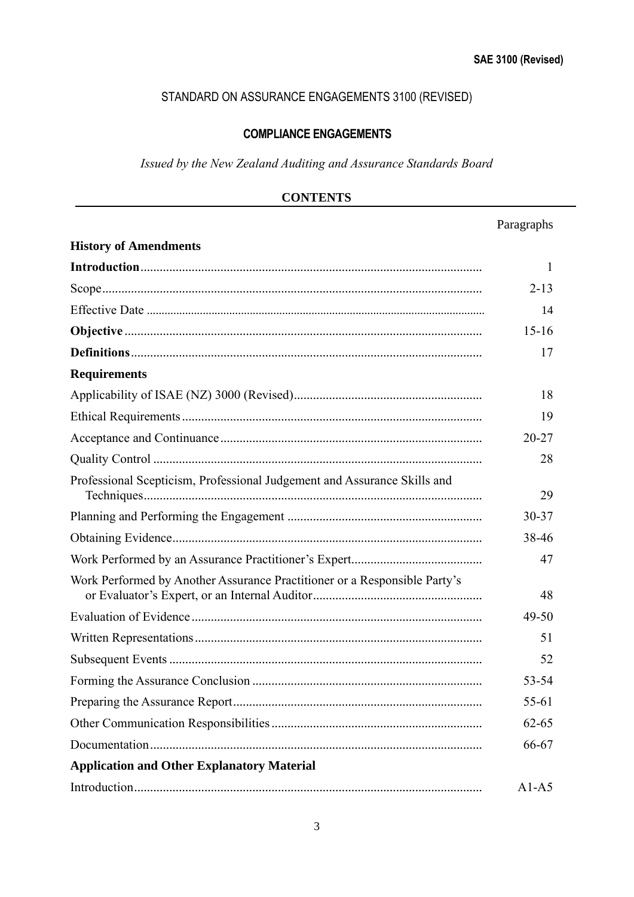# STANDARD ON ASSURANCE ENGAGEMENTS 3100 (REVISED)

# **COMPLIANCE ENGAGEMENTS**

*Issued by the New Zealand Auditing and Assurance Standards Board*

# **CONTENTS**

# Paragraphs

| <b>History of Amendments</b>                                              |           |
|---------------------------------------------------------------------------|-----------|
|                                                                           | 1         |
|                                                                           | $2 - 13$  |
|                                                                           | 14        |
|                                                                           | $15-16$   |
|                                                                           | 17        |
| <b>Requirements</b>                                                       |           |
|                                                                           | 18        |
|                                                                           | 19        |
|                                                                           | $20 - 27$ |
|                                                                           | 28        |
| Professional Scepticism, Professional Judgement and Assurance Skills and  | 29        |
|                                                                           | $30 - 37$ |
|                                                                           | 38-46     |
|                                                                           | 47        |
| Work Performed by Another Assurance Practitioner or a Responsible Party's | 48        |
|                                                                           | $49 - 50$ |
|                                                                           | 51        |
|                                                                           | 52        |
|                                                                           | 53-54     |
|                                                                           | 55-61     |
|                                                                           | $62 - 65$ |
|                                                                           | 66-67     |
| <b>Application and Other Explanatory Material</b>                         |           |
|                                                                           | $A1-A5$   |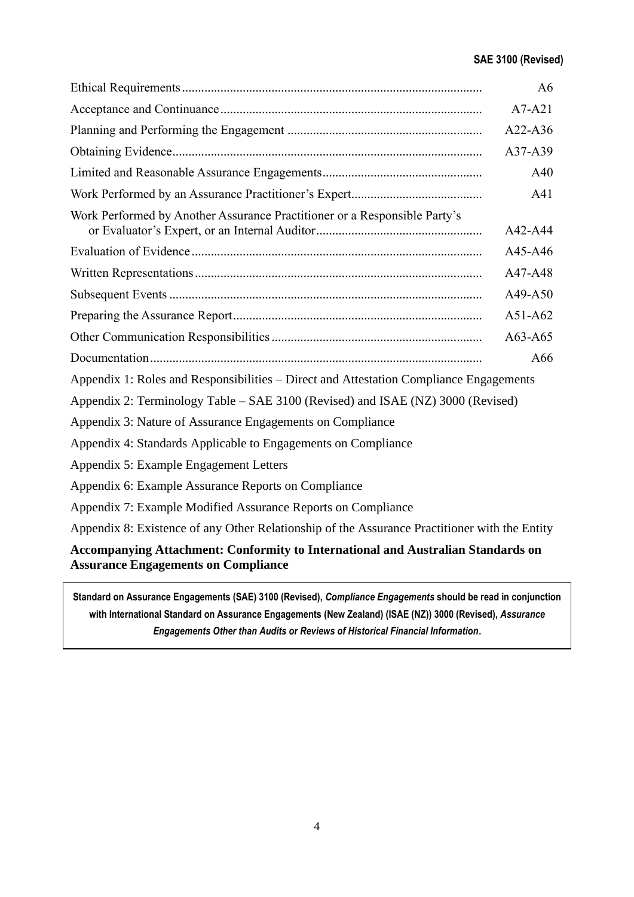|                                                                                                                                | A6          |  |  |  |
|--------------------------------------------------------------------------------------------------------------------------------|-------------|--|--|--|
|                                                                                                                                |             |  |  |  |
|                                                                                                                                |             |  |  |  |
|                                                                                                                                | $A37-A39$   |  |  |  |
|                                                                                                                                | A40         |  |  |  |
|                                                                                                                                | A41         |  |  |  |
| Work Performed by Another Assurance Practitioner or a Responsible Party's                                                      | $A42-A44$   |  |  |  |
|                                                                                                                                | A45-A46     |  |  |  |
|                                                                                                                                | A47-A48     |  |  |  |
|                                                                                                                                | $A49 - A50$ |  |  |  |
|                                                                                                                                | $A51-A62$   |  |  |  |
|                                                                                                                                | $A63 - A65$ |  |  |  |
|                                                                                                                                | A66         |  |  |  |
| Appendix 1: Roles and Responsibilities – Direct and Attestation Compliance Engagements                                         |             |  |  |  |
| Appendix 2: Terminology Table - SAE 3100 (Revised) and ISAE (NZ) 3000 (Revised)                                                |             |  |  |  |
| Appendix 3: Nature of Assurance Engagements on Compliance                                                                      |             |  |  |  |
| Appendix 4: Standards Applicable to Engagements on Compliance                                                                  |             |  |  |  |
| Appendix 5: Example Engagement Letters                                                                                         |             |  |  |  |
| Appendix 6: Example Assurance Reports on Compliance                                                                            |             |  |  |  |
| Appendix 7: Example Modified Assurance Reports on Compliance                                                                   |             |  |  |  |
| Appendix 8: Existence of any Other Relationship of the Assurance Practitioner with the Entity                                  |             |  |  |  |
| Accompanying Attachment: Conformity to International and Australian Standards on<br><b>Assurance Engagements on Compliance</b> |             |  |  |  |

**Standard on Assurance Engagements (SAE) 3100 (Revised),** *Compliance Engagements* **should be read in conjunction with International Standard on Assurance Engagements (New Zealand) (ISAE (NZ)) 3000 (Revised),** *Assurance Engagements Other than Audits or Reviews of Historical Financial Information***.**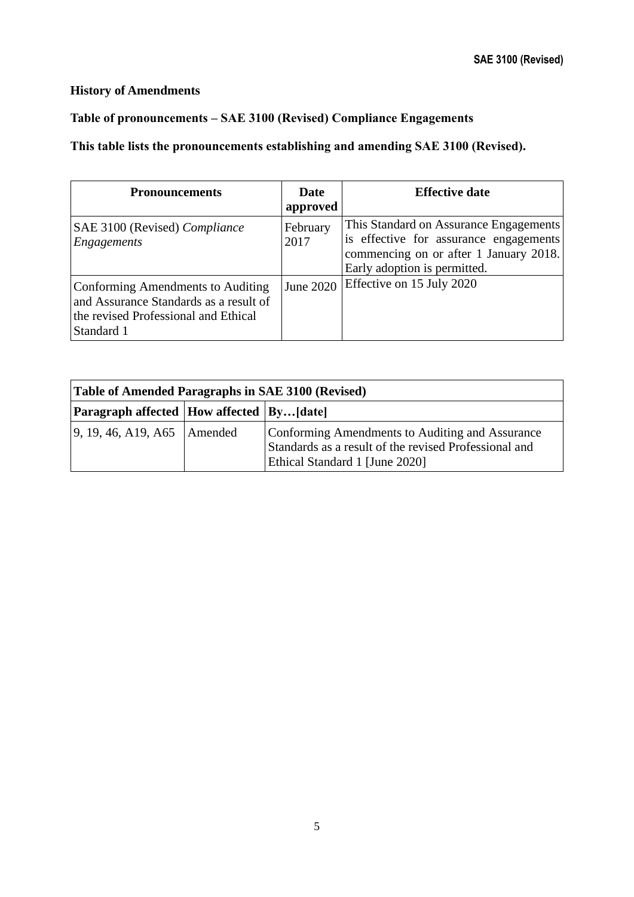# **History of Amendments**

# **Table of pronouncements – SAE 3100 (Revised) Compliance Engagements**

# **This table lists the pronouncements establishing and amending SAE 3100 (Revised).**

| <b>Pronouncements</b>                                                                                                             | <b>Date</b><br>approved | <b>Effective date</b>                                                                                                                                      |
|-----------------------------------------------------------------------------------------------------------------------------------|-------------------------|------------------------------------------------------------------------------------------------------------------------------------------------------------|
| SAE 3100 (Revised) Compliance<br>Engagements                                                                                      | February<br>2017        | This Standard on Assurance Engagements<br>is effective for assurance engagements<br>commencing on or after 1 January 2018.<br>Early adoption is permitted. |
| Conforming Amendments to Auditing<br>and Assurance Standards as a result of<br>the revised Professional and Ethical<br>Standard 1 | June 2020               | Effective on 15 July 2020                                                                                                                                  |

| Table of Amended Paragraphs in SAE 3100 (Revised) |  |                                                                                                                                            |  |  |  |
|---------------------------------------------------|--|--------------------------------------------------------------------------------------------------------------------------------------------|--|--|--|
| Paragraph affected   How affected   By [date]     |  |                                                                                                                                            |  |  |  |
| $\left  9, 19, 46, A19, A65 \right $ Amended      |  | Conforming Amendments to Auditing and Assurance<br>Standards as a result of the revised Professional and<br>Ethical Standard 1 [June 2020] |  |  |  |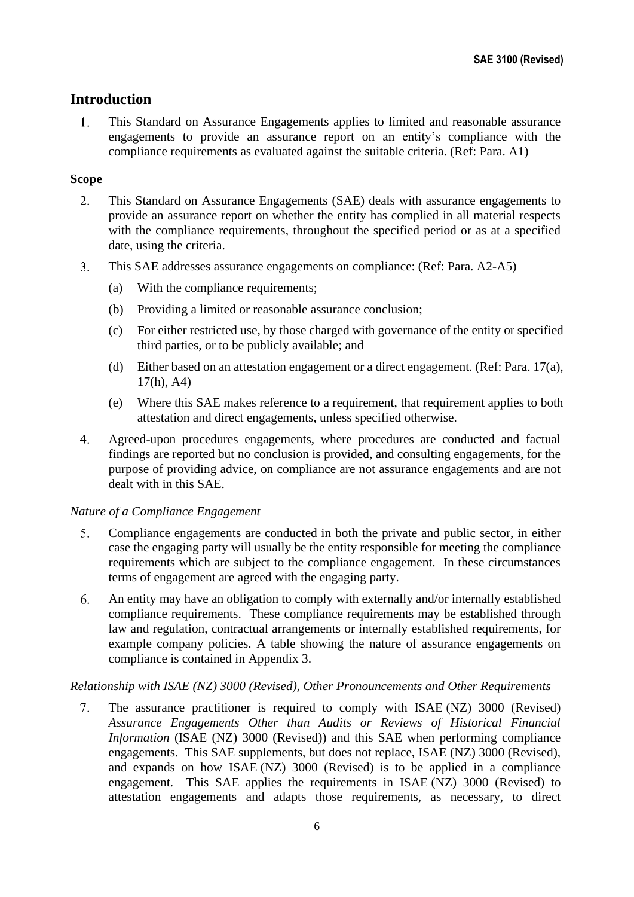# **Introduction**

This Standard on Assurance Engagements applies to limited and reasonable assurance 1. engagements to provide an assurance report on an entity's compliance with the compliance requirements as evaluated against the suitable criteria. (Ref: Para. A1)

# **Scope**

- $2.$ This Standard on Assurance Engagements (SAE) deals with assurance engagements to provide an assurance report on whether the entity has complied in all material respects with the compliance requirements, throughout the specified period or as at a specified date, using the criteria.
- $3.$ This SAE addresses assurance engagements on compliance: (Ref: Para. A2-A5)
	- (a) With the compliance requirements;
	- (b) Providing a limited or reasonable assurance conclusion;
	- (c) For either restricted use, by those charged with governance of the entity or specified third parties, or to be publicly available; and
	- (d) Either based on an attestation engagement or a direct engagement. (Ref: Para. 17(a), 17(h), A4)
	- (e) Where this SAE makes reference to a requirement, that requirement applies to both attestation and direct engagements, unless specified otherwise.
- $4.$ Agreed-upon procedures engagements, where procedures are conducted and factual findings are reported but no conclusion is provided, and consulting engagements, for the purpose of providing advice, on compliance are not assurance engagements and are not dealt with in this SAE.

# *Nature of a Compliance Engagement*

- $5.$ Compliance engagements are conducted in both the private and public sector, in either case the engaging party will usually be the entity responsible for meeting the compliance requirements which are subject to the compliance engagement. In these circumstances terms of engagement are agreed with the engaging party.
- 6. An entity may have an obligation to comply with externally and/or internally established compliance requirements. These compliance requirements may be established through law and regulation, contractual arrangements or internally established requirements, for example company policies. A table showing the nature of assurance engagements on compliance is contained in Appendix 3.

### *Relationship with ISAE (NZ) 3000 (Revised), Other Pronouncements and Other Requirements*

 $7.$ The assurance practitioner is required to comply with ISAE (NZ) 3000 (Revised) *Assurance Engagements Other than Audits or Reviews of Historical Financial Information* (ISAE (NZ) 3000 (Revised)) and this SAE when performing compliance engagements. This SAE supplements, but does not replace, ISAE (NZ) 3000 (Revised), and expands on how ISAE (NZ) 3000 (Revised) is to be applied in a compliance engagement. This SAE applies the requirements in ISAE (NZ) 3000 (Revised) to attestation engagements and adapts those requirements, as necessary, to direct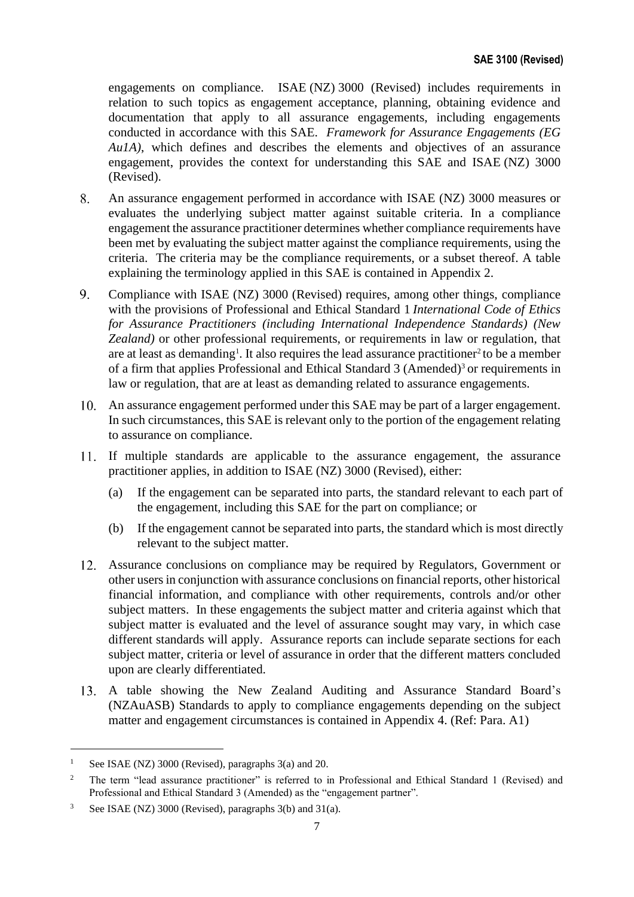engagements on compliance. ISAE (NZ) 3000 (Revised) includes requirements in relation to such topics as engagement acceptance, planning, obtaining evidence and documentation that apply to all assurance engagements, including engagements conducted in accordance with this SAE. *Framework for Assurance Engagements (EG Au1A)*, which defines and describes the elements and objectives of an assurance engagement, provides the context for understanding this SAE and ISAE (NZ) 3000 (Revised).

- An assurance engagement performed in accordance with ISAE (NZ) 3000 measures or 8. evaluates the underlying subject matter against suitable criteria. In a compliance engagement the assurance practitioner determines whether compliance requirements have been met by evaluating the subject matter against the compliance requirements, using the criteria. The criteria may be the compliance requirements, or a subset thereof. A table explaining the terminology applied in this SAE is contained in Appendix 2.
- 9. Compliance with ISAE (NZ) 3000 (Revised) requires, among other things, compliance with the provisions of Professional and Ethical Standard 1 *International Code of Ethics for Assurance Practitioners (including International Independence Standards) (New Zealand)* or other professional requirements, or requirements in law or regulation, that are at least as demanding<sup>1</sup>. It also requires the lead assurance practitioner<sup>2</sup> to be a member of a firm that applies Professional and Ethical Standard 3 (Amended)<sup>3</sup> or requirements in law or regulation, that are at least as demanding related to assurance engagements.
- An assurance engagement performed under this SAE may be part of a larger engagement. In such circumstances, this SAE is relevant only to the portion of the engagement relating to assurance on compliance.
- If multiple standards are applicable to the assurance engagement, the assurance practitioner applies, in addition to ISAE (NZ) 3000 (Revised), either:
	- (a) If the engagement can be separated into parts, the standard relevant to each part of the engagement, including this SAE for the part on compliance; or
	- (b) If the engagement cannot be separated into parts, the standard which is most directly relevant to the subject matter.
- Assurance conclusions on compliance may be required by Regulators, Government or other users in conjunction with assurance conclusions on financial reports, other historical financial information, and compliance with other requirements, controls and/or other subject matters. In these engagements the subject matter and criteria against which that subject matter is evaluated and the level of assurance sought may vary, in which case different standards will apply. Assurance reports can include separate sections for each subject matter, criteria or level of assurance in order that the different matters concluded upon are clearly differentiated.
- A table showing the New Zealand Auditing and Assurance Standard Board's (NZAuASB) Standards to apply to compliance engagements depending on the subject matter and engagement circumstances is contained in Appendix 4. (Ref: Para. A1)

<sup>&</sup>lt;sup>1</sup> See ISAE (NZ) 3000 (Revised), paragraphs  $3(a)$  and  $20$ .

<sup>&</sup>lt;sup>2</sup> The term "lead assurance practitioner" is referred to in Professional and Ethical Standard 1 (Revised) and Professional and Ethical Standard 3 (Amended) as the "engagement partner".

<sup>&</sup>lt;sup>3</sup> See ISAE (NZ) 3000 (Revised), paragraphs  $3(b)$  and  $31(a)$ .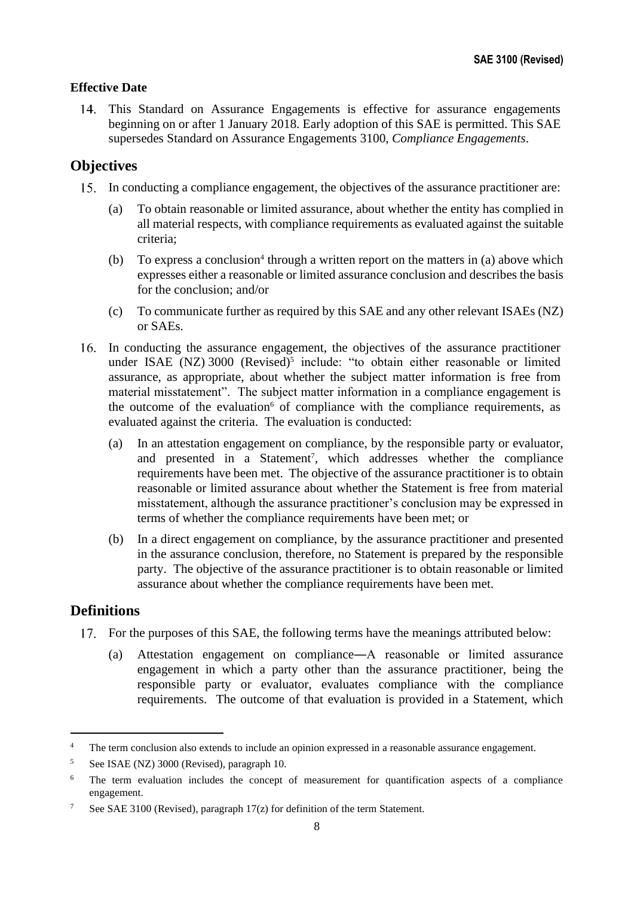# **Effective Date**

14. This Standard on Assurance Engagements is effective for assurance engagements beginning on or after 1 January 2018. Early adoption of this SAE is permitted. This SAE supersedes Standard on Assurance Engagements 3100, *Compliance Engagements*.

# **Objectives**

- In conducting a compliance engagement, the objectives of the assurance practitioner are:
	- (a) To obtain reasonable or limited assurance, about whether the entity has complied in all material respects, with compliance requirements as evaluated against the suitable criteria;
	- (b) To express a conclusion<sup>4</sup> through a written report on the matters in (a) above which expresses either a reasonable or limited assurance conclusion and describes the basis for the conclusion; and/or
	- (c) To communicate further as required by this SAE and any other relevant ISAEs (NZ) or SAEs.
- In conducting the assurance engagement, the objectives of the assurance practitioner under ISAE (NZ)  $3000$  (Revised)<sup>5</sup> include: "to obtain either reasonable or limited assurance, as appropriate, about whether the subject matter information is free from material misstatement". The subject matter information in a compliance engagement is the outcome of the evaluation $6$  of compliance with the compliance requirements, as evaluated against the criteria. The evaluation is conducted:
	- (a) In an attestation engagement on compliance, by the responsible party or evaluator, and presented in a Statement<sup>7</sup>, which addresses whether the compliance requirements have been met. The objective of the assurance practitioner is to obtain reasonable or limited assurance about whether the Statement is free from material misstatement, although the assurance practitioner's conclusion may be expressed in terms of whether the compliance requirements have been met; or
	- (b) In a direct engagement on compliance, by the assurance practitioner and presented in the assurance conclusion, therefore, no Statement is prepared by the responsible party. The objective of the assurance practitioner is to obtain reasonable or limited assurance about whether the compliance requirements have been met.

# **Definitions**

- 17. For the purposes of this SAE, the following terms have the meanings attributed below:
	- (a) Attestation engagement on compliance―A reasonable or limited assurance engagement in which a party other than the assurance practitioner, being the responsible party or evaluator, evaluates compliance with the compliance requirements. The outcome of that evaluation is provided in a Statement, which

<sup>&</sup>lt;sup>4</sup> The term conclusion also extends to include an opinion expressed in a reasonable assurance engagement.

<sup>5</sup> See ISAE (NZ) 3000 (Revised), paragraph 10.

<sup>&</sup>lt;sup>6</sup> The term evaluation includes the concept of measurement for quantification aspects of a compliance engagement.

<sup>&</sup>lt;sup>7</sup> See SAE 3100 (Revised), paragraph  $17(z)$  for definition of the term Statement.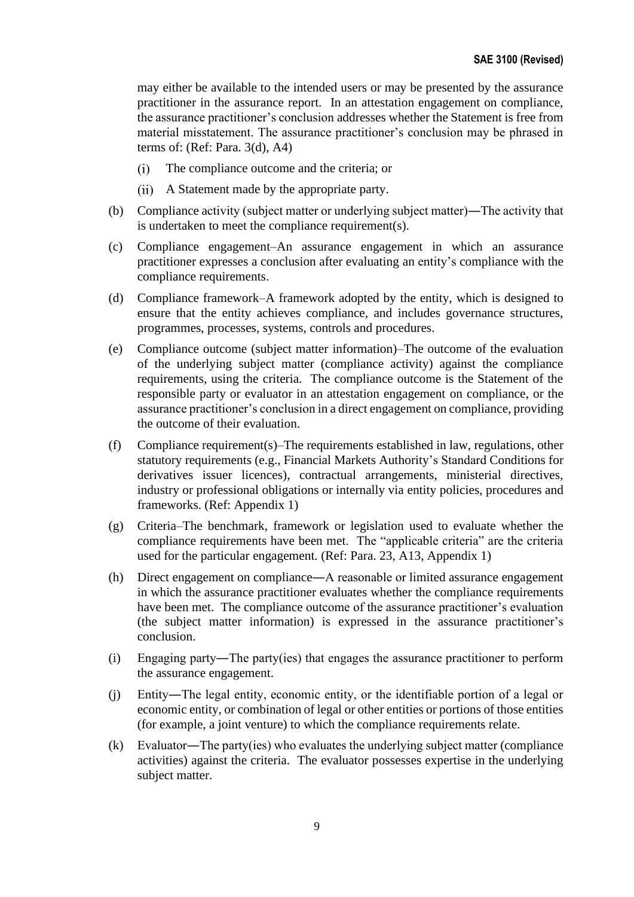may either be available to the intended users or may be presented by the assurance practitioner in the assurance report. In an attestation engagement on compliance, the assurance practitioner's conclusion addresses whether the Statement is free from material misstatement. The assurance practitioner's conclusion may be phrased in terms of: (Ref: Para. 3(d), A4)

- $(i)$ The compliance outcome and the criteria; or
- A Statement made by the appropriate party.
- (b) Compliance activity (subject matter or underlying subject matter)―The activity that is undertaken to meet the compliance requirement(s).
- (c) Compliance engagement–An assurance engagement in which an assurance practitioner expresses a conclusion after evaluating an entity's compliance with the compliance requirements.
- (d) Compliance framework–A framework adopted by the entity, which is designed to ensure that the entity achieves compliance, and includes governance structures, programmes, processes, systems, controls and procedures.
- (e) Compliance outcome (subject matter information)–The outcome of the evaluation of the underlying subject matter (compliance activity) against the compliance requirements, using the criteria. The compliance outcome is the Statement of the responsible party or evaluator in an attestation engagement on compliance, or the assurance practitioner's conclusion in a direct engagement on compliance, providing the outcome of their evaluation.
- (f) Compliance requirement(s)–The requirements established in law, regulations, other statutory requirements (e.g., Financial Markets Authority's Standard Conditions for derivatives issuer licences), contractual arrangements, ministerial directives, industry or professional obligations or internally via entity policies, procedures and frameworks. (Ref: Appendix 1)
- (g) Criteria–The benchmark, framework or legislation used to evaluate whether the compliance requirements have been met. The "applicable criteria" are the criteria used for the particular engagement. (Ref: Para. 23, A13, Appendix 1)
- (h) Direct engagement on compliance―A reasonable or limited assurance engagement in which the assurance practitioner evaluates whether the compliance requirements have been met. The compliance outcome of the assurance practitioner's evaluation (the subject matter information) is expressed in the assurance practitioner's conclusion.
- (i) Engaging party―The party(ies) that engages the assurance practitioner to perform the assurance engagement.
- (j) Entity―The legal entity, economic entity, or the identifiable portion of a legal or economic entity, or combination of legal or other entities or portions of those entities (for example, a joint venture) to which the compliance requirements relate.
- (k) Evaluator―The party(ies) who evaluates the underlying subject matter (compliance activities) against the criteria. The evaluator possesses expertise in the underlying subject matter.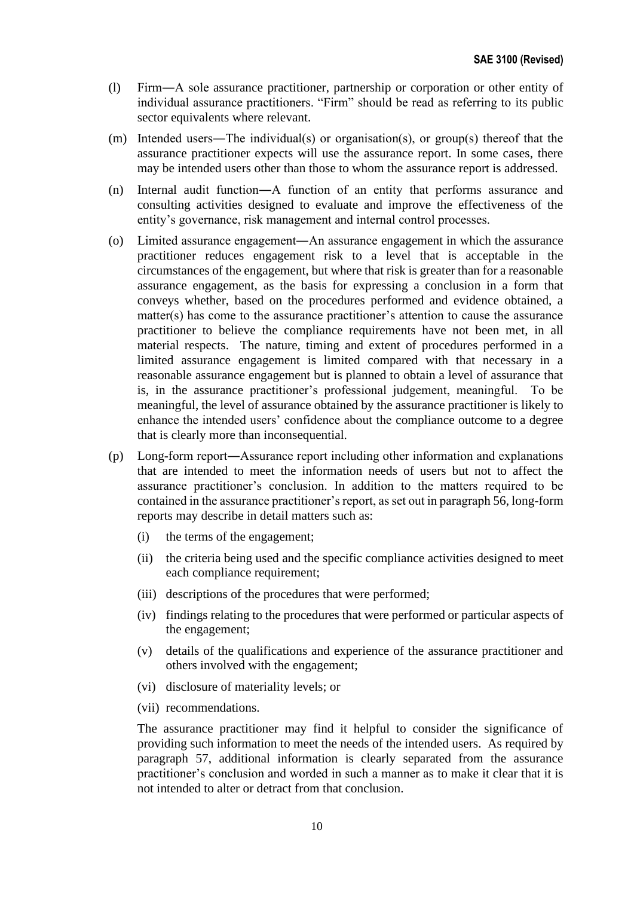- (l) Firm―A sole assurance practitioner, partnership or corporation or other entity of individual assurance practitioners. "Firm" should be read as referring to its public sector equivalents where relevant.
- (m) Intended users―The individual(s) or organisation(s), or group(s) thereof that the assurance practitioner expects will use the assurance report. In some cases, there may be intended users other than those to whom the assurance report is addressed.
- (n) Internal audit function―A function of an entity that performs assurance and consulting activities designed to evaluate and improve the effectiveness of the entity's governance, risk management and internal control processes.
- (o) Limited assurance engagement―An assurance engagement in which the assurance practitioner reduces engagement risk to a level that is acceptable in the circumstances of the engagement, but where that risk is greater than for a reasonable assurance engagement, as the basis for expressing a conclusion in a form that conveys whether, based on the procedures performed and evidence obtained, a matter(s) has come to the assurance practitioner's attention to cause the assurance practitioner to believe the compliance requirements have not been met, in all material respects. The nature, timing and extent of procedures performed in a limited assurance engagement is limited compared with that necessary in a reasonable assurance engagement but is planned to obtain a level of assurance that is, in the assurance practitioner's professional judgement, meaningful. To be meaningful, the level of assurance obtained by the assurance practitioner is likely to enhance the intended users' confidence about the compliance outcome to a degree that is clearly more than inconsequential.
- (p) Long-form report―Assurance report including other information and explanations that are intended to meet the information needs of users but not to affect the assurance practitioner's conclusion. In addition to the matters required to be contained in the assurance practitioner's report, as set out in paragraph 56, long-form reports may describe in detail matters such as:
	- (i) the terms of the engagement;
	- (ii) the criteria being used and the specific compliance activities designed to meet each compliance requirement;
	- (iii) descriptions of the procedures that were performed;
	- (iv) findings relating to the procedures that were performed or particular aspects of the engagement;
	- (v) details of the qualifications and experience of the assurance practitioner and others involved with the engagement;
	- (vi) disclosure of materiality levels; or
	- (vii) recommendations.

The assurance practitioner may find it helpful to consider the significance of providing such information to meet the needs of the intended users. As required by paragraph 57, additional information is clearly separated from the assurance practitioner's conclusion and worded in such a manner as to make it clear that it is not intended to alter or detract from that conclusion.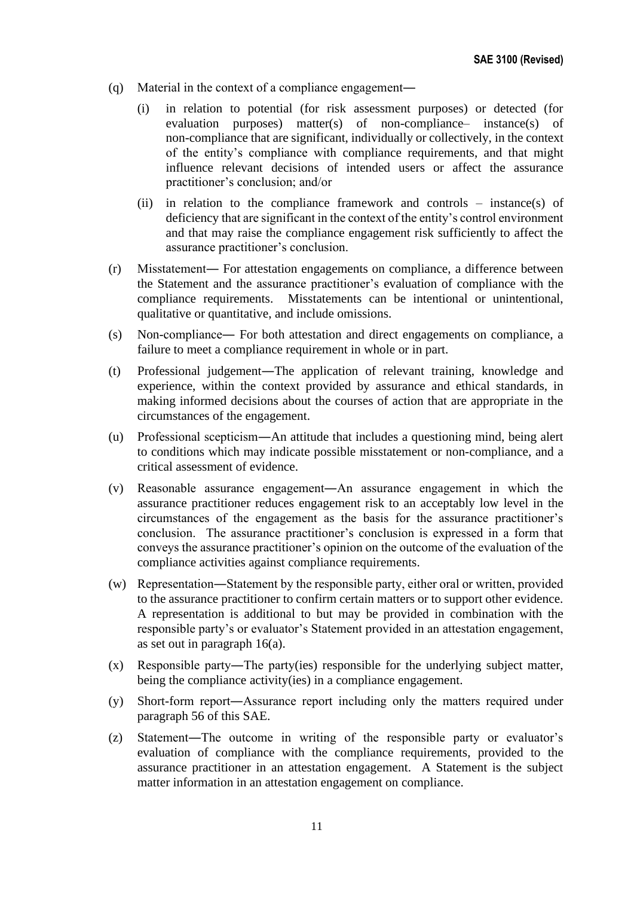- (q) Material in the context of a compliance engagement―
	- (i) in relation to potential (for risk assessment purposes) or detected (for evaluation purposes) matter(s) of non-compliance– instance(s) of non-compliance that are significant, individually or collectively, in the context of the entity's compliance with compliance requirements, and that might influence relevant decisions of intended users or affect the assurance practitioner's conclusion; and/or
	- (ii) in relation to the compliance framework and controls instance(s) of deficiency that are significant in the context of the entity's control environment and that may raise the compliance engagement risk sufficiently to affect the assurance practitioner's conclusion.
- (r) Misstatement― For attestation engagements on compliance, a difference between the Statement and the assurance practitioner's evaluation of compliance with the compliance requirements. Misstatements can be intentional or unintentional, qualitative or quantitative, and include omissions.
- (s) Non-compliance― For both attestation and direct engagements on compliance, a failure to meet a compliance requirement in whole or in part.
- (t) Professional judgement―The application of relevant training, knowledge and experience, within the context provided by assurance and ethical standards, in making informed decisions about the courses of action that are appropriate in the circumstances of the engagement.
- (u) Professional scepticism―An attitude that includes a questioning mind, being alert to conditions which may indicate possible misstatement or non-compliance, and a critical assessment of evidence.
- (v) Reasonable assurance engagement―An assurance engagement in which the assurance practitioner reduces engagement risk to an acceptably low level in the circumstances of the engagement as the basis for the assurance practitioner's conclusion. The assurance practitioner's conclusion is expressed in a form that conveys the assurance practitioner's opinion on the outcome of the evaluation of the compliance activities against compliance requirements.
- (w) Representation―Statement by the responsible party, either oral or written, provided to the assurance practitioner to confirm certain matters or to support other evidence. A representation is additional to but may be provided in combination with the responsible party's or evaluator's Statement provided in an attestation engagement, as set out in paragraph 16(a).
- (x) Responsible party―The party(ies) responsible for the underlying subject matter, being the compliance activity(ies) in a compliance engagement.
- (y) Short-form report―Assurance report including only the matters required under paragraph 56 of this SAE.
- (z) Statement―The outcome in writing of the responsible party or evaluator's evaluation of compliance with the compliance requirements, provided to the assurance practitioner in an attestation engagement. A Statement is the subject matter information in an attestation engagement on compliance.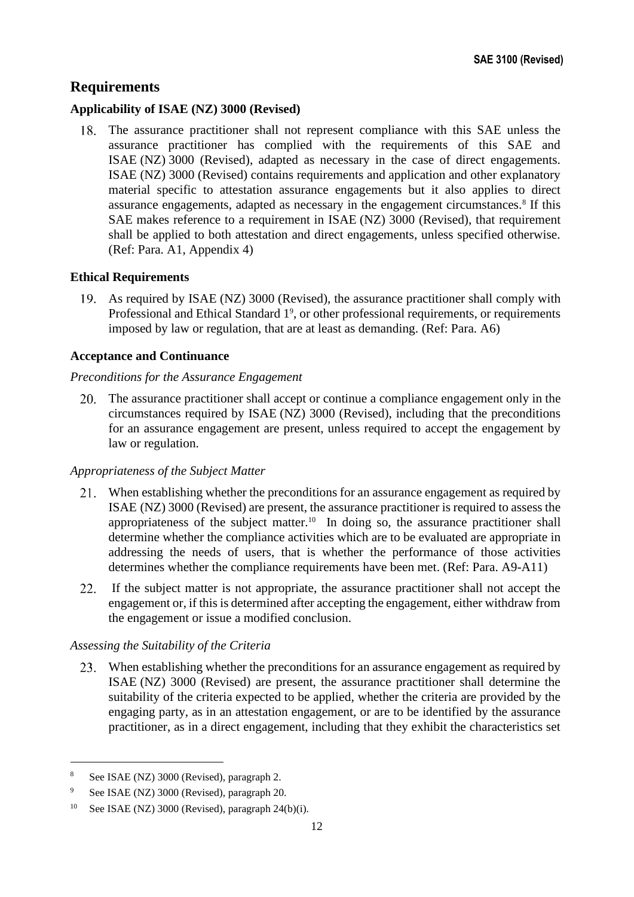# **Requirements**

### **Applicability of ISAE (NZ) 3000 (Revised)**

The assurance practitioner shall not represent compliance with this SAE unless the assurance practitioner has complied with the requirements of this SAE and ISAE (NZ) 3000 (Revised), adapted as necessary in the case of direct engagements. ISAE (NZ) 3000 (Revised) contains requirements and application and other explanatory material specific to attestation assurance engagements but it also applies to direct assurance engagements, adapted as necessary in the engagement circumstances.<sup>8</sup> If this SAE makes reference to a requirement in ISAE (NZ) 3000 (Revised), that requirement shall be applied to both attestation and direct engagements, unless specified otherwise. (Ref: Para. A1, Appendix 4)

# **Ethical Requirements**

As required by ISAE (NZ) 3000 (Revised), the assurance practitioner shall comply with Professional and Ethical Standard 1<sup>9</sup>, or other professional requirements, or requirements imposed by law or regulation, that are at least as demanding. (Ref: Para. A6)

# **Acceptance and Continuance**

# *Preconditions for the Assurance Engagement*

20. The assurance practitioner shall accept or continue a compliance engagement only in the circumstances required by ISAE (NZ) 3000 (Revised), including that the preconditions for an assurance engagement are present, unless required to accept the engagement by law or regulation.

### *Appropriateness of the Subject Matter*

- When establishing whether the preconditions for an assurance engagement as required by ISAE (NZ) 3000 (Revised) are present, the assurance practitioner is required to assess the appropriateness of the subject matter.<sup>10</sup> In doing so, the assurance practitioner shall determine whether the compliance activities which are to be evaluated are appropriate in addressing the needs of users, that is whether the performance of those activities determines whether the compliance requirements have been met. (Ref: Para. A9-A11)
- 22. If the subject matter is not appropriate, the assurance practitioner shall not accept the engagement or, if this is determined after accepting the engagement, either withdraw from the engagement or issue a modified conclusion.

### *Assessing the Suitability of the Criteria*

When establishing whether the preconditions for an assurance engagement as required by ISAE (NZ) 3000 (Revised) are present, the assurance practitioner shall determine the suitability of the criteria expected to be applied, whether the criteria are provided by the engaging party, as in an attestation engagement, or are to be identified by the assurance practitioner, as in a direct engagement, including that they exhibit the characteristics set

<sup>8</sup> See ISAE (NZ) 3000 (Revised), paragraph 2.

<sup>9</sup> See ISAE (NZ) 3000 (Revised), paragraph 20.

<sup>&</sup>lt;sup>10</sup> See ISAE (NZ) 3000 (Revised), paragraph  $24(b)(i)$ .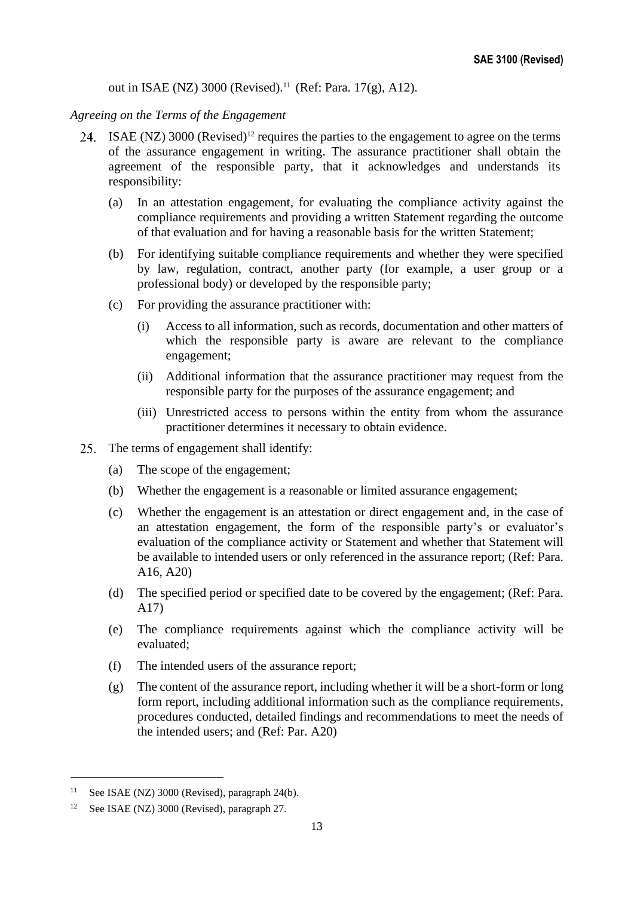out in ISAE (NZ) 3000 (Revised). <sup>11</sup> (Ref: Para. 17(g), A12).

### *Agreeing on the Terms of the Engagement*

- 24. ISAE (NZ) 3000 (Revised)<sup>12</sup> requires the parties to the engagement to agree on the terms of the assurance engagement in writing. The assurance practitioner shall obtain the agreement of the responsible party, that it acknowledges and understands its responsibility:
	- (a) In an attestation engagement, for evaluating the compliance activity against the compliance requirements and providing a written Statement regarding the outcome of that evaluation and for having a reasonable basis for the written Statement;
	- (b) For identifying suitable compliance requirements and whether they were specified by law, regulation, contract, another party (for example, a user group or a professional body) or developed by the responsible party;
	- (c) For providing the assurance practitioner with:
		- (i) Access to all information, such as records, documentation and other matters of which the responsible party is aware are relevant to the compliance engagement;
		- (ii) Additional information that the assurance practitioner may request from the responsible party for the purposes of the assurance engagement; and
		- (iii) Unrestricted access to persons within the entity from whom the assurance practitioner determines it necessary to obtain evidence.
- 25. The terms of engagement shall identify:
	- (a) The scope of the engagement;
	- (b) Whether the engagement is a reasonable or limited assurance engagement;
	- (c) Whether the engagement is an attestation or direct engagement and, in the case of an attestation engagement, the form of the responsible party's or evaluator's evaluation of the compliance activity or Statement and whether that Statement will be available to intended users or only referenced in the assurance report; (Ref: Para. A16, A20)
	- (d) The specified period or specified date to be covered by the engagement; (Ref: Para. A17)
	- (e) The compliance requirements against which the compliance activity will be evaluated;
	- (f) The intended users of the assurance report;
	- (g) The content of the assurance report, including whether it will be a short-form or long form report, including additional information such as the compliance requirements, procedures conducted, detailed findings and recommendations to meet the needs of the intended users; and (Ref: Par. A20)

<sup>&</sup>lt;sup>11</sup> See ISAE (NZ) 3000 (Revised), paragraph 24(b).

<sup>12</sup> See ISAE (NZ) 3000 (Revised), paragraph 27.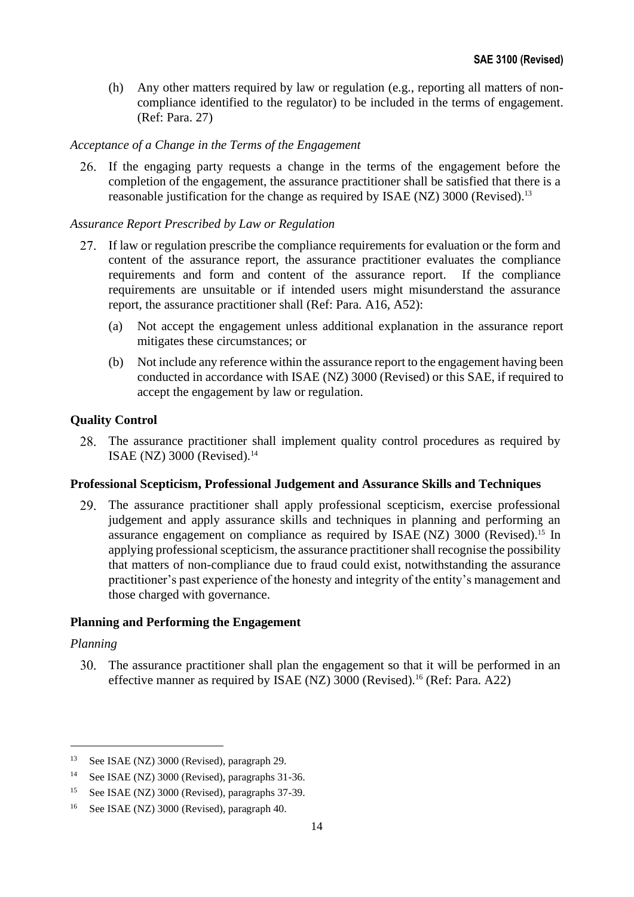(h) Any other matters required by law or regulation (e.g., reporting all matters of noncompliance identified to the regulator) to be included in the terms of engagement. (Ref: Para. 27)

### *Acceptance of a Change in the Terms of the Engagement*

26. If the engaging party requests a change in the terms of the engagement before the completion of the engagement, the assurance practitioner shall be satisfied that there is a reasonable justification for the change as required by ISAE (NZ) 3000 (Revised). 13

### *Assurance Report Prescribed by Law or Regulation*

- 27. If law or regulation prescribe the compliance requirements for evaluation or the form and content of the assurance report, the assurance practitioner evaluates the compliance requirements and form and content of the assurance report. If the compliance requirements are unsuitable or if intended users might misunderstand the assurance report, the assurance practitioner shall (Ref: Para. A16, A52):
	- (a) Not accept the engagement unless additional explanation in the assurance report mitigates these circumstances; or
	- (b) Not include any reference within the assurance report to the engagement having been conducted in accordance with ISAE (NZ) 3000 (Revised) or this SAE, if required to accept the engagement by law or regulation.

#### **Quality Control**

The assurance practitioner shall implement quality control procedures as required by ISAE (NZ) 3000 (Revised). 14

#### **Professional Scepticism, Professional Judgement and Assurance Skills and Techniques**

The assurance practitioner shall apply professional scepticism, exercise professional judgement and apply assurance skills and techniques in planning and performing an assurance engagement on compliance as required by ISAE (NZ) 3000 (Revised). <sup>15</sup> In applying professional scepticism, the assurance practitioner shall recognise the possibility that matters of non-compliance due to fraud could exist, notwithstanding the assurance practitioner's past experience of the honesty and integrity of the entity's management and those charged with governance.

#### **Planning and Performing the Engagement**

#### *Planning*

The assurance practitioner shall plan the engagement so that it will be performed in an effective manner as required by ISAE (NZ) 3000 (Revised). <sup>16</sup> (Ref: Para. A22)

<sup>13</sup> See ISAE (NZ) 3000 (Revised), paragraph 29.

<sup>14</sup> See ISAE (NZ) 3000 (Revised), paragraphs 31-36.

<sup>15</sup> See ISAE (NZ) 3000 (Revised), paragraphs 37-39.

<sup>16</sup> See ISAE (NZ) 3000 (Revised), paragraph 40.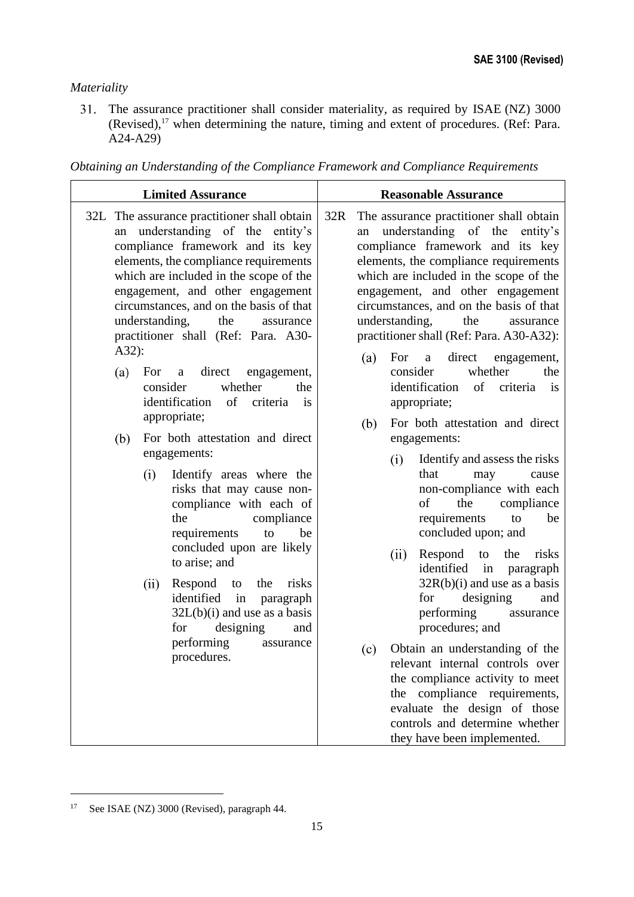J.

# *Materiality*

The assurance practitioner shall consider materiality, as required by ISAE (NZ) 3000  $(Revised)$ ,<sup>17</sup> when determining the nature, timing and extent of procedures.  $(Ref: Para.$ A24-A29)

| <b>Limited Assurance</b>                                                                                                                                                                                                                                                                                                                                                                                                                                                                                                                                                                                                                                                                    | <b>Reasonable Assurance</b>                                                                                                                                                                                                                                                                                                                                                                                                                                                                                                                                                                                                                                                                                                                  |  |  |
|---------------------------------------------------------------------------------------------------------------------------------------------------------------------------------------------------------------------------------------------------------------------------------------------------------------------------------------------------------------------------------------------------------------------------------------------------------------------------------------------------------------------------------------------------------------------------------------------------------------------------------------------------------------------------------------------|----------------------------------------------------------------------------------------------------------------------------------------------------------------------------------------------------------------------------------------------------------------------------------------------------------------------------------------------------------------------------------------------------------------------------------------------------------------------------------------------------------------------------------------------------------------------------------------------------------------------------------------------------------------------------------------------------------------------------------------------|--|--|
| 32L The assurance practitioner shall obtain<br>an understanding of the entity's<br>compliance framework and its key<br>elements, the compliance requirements<br>which are included in the scope of the<br>engagement, and other engagement<br>circumstances, and on the basis of that<br>understanding,<br>the<br>assurance<br>practitioner shall (Ref: Para. A30-<br>$A32$ :<br>(a)<br>For<br>direct<br>engagement,<br>a<br>whether<br>consider<br>the<br>identification<br>of<br>criteria<br>is<br>appropriate;<br>For both attestation and direct<br>(b)<br>engagements:<br>Identify areas where the<br>(i)<br>risks that may cause non-<br>compliance with each of<br>compliance<br>the | 32R<br>The assurance practitioner shall obtain<br>understanding of the entity's<br>an<br>compliance framework and its key<br>elements, the compliance requirements<br>which are included in the scope of the<br>engagement, and other engagement<br>circumstances, and on the basis of that<br>understanding,<br>the<br>assurance<br>practitioner shall (Ref: Para. A30-A32):<br>(a)<br>direct<br>For<br>$\mathbf a$<br>engagement,<br>whether<br>consider<br>the<br>identification<br>of criteria<br><i>is</i><br>appropriate;<br>For both attestation and direct<br>(b)<br>engagements:<br>Identify and assess the risks<br>(i)<br>that<br>may<br>cause<br>non-compliance with each<br>of<br>the<br>compliance<br>requirements<br>to<br>be |  |  |
| requirements<br>be<br>to<br>concluded upon are likely<br>to arise; and<br>Respond to<br>risks<br>(ii)<br>the<br>identified<br>in<br>paragraph<br>$32L(b)(i)$ and use as a basis<br>designing<br>for<br>and<br>performing<br>assurance<br>procedures.                                                                                                                                                                                                                                                                                                                                                                                                                                        | concluded upon; and<br>Respond<br>the<br>risks<br>(ii)<br>to<br>identified<br>in<br>paragraph<br>$32R(b)(i)$ and use as a basis<br>for<br>designing<br>and<br>performing<br>assurance<br>procedures; and<br>Obtain an understanding of the<br>(c)<br>relevant internal controls over<br>the compliance activity to meet<br>the compliance requirements,<br>evaluate the design of those<br>controls and determine whether<br>they have been implemented.                                                                                                                                                                                                                                                                                     |  |  |

*Obtaining an Understanding of the Compliance Framework and Compliance Requirements*

<sup>17</sup> See ISAE (NZ) 3000 (Revised), paragraph 44.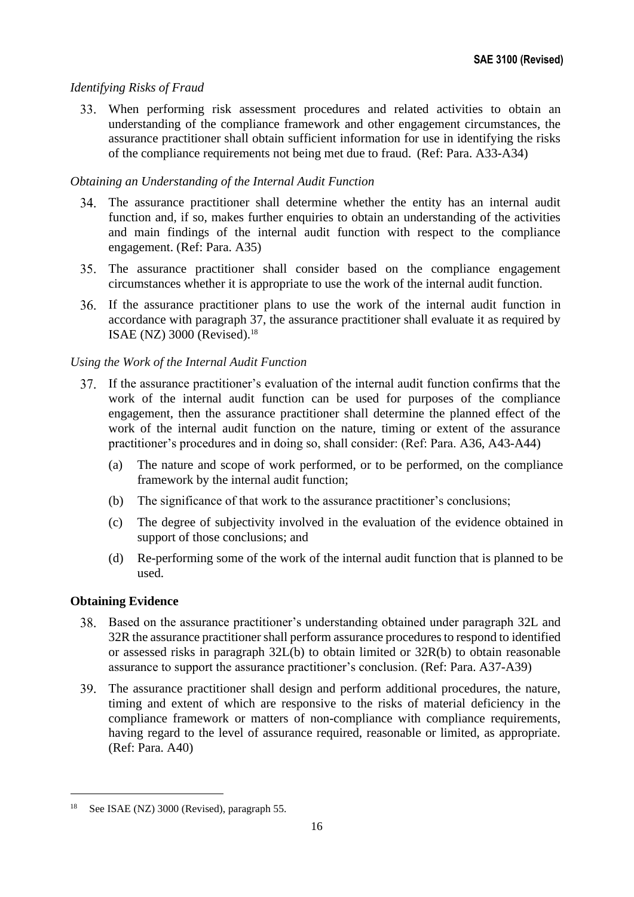# *Identifying Risks of Fraud*

When performing risk assessment procedures and related activities to obtain an understanding of the compliance framework and other engagement circumstances, the assurance practitioner shall obtain sufficient information for use in identifying the risks of the compliance requirements not being met due to fraud. (Ref: Para. A33-A34)

# *Obtaining an Understanding of the Internal Audit Function*

- The assurance practitioner shall determine whether the entity has an internal audit function and, if so, makes further enquiries to obtain an understanding of the activities and main findings of the internal audit function with respect to the compliance engagement. (Ref: Para. A35)
- The assurance practitioner shall consider based on the compliance engagement circumstances whether it is appropriate to use the work of the internal audit function.
- If the assurance practitioner plans to use the work of the internal audit function in accordance with paragraph 37, the assurance practitioner shall evaluate it as required by ISAE (NZ) 3000 (Revised). 18

# *Using the Work of the Internal Audit Function*

- If the assurance practitioner's evaluation of the internal audit function confirms that the work of the internal audit function can be used for purposes of the compliance engagement, then the assurance practitioner shall determine the planned effect of the work of the internal audit function on the nature, timing or extent of the assurance practitioner's procedures and in doing so, shall consider: (Ref: Para. A36, A43-A44)
	- (a) The nature and scope of work performed, or to be performed, on the compliance framework by the internal audit function;
	- (b) The significance of that work to the assurance practitioner's conclusions;
	- (c) The degree of subjectivity involved in the evaluation of the evidence obtained in support of those conclusions; and
	- (d) Re-performing some of the work of the internal audit function that is planned to be used.

# **Obtaining Evidence**

- Based on the assurance practitioner's understanding obtained under paragraph 32L and 32R the assurance practitioner shall perform assurance procedures to respond to identified or assessed risks in paragraph 32L(b) to obtain limited or 32R(b) to obtain reasonable assurance to support the assurance practitioner's conclusion. (Ref: Para. A37-A39)
- The assurance practitioner shall design and perform additional procedures, the nature, timing and extent of which are responsive to the risks of material deficiency in the compliance framework or matters of non-compliance with compliance requirements, having regard to the level of assurance required, reasonable or limited, as appropriate. (Ref: Para. A40)

See ISAE (NZ) 3000 (Revised), paragraph 55.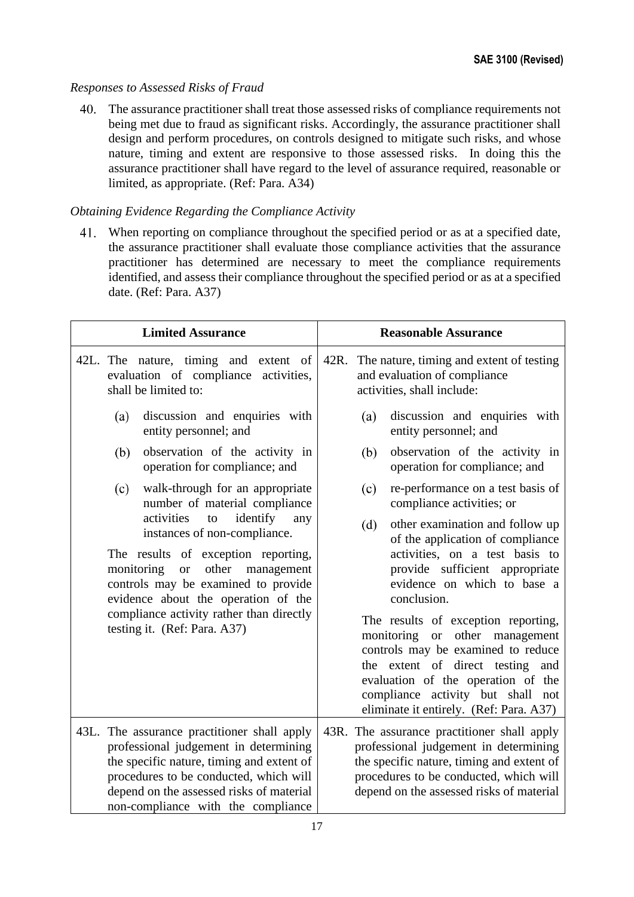# *Responses to Assessed Risks of Fraud*

The assurance practitioner shall treat those assessed risks of compliance requirements not being met due to fraud as significant risks. Accordingly, the assurance practitioner shall design and perform procedures, on controls designed to mitigate such risks, and whose nature, timing and extent are responsive to those assessed risks. In doing this the assurance practitioner shall have regard to the level of assurance required, reasonable or limited, as appropriate. (Ref: Para. A34)

# *Obtaining Evidence Regarding the Compliance Activity*

When reporting on compliance throughout the specified period or as at a specified date, the assurance practitioner shall evaluate those compliance activities that the assurance practitioner has determined are necessary to meet the compliance requirements identified, and assess their compliance throughout the specified period or as at a specified date. (Ref: Para. A37)

| <b>Limited Assurance</b>                                                                                                                                                                                                                                                                                               | <b>Reasonable Assurance</b>                                                                                                                                                                                                                                                                                                                                                                                                                                              |  |  |
|------------------------------------------------------------------------------------------------------------------------------------------------------------------------------------------------------------------------------------------------------------------------------------------------------------------------|--------------------------------------------------------------------------------------------------------------------------------------------------------------------------------------------------------------------------------------------------------------------------------------------------------------------------------------------------------------------------------------------------------------------------------------------------------------------------|--|--|
| 42L. The nature, timing and extent of<br>evaluation of compliance activities,<br>shall be limited to:                                                                                                                                                                                                                  | 42R.<br>The nature, timing and extent of testing<br>and evaluation of compliance<br>activities, shall include:                                                                                                                                                                                                                                                                                                                                                           |  |  |
| discussion and enquiries with<br>(a)<br>entity personnel; and                                                                                                                                                                                                                                                          | discussion and enquiries with<br>(a)<br>entity personnel; and                                                                                                                                                                                                                                                                                                                                                                                                            |  |  |
| (b)<br>observation of the activity in<br>operation for compliance; and                                                                                                                                                                                                                                                 | observation of the activity in<br>(b)<br>operation for compliance; and                                                                                                                                                                                                                                                                                                                                                                                                   |  |  |
| walk-through for an appropriate<br>(c)<br>number of material compliance                                                                                                                                                                                                                                                | re-performance on a test basis of<br>(c)<br>compliance activities; or                                                                                                                                                                                                                                                                                                                                                                                                    |  |  |
| activities<br>to<br>identify<br>any<br>instances of non-compliance.<br>The results of exception reporting,<br>other<br>monitoring<br>management<br><b>or</b><br>controls may be examined to provide<br>evidence about the operation of the<br>compliance activity rather than directly<br>testing it. (Ref: Para. A37) | other examination and follow up<br>(d)<br>of the application of compliance<br>activities, on a test basis to<br>provide sufficient appropriate<br>evidence on which to base a<br>conclusion.<br>The results of exception reporting,<br>monitoring or other management<br>controls may be examined to reduce<br>the extent of direct testing<br>and<br>evaluation of the operation of the<br>compliance activity but shall not<br>eliminate it entirely. (Ref: Para. A37) |  |  |
| 43L. The assurance practitioner shall apply<br>professional judgement in determining<br>the specific nature, timing and extent of<br>procedures to be conducted, which will<br>depend on the assessed risks of material<br>non-compliance with the compliance                                                          | 43R. The assurance practitioner shall apply<br>professional judgement in determining<br>the specific nature, timing and extent of<br>procedures to be conducted, which will<br>depend on the assessed risks of material                                                                                                                                                                                                                                                  |  |  |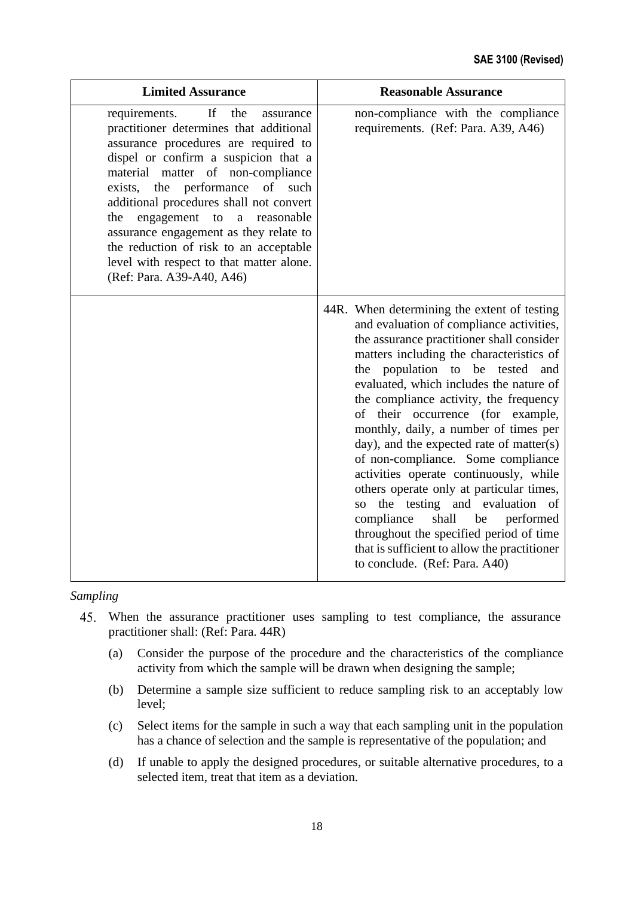| <b>Limited Assurance</b>                                                                                                                                                                                                                                                                                                                                                                                                                                                                               | <b>Reasonable Assurance</b>                                                                                                                                                                                                                                                                                                                                                                                                                                                                                                                                                                                                                                                                                                                                                     |
|--------------------------------------------------------------------------------------------------------------------------------------------------------------------------------------------------------------------------------------------------------------------------------------------------------------------------------------------------------------------------------------------------------------------------------------------------------------------------------------------------------|---------------------------------------------------------------------------------------------------------------------------------------------------------------------------------------------------------------------------------------------------------------------------------------------------------------------------------------------------------------------------------------------------------------------------------------------------------------------------------------------------------------------------------------------------------------------------------------------------------------------------------------------------------------------------------------------------------------------------------------------------------------------------------|
| If<br>the<br>requirements.<br>assurance<br>practitioner determines that additional<br>assurance procedures are required to<br>dispel or confirm a suspicion that a<br>material matter of non-compliance<br>the<br>performance<br>of<br>exists.<br>such<br>additional procedures shall not convert<br>engagement to<br>the<br>a reasonable<br>assurance engagement as they relate to<br>the reduction of risk to an acceptable<br>level with respect to that matter alone.<br>(Ref: Para. A39-A40, A46) | non-compliance with the compliance<br>requirements. (Ref: Para. A39, A46)                                                                                                                                                                                                                                                                                                                                                                                                                                                                                                                                                                                                                                                                                                       |
|                                                                                                                                                                                                                                                                                                                                                                                                                                                                                                        | 44R. When determining the extent of testing<br>and evaluation of compliance activities,<br>the assurance practitioner shall consider<br>matters including the characteristics of<br>the population to be tested and<br>evaluated, which includes the nature of<br>the compliance activity, the frequency<br>of their occurrence (for example,<br>monthly, daily, a number of times per<br>day), and the expected rate of matter(s)<br>of non-compliance. Some compliance<br>activities operate continuously, while<br>others operate only at particular times,<br>the testing and evaluation<br>of<br>SO.<br>compliance<br>shall<br>be<br>performed<br>throughout the specified period of time<br>that is sufficient to allow the practitioner<br>to conclude. (Ref: Para. A40) |

*Sampling*

- When the assurance practitioner uses sampling to test compliance, the assurance practitioner shall: (Ref: Para. 44R)
	- (a) Consider the purpose of the procedure and the characteristics of the compliance activity from which the sample will be drawn when designing the sample;
	- (b) Determine a sample size sufficient to reduce sampling risk to an acceptably low level;
	- (c) Select items for the sample in such a way that each sampling unit in the population has a chance of selection and the sample is representative of the population; and
	- (d) If unable to apply the designed procedures, or suitable alternative procedures, to a selected item, treat that item as a deviation.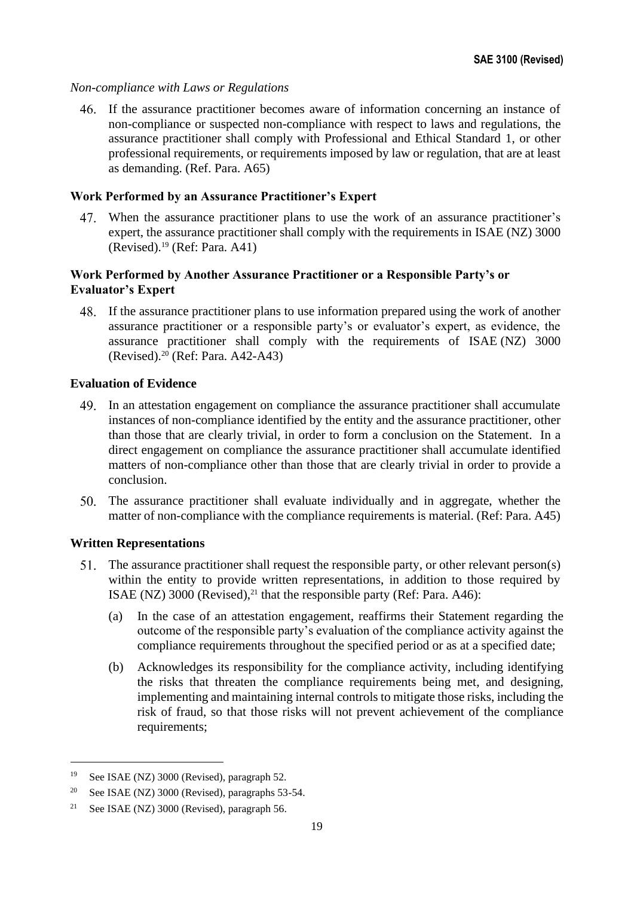### *Non-compliance with Laws or Regulations*

If the assurance practitioner becomes aware of information concerning an instance of non-compliance or suspected non-compliance with respect to laws and regulations, the assurance practitioner shall comply with Professional and Ethical Standard 1, or other professional requirements, or requirements imposed by law or regulation, that are at least as demanding. (Ref. Para. A65)

### **Work Performed by an Assurance Practitioner's Expert**

When the assurance practitioner plans to use the work of an assurance practitioner's expert, the assurance practitioner shall comply with the requirements in ISAE (NZ) 3000 (Revised). <sup>19</sup> (Ref: Para. A41)

# **Work Performed by Another Assurance Practitioner or a Responsible Party's or Evaluator's Expert**

If the assurance practitioner plans to use information prepared using the work of another assurance practitioner or a responsible party's or evaluator's expert, as evidence, the assurance practitioner shall comply with the requirements of ISAE (NZ) 3000 (Revised). <sup>20</sup> (Ref: Para. A42-A43)

### **Evaluation of Evidence**

- In an attestation engagement on compliance the assurance practitioner shall accumulate instances of non-compliance identified by the entity and the assurance practitioner, other than those that are clearly trivial, in order to form a conclusion on the Statement. In a direct engagement on compliance the assurance practitioner shall accumulate identified matters of non-compliance other than those that are clearly trivial in order to provide a conclusion.
- The assurance practitioner shall evaluate individually and in aggregate, whether the matter of non-compliance with the compliance requirements is material. (Ref: Para. A45)

### **Written Representations**

- 51. The assurance practitioner shall request the responsible party, or other relevant person(s) within the entity to provide written representations, in addition to those required by ISAE (NZ) 3000 (Revised), <sup>21</sup> that the responsible party (Ref: Para. A46):
	- (a) In the case of an attestation engagement, reaffirms their Statement regarding the outcome of the responsible party's evaluation of the compliance activity against the compliance requirements throughout the specified period or as at a specified date;
	- (b) Acknowledges its responsibility for the compliance activity, including identifying the risks that threaten the compliance requirements being met, and designing, implementing and maintaining internal controls to mitigate those risks, including the risk of fraud, so that those risks will not prevent achievement of the compliance requirements;

<sup>19</sup> See ISAE (NZ) 3000 (Revised), paragraph 52.

<sup>&</sup>lt;sup>20</sup> See ISAE (NZ) 3000 (Revised), paragraphs 53-54.

<sup>21</sup> See ISAE (NZ) 3000 (Revised), paragraph 56.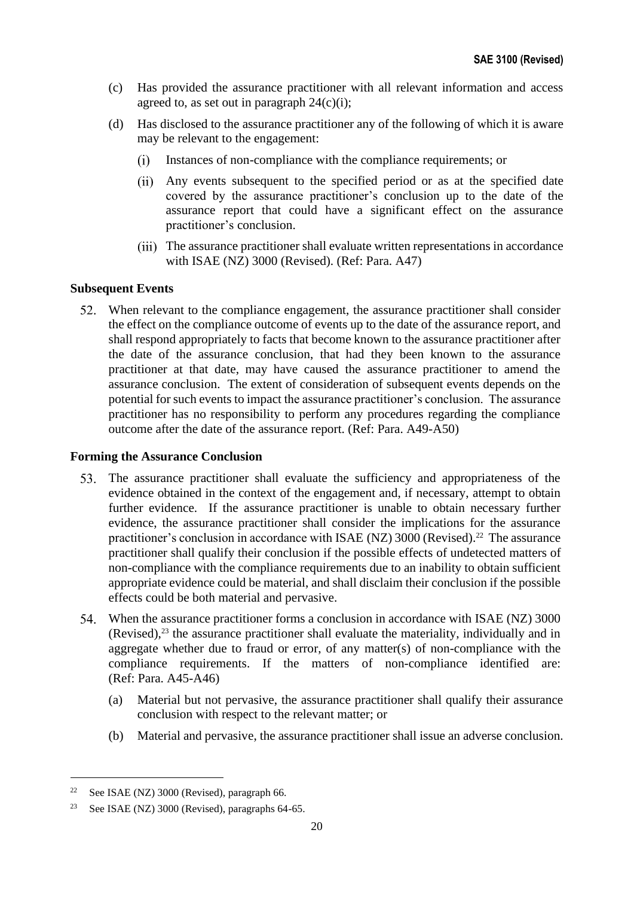- (c) Has provided the assurance practitioner with all relevant information and access agreed to, as set out in paragraph  $24(c)(i)$ ;
- (d) Has disclosed to the assurance practitioner any of the following of which it is aware may be relevant to the engagement:
	- Instances of non-compliance with the compliance requirements; or  $(i)$
	- Any events subsequent to the specified period or as at the specified date covered by the assurance practitioner's conclusion up to the date of the assurance report that could have a significant effect on the assurance practitioner's conclusion.
	- The assurance practitioner shall evaluate written representations in accordance with ISAE (NZ) 3000 (Revised). (Ref: Para. A47)

# **Subsequent Events**

When relevant to the compliance engagement, the assurance practitioner shall consider the effect on the compliance outcome of events up to the date of the assurance report, and shall respond appropriately to facts that become known to the assurance practitioner after the date of the assurance conclusion, that had they been known to the assurance practitioner at that date, may have caused the assurance practitioner to amend the assurance conclusion. The extent of consideration of subsequent events depends on the potential for such events to impact the assurance practitioner's conclusion. The assurance practitioner has no responsibility to perform any procedures regarding the compliance outcome after the date of the assurance report. (Ref: Para. A49-A50)

### **Forming the Assurance Conclusion**

- The assurance practitioner shall evaluate the sufficiency and appropriateness of the evidence obtained in the context of the engagement and, if necessary, attempt to obtain further evidence. If the assurance practitioner is unable to obtain necessary further evidence, the assurance practitioner shall consider the implications for the assurance practitioner's conclusion in accordance with ISAE (NZ) 3000 (Revised).<sup>22</sup> The assurance practitioner shall qualify their conclusion if the possible effects of undetected matters of non-compliance with the compliance requirements due to an inability to obtain sufficient appropriate evidence could be material, and shall disclaim their conclusion if the possible effects could be both material and pervasive.
- When the assurance practitioner forms a conclusion in accordance with ISAE (NZ) 3000 (Revised), <sup>23</sup> the assurance practitioner shall evaluate the materiality, individually and in aggregate whether due to fraud or error, of any matter(s) of non-compliance with the compliance requirements. If the matters of non-compliance identified are: (Ref: Para. A45-A46)
	- (a) Material but not pervasive, the assurance practitioner shall qualify their assurance conclusion with respect to the relevant matter; or
	- (b) Material and pervasive, the assurance practitioner shall issue an adverse conclusion.

<sup>22</sup> See ISAE (NZ) 3000 (Revised), paragraph 66.

<sup>&</sup>lt;sup>23</sup> See ISAE (NZ) 3000 (Revised), paragraphs  $64-65$ .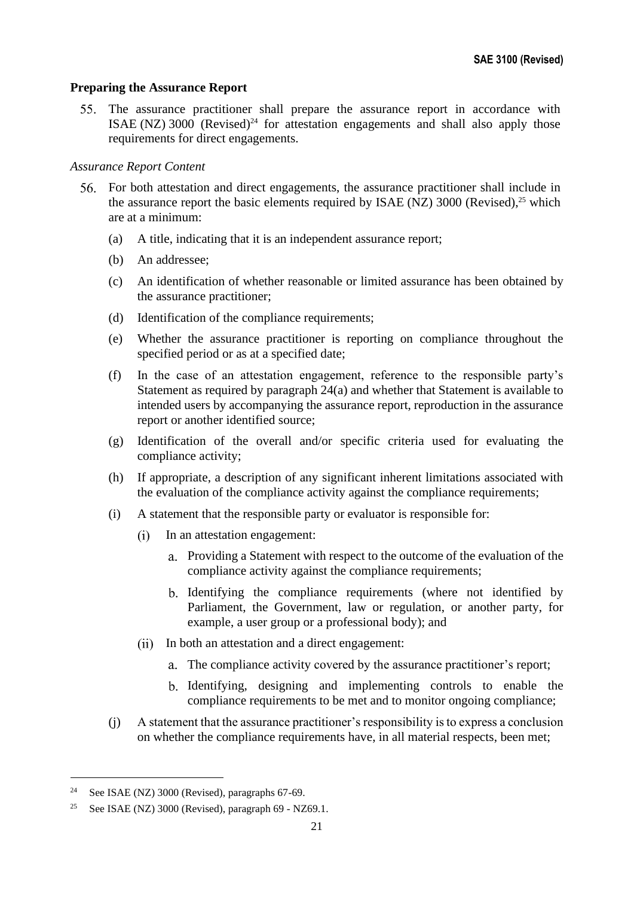# **Preparing the Assurance Report**

55. The assurance practitioner shall prepare the assurance report in accordance with ISAE (NZ) 3000 (Revised)<sup>24</sup> for attestation engagements and shall also apply those requirements for direct engagements.

### *Assurance Report Content*

- For both attestation and direct engagements, the assurance practitioner shall include in the assurance report the basic elements required by ISAE (NZ)  $3000$  (Revised),<sup>25</sup> which are at a minimum:
	- (a) A title, indicating that it is an independent assurance report;
	- (b) An addressee;
	- (c) An identification of whether reasonable or limited assurance has been obtained by the assurance practitioner;
	- (d) Identification of the compliance requirements;
	- (e) Whether the assurance practitioner is reporting on compliance throughout the specified period or as at a specified date;
	- (f) In the case of an attestation engagement, reference to the responsible party's Statement as required by paragraph 24(a) and whether that Statement is available to intended users by accompanying the assurance report, reproduction in the assurance report or another identified source;
	- (g) Identification of the overall and/or specific criteria used for evaluating the compliance activity;
	- (h) If appropriate, a description of any significant inherent limitations associated with the evaluation of the compliance activity against the compliance requirements;
	- (i) A statement that the responsible party or evaluator is responsible for:
		- In an attestation engagement:  $(i)$ 
			- Providing a Statement with respect to the outcome of the evaluation of the compliance activity against the compliance requirements;
			- b. Identifying the compliance requirements (where not identified by Parliament, the Government, law or regulation, or another party, for example, a user group or a professional body); and
		- (ii) In both an attestation and a direct engagement:
			- The compliance activity covered by the assurance practitioner's report;
			- b. Identifying, designing and implementing controls to enable the compliance requirements to be met and to monitor ongoing compliance;
	- (j) A statement that the assurance practitioner's responsibility is to express a conclusion on whether the compliance requirements have, in all material respects, been met;

<sup>24</sup> See ISAE (NZ) 3000 (Revised), paragraphs 67-69.

<sup>&</sup>lt;sup>25</sup> See ISAE (NZ) 3000 (Revised), paragraph  $69$  - NZ69.1.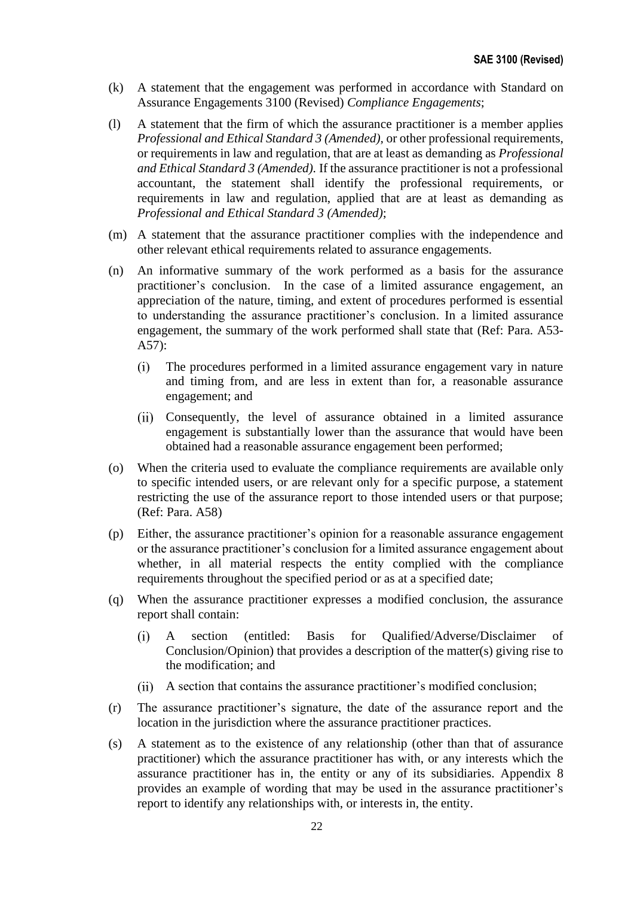- (k) A statement that the engagement was performed in accordance with Standard on Assurance Engagements 3100 (Revised) *Compliance Engagements*;
- (l) A statement that the firm of which the assurance practitioner is a member applies *Professional and Ethical Standard 3 (Amended),* or other professional requirements, or requirements in law and regulation, that are at least as demanding as *Professional and Ethical Standard 3 (Amended).* If the assurance practitioner is not a professional accountant, the statement shall identify the professional requirements, or requirements in law and regulation, applied that are at least as demanding as *Professional and Ethical Standard 3 (Amended)*;
- (m) A statement that the assurance practitioner complies with the independence and other relevant ethical requirements related to assurance engagements.
- (n) An informative summary of the work performed as a basis for the assurance practitioner's conclusion. In the case of a limited assurance engagement, an appreciation of the nature, timing, and extent of procedures performed is essential to understanding the assurance practitioner's conclusion. In a limited assurance engagement, the summary of the work performed shall state that (Ref: Para. A53- A57):
	- $(i)$ The procedures performed in a limited assurance engagement vary in nature and timing from, and are less in extent than for, a reasonable assurance engagement; and
	- Consequently, the level of assurance obtained in a limited assurance engagement is substantially lower than the assurance that would have been obtained had a reasonable assurance engagement been performed;
- (o) When the criteria used to evaluate the compliance requirements are available only to specific intended users, or are relevant only for a specific purpose, a statement restricting the use of the assurance report to those intended users or that purpose; (Ref: Para. A58)
- (p) Either, the assurance practitioner's opinion for a reasonable assurance engagement or the assurance practitioner's conclusion for a limited assurance engagement about whether, in all material respects the entity complied with the compliance requirements throughout the specified period or as at a specified date;
- (q) When the assurance practitioner expresses a modified conclusion, the assurance report shall contain:
	- A section (entitled: Basis for Qualified/Adverse/Disclaimer of  $(i)$ Conclusion/Opinion) that provides a description of the matter(s) giving rise to the modification; and
	- A section that contains the assurance practitioner's modified conclusion;
- (r) The assurance practitioner's signature, the date of the assurance report and the location in the jurisdiction where the assurance practitioner practices.
- (s) A statement as to the existence of any relationship (other than that of assurance practitioner) which the assurance practitioner has with, or any interests which the assurance practitioner has in, the entity or any of its subsidiaries. Appendix 8 provides an example of wording that may be used in the assurance practitioner's report to identify any relationships with, or interests in, the entity.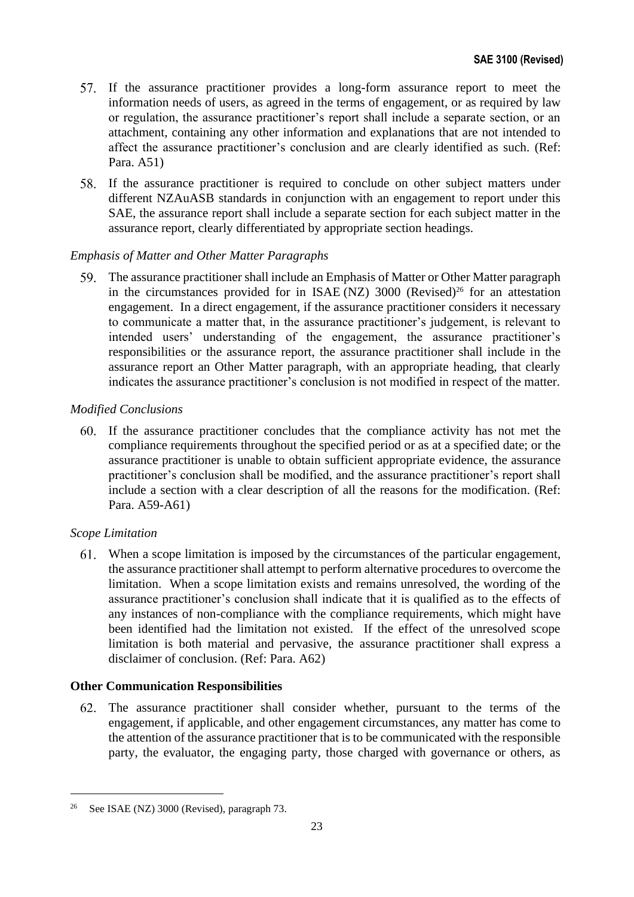- If the assurance practitioner provides a long-form assurance report to meet the information needs of users, as agreed in the terms of engagement, or as required by law or regulation, the assurance practitioner's report shall include a separate section, or an attachment, containing any other information and explanations that are not intended to affect the assurance practitioner's conclusion and are clearly identified as such. (Ref: Para. A51)
- 58. If the assurance practitioner is required to conclude on other subject matters under different NZAuASB standards in conjunction with an engagement to report under this SAE, the assurance report shall include a separate section for each subject matter in the assurance report, clearly differentiated by appropriate section headings.

### *Emphasis of Matter and Other Matter Paragraphs*

The assurance practitioner shall include an Emphasis of Matter or Other Matter paragraph in the circumstances provided for in ISAE (NZ) 3000 (Revised)<sup>26</sup> for an attestation engagement. In a direct engagement, if the assurance practitioner considers it necessary to communicate a matter that, in the assurance practitioner's judgement, is relevant to intended users' understanding of the engagement, the assurance practitioner's responsibilities or the assurance report, the assurance practitioner shall include in the assurance report an Other Matter paragraph, with an appropriate heading, that clearly indicates the assurance practitioner's conclusion is not modified in respect of the matter.

### *Modified Conclusions*

If the assurance practitioner concludes that the compliance activity has not met the compliance requirements throughout the specified period or as at a specified date; or the assurance practitioner is unable to obtain sufficient appropriate evidence, the assurance practitioner's conclusion shall be modified, and the assurance practitioner's report shall include a section with a clear description of all the reasons for the modification. (Ref: Para. A59-A61)

### *Scope Limitation*

When a scope limitation is imposed by the circumstances of the particular engagement, the assurance practitioner shall attempt to perform alternative procedures to overcome the limitation. When a scope limitation exists and remains unresolved, the wording of the assurance practitioner's conclusion shall indicate that it is qualified as to the effects of any instances of non-compliance with the compliance requirements, which might have been identified had the limitation not existed. If the effect of the unresolved scope limitation is both material and pervasive, the assurance practitioner shall express a disclaimer of conclusion. (Ref: Para. A62)

# **Other Communication Responsibilities**

The assurance practitioner shall consider whether, pursuant to the terms of the engagement, if applicable, and other engagement circumstances, any matter has come to the attention of the assurance practitioner that is to be communicated with the responsible party, the evaluator, the engaging party, those charged with governance or others, as

<sup>26</sup> See ISAE (NZ) 3000 (Revised), paragraph 73.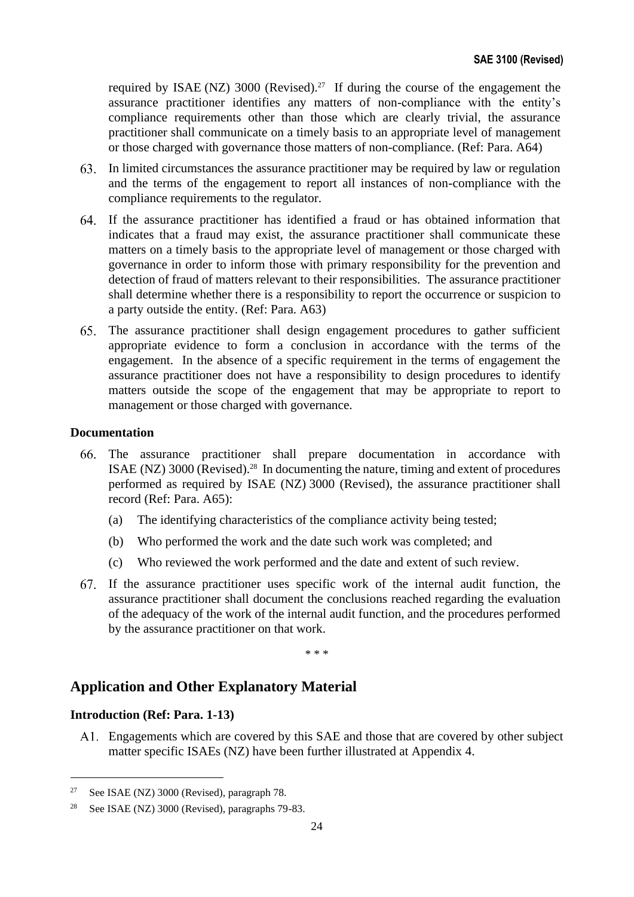required by ISAE (NZ) 3000 (Revised).<sup>27</sup> If during the course of the engagement the assurance practitioner identifies any matters of non-compliance with the entity's compliance requirements other than those which are clearly trivial, the assurance practitioner shall communicate on a timely basis to an appropriate level of management or those charged with governance those matters of non-compliance. (Ref: Para. A64)

- In limited circumstances the assurance practitioner may be required by law or regulation and the terms of the engagement to report all instances of non-compliance with the compliance requirements to the regulator.
- If the assurance practitioner has identified a fraud or has obtained information that indicates that a fraud may exist, the assurance practitioner shall communicate these matters on a timely basis to the appropriate level of management or those charged with governance in order to inform those with primary responsibility for the prevention and detection of fraud of matters relevant to their responsibilities. The assurance practitioner shall determine whether there is a responsibility to report the occurrence or suspicion to a party outside the entity. (Ref: Para. A63)
- The assurance practitioner shall design engagement procedures to gather sufficient appropriate evidence to form a conclusion in accordance with the terms of the engagement. In the absence of a specific requirement in the terms of engagement the assurance practitioner does not have a responsibility to design procedures to identify matters outside the scope of the engagement that may be appropriate to report to management or those charged with governance.

### **Documentation**

- The assurance practitioner shall prepare documentation in accordance with ISAE (NZ) 3000 (Revised). 28 In documenting the nature, timing and extent of procedures performed as required by ISAE (NZ) 3000 (Revised), the assurance practitioner shall record (Ref: Para. A65):
	- (a) The identifying characteristics of the compliance activity being tested;
	- (b) Who performed the work and the date such work was completed; and
	- (c) Who reviewed the work performed and the date and extent of such review.
- If the assurance practitioner uses specific work of the internal audit function, the assurance practitioner shall document the conclusions reached regarding the evaluation of the adequacy of the work of the internal audit function, and the procedures performed by the assurance practitioner on that work.

\* \* \*

# **Application and Other Explanatory Material**

### **Introduction (Ref: Para. 1-13)**

Engagements which are covered by this SAE and those that are covered by other subject matter specific ISAEs (NZ) have been further illustrated at Appendix 4.

<sup>27</sup> See ISAE (NZ) 3000 (Revised), paragraph 78.

<sup>28</sup> See ISAE (NZ) 3000 (Revised), paragraphs 79-83.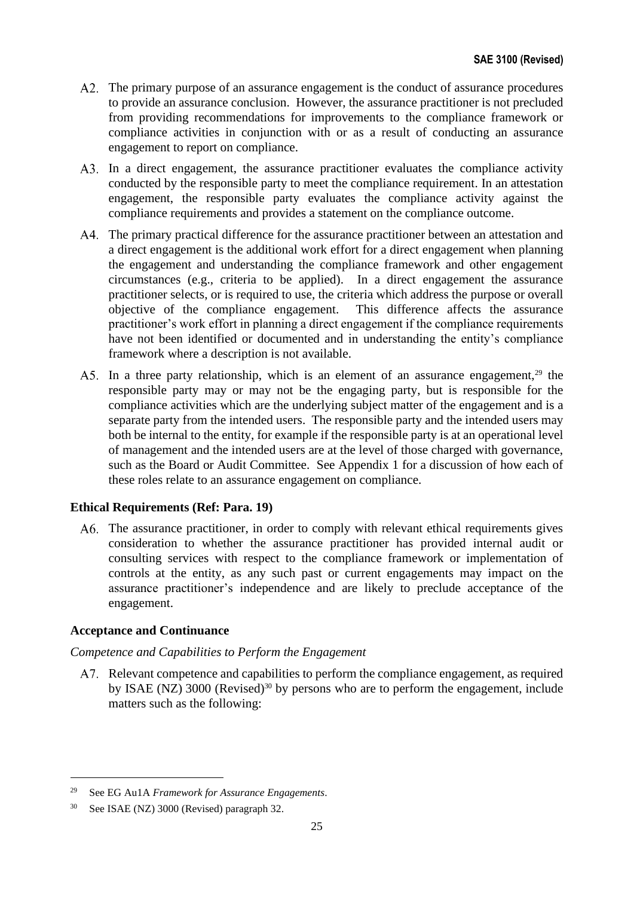- A2. The primary purpose of an assurance engagement is the conduct of assurance procedures to provide an assurance conclusion. However, the assurance practitioner is not precluded from providing recommendations for improvements to the compliance framework or compliance activities in conjunction with or as a result of conducting an assurance engagement to report on compliance.
- A3. In a direct engagement, the assurance practitioner evaluates the compliance activity conducted by the responsible party to meet the compliance requirement. In an attestation engagement, the responsible party evaluates the compliance activity against the compliance requirements and provides a statement on the compliance outcome.
- A4. The primary practical difference for the assurance practitioner between an attestation and a direct engagement is the additional work effort for a direct engagement when planning the engagement and understanding the compliance framework and other engagement circumstances (e.g., criteria to be applied). In a direct engagement the assurance practitioner selects, or is required to use, the criteria which address the purpose or overall objective of the compliance engagement. This difference affects the assurance practitioner's work effort in planning a direct engagement if the compliance requirements have not been identified or documented and in understanding the entity's compliance framework where a description is not available.
- A5. In a three party relationship, which is an element of an assurance engagement, $29$  the responsible party may or may not be the engaging party, but is responsible for the compliance activities which are the underlying subject matter of the engagement and is a separate party from the intended users. The responsible party and the intended users may both be internal to the entity, for example if the responsible party is at an operational level of management and the intended users are at the level of those charged with governance, such as the Board or Audit Committee. See Appendix 1 for a discussion of how each of these roles relate to an assurance engagement on compliance.

### **Ethical Requirements (Ref: Para. 19)**

A6. The assurance practitioner, in order to comply with relevant ethical requirements gives consideration to whether the assurance practitioner has provided internal audit or consulting services with respect to the compliance framework or implementation of controls at the entity, as any such past or current engagements may impact on the assurance practitioner's independence and are likely to preclude acceptance of the engagement.

# **Acceptance and Continuance**

### *Competence and Capabilities to Perform the Engagement*

Relevant competence and capabilities to perform the compliance engagement, as required by ISAE (NZ) 3000 (Revised)<sup>30</sup> by persons who are to perform the engagement, include matters such as the following:

<sup>29</sup> See EG Au1A *Framework for Assurance Engagements*.

<sup>30</sup> See ISAE (NZ) 3000 (Revised) paragraph 32.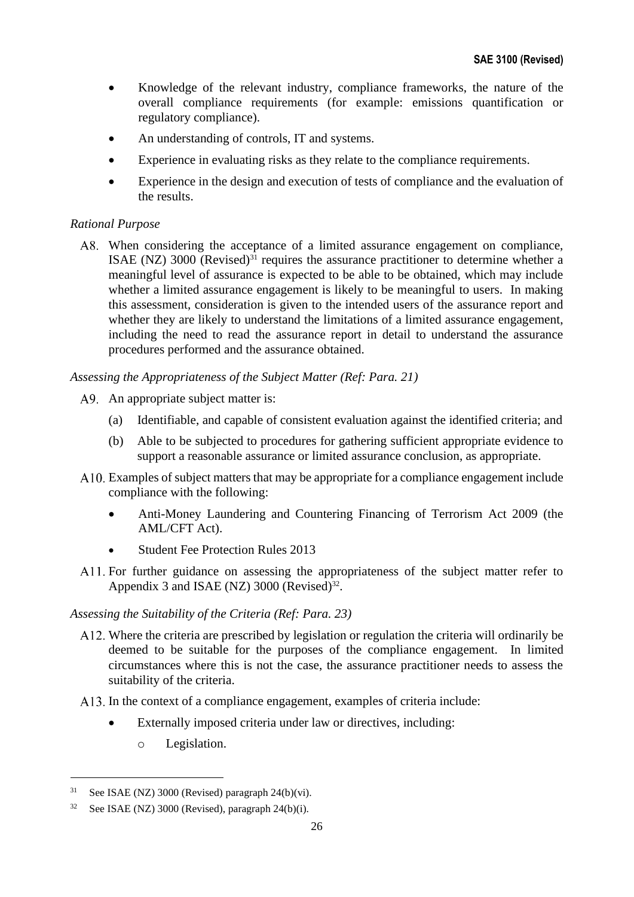- Knowledge of the relevant industry, compliance frameworks, the nature of the overall compliance requirements (for example: emissions quantification or regulatory compliance).
- An understanding of controls, IT and systems.
- Experience in evaluating risks as they relate to the compliance requirements.
- Experience in the design and execution of tests of compliance and the evaluation of the results.

# *Rational Purpose*

A8. When considering the acceptance of a limited assurance engagement on compliance, ISAE (NZ)  $3000$  (Revised)<sup>31</sup> requires the assurance practitioner to determine whether a meaningful level of assurance is expected to be able to be obtained, which may include whether a limited assurance engagement is likely to be meaningful to users. In making this assessment, consideration is given to the intended users of the assurance report and whether they are likely to understand the limitations of a limited assurance engagement, including the need to read the assurance report in detail to understand the assurance procedures performed and the assurance obtained.

*Assessing the Appropriateness of the Subject Matter (Ref: Para. 21)*

- A9. An appropriate subject matter is:
	- (a) Identifiable, and capable of consistent evaluation against the identified criteria; and
	- (b) Able to be subjected to procedures for gathering sufficient appropriate evidence to support a reasonable assurance or limited assurance conclusion, as appropriate.
- Examples of subject matters that may be appropriate for a compliance engagement include compliance with the following:
	- Anti-Money Laundering and Countering Financing of Terrorism Act 2009 (the AML/CFT Act).
	- Student Fee Protection Rules 2013
- A11. For further guidance on assessing the appropriateness of the subject matter refer to Appendix 3 and ISAE (NZ) 3000 (Revised) $32$ .

# *Assessing the Suitability of the Criteria (Ref: Para. 23)*

- A12. Where the criteria are prescribed by legislation or regulation the criteria will ordinarily be deemed to be suitable for the purposes of the compliance engagement. In limited circumstances where this is not the case, the assurance practitioner needs to assess the suitability of the criteria.
- A13. In the context of a compliance engagement, examples of criteria include:
	- Externally imposed criteria under law or directives, including:
		- o Legislation.

 $31$  See ISAE (NZ) 3000 (Revised) paragraph 24(b)(vi).

 $32$  See ISAE (NZ) 3000 (Revised), paragraph 24(b)(i).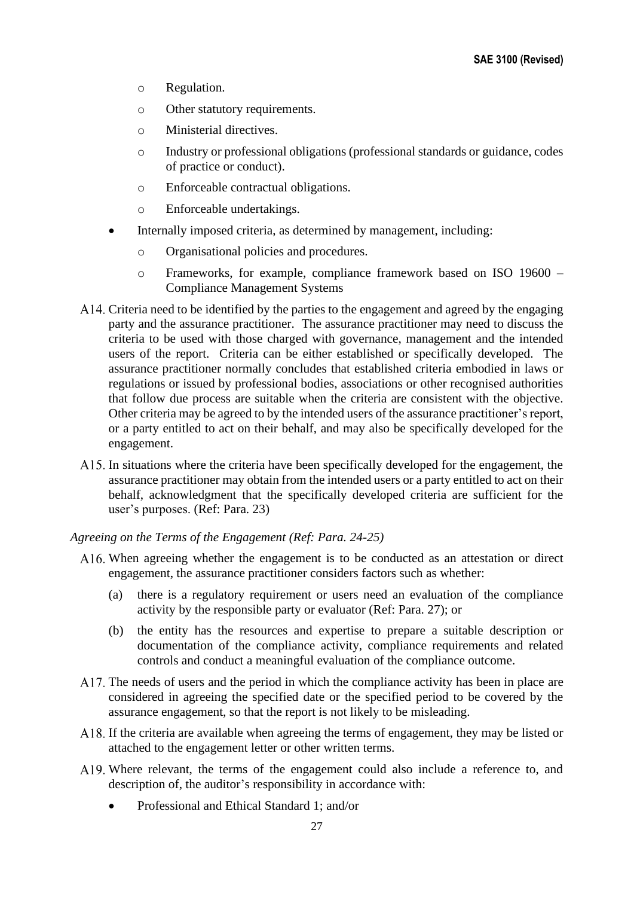- o Regulation.
- o Other statutory requirements.
- o Ministerial directives.
- o Industry or professional obligations (professional standards or guidance, codes of practice or conduct).
- o Enforceable contractual obligations.
- o Enforceable undertakings.
- Internally imposed criteria, as determined by management, including:
	- o Organisational policies and procedures.
	- o Frameworks, for example, compliance framework based on ISO 19600 Compliance Management Systems
- A14. Criteria need to be identified by the parties to the engagement and agreed by the engaging party and the assurance practitioner. The assurance practitioner may need to discuss the criteria to be used with those charged with governance, management and the intended users of the report. Criteria can be either established or specifically developed. The assurance practitioner normally concludes that established criteria embodied in laws or regulations or issued by professional bodies, associations or other recognised authorities that follow due process are suitable when the criteria are consistent with the objective. Other criteria may be agreed to by the intended users of the assurance practitioner's report, or a party entitled to act on their behalf, and may also be specifically developed for the engagement.
- A15. In situations where the criteria have been specifically developed for the engagement, the assurance practitioner may obtain from the intended users or a party entitled to act on their behalf, acknowledgment that the specifically developed criteria are sufficient for the user's purposes. (Ref: Para. 23)
- *Agreeing on the Terms of the Engagement (Ref: Para. 24-25)*
	- A16. When agreeing whether the engagement is to be conducted as an attestation or direct engagement, the assurance practitioner considers factors such as whether:
		- (a) there is a regulatory requirement or users need an evaluation of the compliance activity by the responsible party or evaluator (Ref: Para. 27); or
		- (b) the entity has the resources and expertise to prepare a suitable description or documentation of the compliance activity, compliance requirements and related controls and conduct a meaningful evaluation of the compliance outcome.
	- A17. The needs of users and the period in which the compliance activity has been in place are considered in agreeing the specified date or the specified period to be covered by the assurance engagement, so that the report is not likely to be misleading.
	- A18. If the criteria are available when agreeing the terms of engagement, they may be listed or attached to the engagement letter or other written terms.
	- A19. Where relevant, the terms of the engagement could also include a reference to, and description of, the auditor's responsibility in accordance with:
		- Professional and Ethical Standard 1; and/or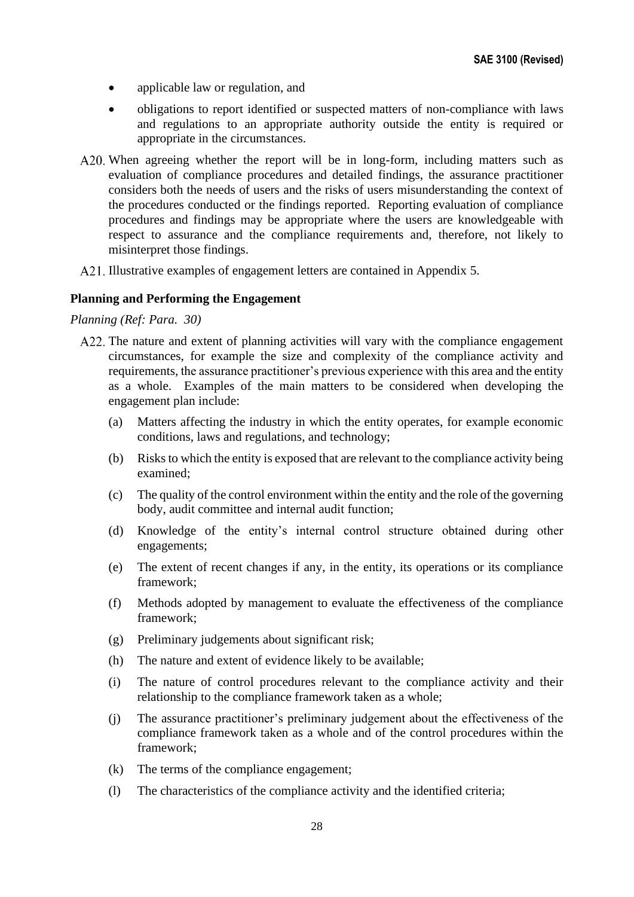- applicable law or regulation, and
- obligations to report identified or suspected matters of non-compliance with laws and regulations to an appropriate authority outside the entity is required or appropriate in the circumstances.
- A20. When agreeing whether the report will be in long-form, including matters such as evaluation of compliance procedures and detailed findings, the assurance practitioner considers both the needs of users and the risks of users misunderstanding the context of the procedures conducted or the findings reported. Reporting evaluation of compliance procedures and findings may be appropriate where the users are knowledgeable with respect to assurance and the compliance requirements and, therefore, not likely to misinterpret those findings.
- A21. Illustrative examples of engagement letters are contained in Appendix 5.

#### **Planning and Performing the Engagement**

#### *Planning (Ref: Para. 30)*

- A22. The nature and extent of planning activities will vary with the compliance engagement circumstances, for example the size and complexity of the compliance activity and requirements, the assurance practitioner's previous experience with this area and the entity as a whole. Examples of the main matters to be considered when developing the engagement plan include:
	- (a) Matters affecting the industry in which the entity operates, for example economic conditions, laws and regulations, and technology;
	- (b) Risks to which the entity is exposed that are relevant to the compliance activity being examined;
	- (c) The quality of the control environment within the entity and the role of the governing body, audit committee and internal audit function;
	- (d) Knowledge of the entity's internal control structure obtained during other engagements;
	- (e) The extent of recent changes if any, in the entity, its operations or its compliance framework;
	- (f) Methods adopted by management to evaluate the effectiveness of the compliance framework;
	- (g) Preliminary judgements about significant risk;
	- (h) The nature and extent of evidence likely to be available;
	- (i) The nature of control procedures relevant to the compliance activity and their relationship to the compliance framework taken as a whole;
	- (j) The assurance practitioner's preliminary judgement about the effectiveness of the compliance framework taken as a whole and of the control procedures within the framework;
	- (k) The terms of the compliance engagement;
	- (l) The characteristics of the compliance activity and the identified criteria;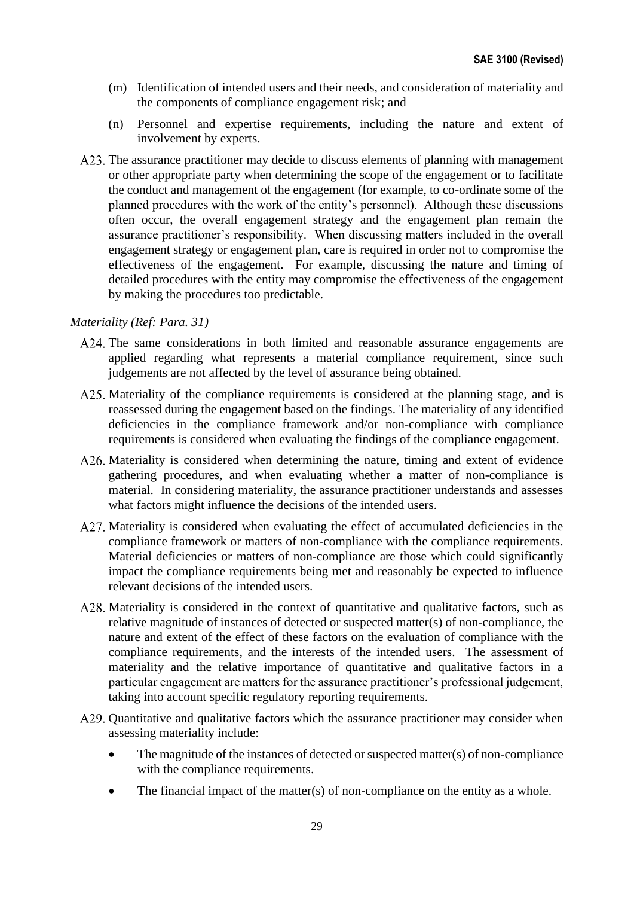- (m) Identification of intended users and their needs, and consideration of materiality and the components of compliance engagement risk; and
- (n) Personnel and expertise requirements, including the nature and extent of involvement by experts.
- A23. The assurance practitioner may decide to discuss elements of planning with management or other appropriate party when determining the scope of the engagement or to facilitate the conduct and management of the engagement (for example, to co-ordinate some of the planned procedures with the work of the entity's personnel). Although these discussions often occur, the overall engagement strategy and the engagement plan remain the assurance practitioner's responsibility. When discussing matters included in the overall engagement strategy or engagement plan, care is required in order not to compromise the effectiveness of the engagement. For example, discussing the nature and timing of detailed procedures with the entity may compromise the effectiveness of the engagement by making the procedures too predictable.

# *Materiality (Ref: Para. 31)*

- A24. The same considerations in both limited and reasonable assurance engagements are applied regarding what represents a material compliance requirement, since such judgements are not affected by the level of assurance being obtained.
- A25. Materiality of the compliance requirements is considered at the planning stage, and is reassessed during the engagement based on the findings. The materiality of any identified deficiencies in the compliance framework and/or non-compliance with compliance requirements is considered when evaluating the findings of the compliance engagement.
- A26. Materiality is considered when determining the nature, timing and extent of evidence gathering procedures, and when evaluating whether a matter of non-compliance is material. In considering materiality, the assurance practitioner understands and assesses what factors might influence the decisions of the intended users.
- A27. Materiality is considered when evaluating the effect of accumulated deficiencies in the compliance framework or matters of non-compliance with the compliance requirements. Material deficiencies or matters of non-compliance are those which could significantly impact the compliance requirements being met and reasonably be expected to influence relevant decisions of the intended users.
- A28. Materiality is considered in the context of quantitative and qualitative factors, such as relative magnitude of instances of detected or suspected matter(s) of non-compliance, the nature and extent of the effect of these factors on the evaluation of compliance with the compliance requirements, and the interests of the intended users. The assessment of materiality and the relative importance of quantitative and qualitative factors in a particular engagement are matters for the assurance practitioner's professional judgement, taking into account specific regulatory reporting requirements.
- A29. Quantitative and qualitative factors which the assurance practitioner may consider when assessing materiality include:
	- The magnitude of the instances of detected or suspected matter $(s)$  of non-compliance with the compliance requirements.
	- The financial impact of the matter(s) of non-compliance on the entity as a whole.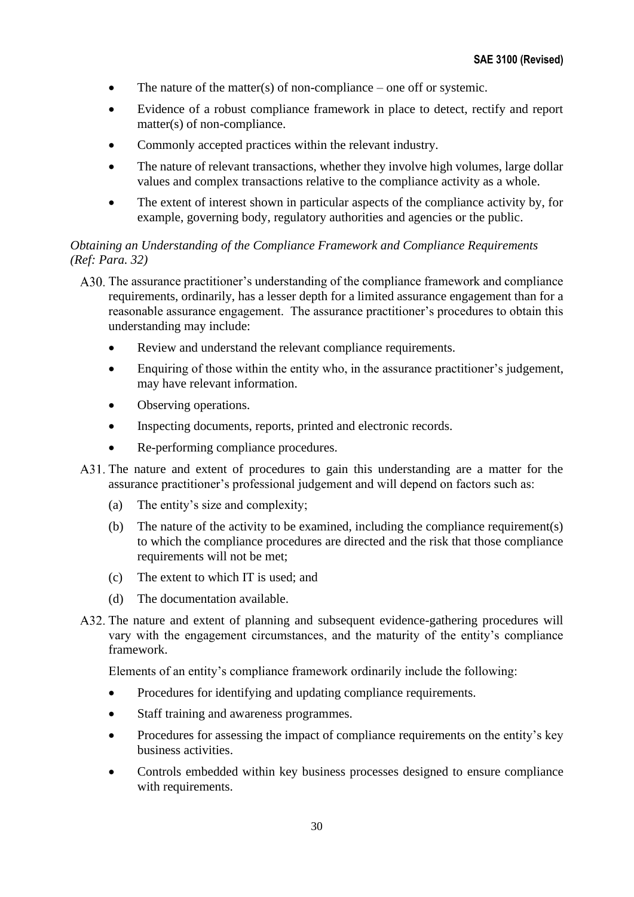- The nature of the matter(s) of non-compliance one off or systemic.
- Evidence of a robust compliance framework in place to detect, rectify and report matter(s) of non-compliance.
- Commonly accepted practices within the relevant industry.
- The nature of relevant transactions, whether they involve high volumes, large dollar values and complex transactions relative to the compliance activity as a whole.
- The extent of interest shown in particular aspects of the compliance activity by, for example, governing body, regulatory authorities and agencies or the public.

# *Obtaining an Understanding of the Compliance Framework and Compliance Requirements (Ref: Para. 32)*

- A30. The assurance practitioner's understanding of the compliance framework and compliance requirements, ordinarily, has a lesser depth for a limited assurance engagement than for a reasonable assurance engagement. The assurance practitioner's procedures to obtain this understanding may include:
	- Review and understand the relevant compliance requirements.
	- Enquiring of those within the entity who, in the assurance practitioner's judgement, may have relevant information.
	- Observing operations.
	- Inspecting documents, reports, printed and electronic records.
	- Re-performing compliance procedures.
- A31. The nature and extent of procedures to gain this understanding are a matter for the assurance practitioner's professional judgement and will depend on factors such as:
	- (a) The entity's size and complexity;
	- (b) The nature of the activity to be examined, including the compliance requirement(s) to which the compliance procedures are directed and the risk that those compliance requirements will not be met;
	- (c) The extent to which IT is used; and
	- (d) The documentation available.
- A32. The nature and extent of planning and subsequent evidence-gathering procedures will vary with the engagement circumstances, and the maturity of the entity's compliance framework.

Elements of an entity's compliance framework ordinarily include the following:

- Procedures for identifying and updating compliance requirements.
- Staff training and awareness programmes.
- Procedures for assessing the impact of compliance requirements on the entity's key business activities.
- Controls embedded within key business processes designed to ensure compliance with requirements.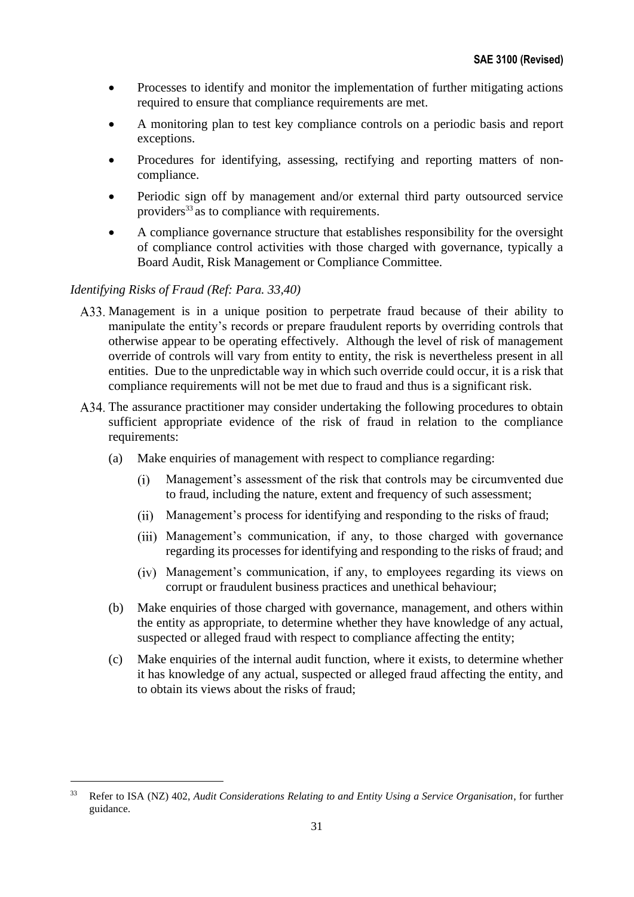- Processes to identify and monitor the implementation of further mitigating actions required to ensure that compliance requirements are met.
- A monitoring plan to test key compliance controls on a periodic basis and report exceptions.
- Procedures for identifying, assessing, rectifying and reporting matters of noncompliance.
- Periodic sign off by management and/or external third party outsourced service providers<sup>33</sup> as to compliance with requirements.
- A compliance governance structure that establishes responsibility for the oversight of compliance control activities with those charged with governance, typically a Board Audit, Risk Management or Compliance Committee.

# *Identifying Risks of Fraud (Ref: Para. 33,40)*

- A33. Management is in a unique position to perpetrate fraud because of their ability to manipulate the entity's records or prepare fraudulent reports by overriding controls that otherwise appear to be operating effectively. Although the level of risk of management override of controls will vary from entity to entity, the risk is nevertheless present in all entities. Due to the unpredictable way in which such override could occur, it is a risk that compliance requirements will not be met due to fraud and thus is a significant risk.
- A34. The assurance practitioner may consider undertaking the following procedures to obtain sufficient appropriate evidence of the risk of fraud in relation to the compliance requirements:
	- (a) Make enquiries of management with respect to compliance regarding:
		- $(i)$ Management's assessment of the risk that controls may be circumvented due to fraud, including the nature, extent and frequency of such assessment;
		- Management's process for identifying and responding to the risks of fraud;
		- (iii) Management's communication, if any, to those charged with governance regarding its processes for identifying and responding to the risks of fraud; and
		- Management's communication, if any, to employees regarding its views on corrupt or fraudulent business practices and unethical behaviour;
	- (b) Make enquiries of those charged with governance, management, and others within the entity as appropriate, to determine whether they have knowledge of any actual, suspected or alleged fraud with respect to compliance affecting the entity;
	- (c) Make enquiries of the internal audit function, where it exists, to determine whether it has knowledge of any actual, suspected or alleged fraud affecting the entity, and to obtain its views about the risks of fraud;

<sup>33</sup> Refer to ISA (NZ) 402, *Audit Considerations Relating to and Entity Using a Service Organisation*, for further guidance.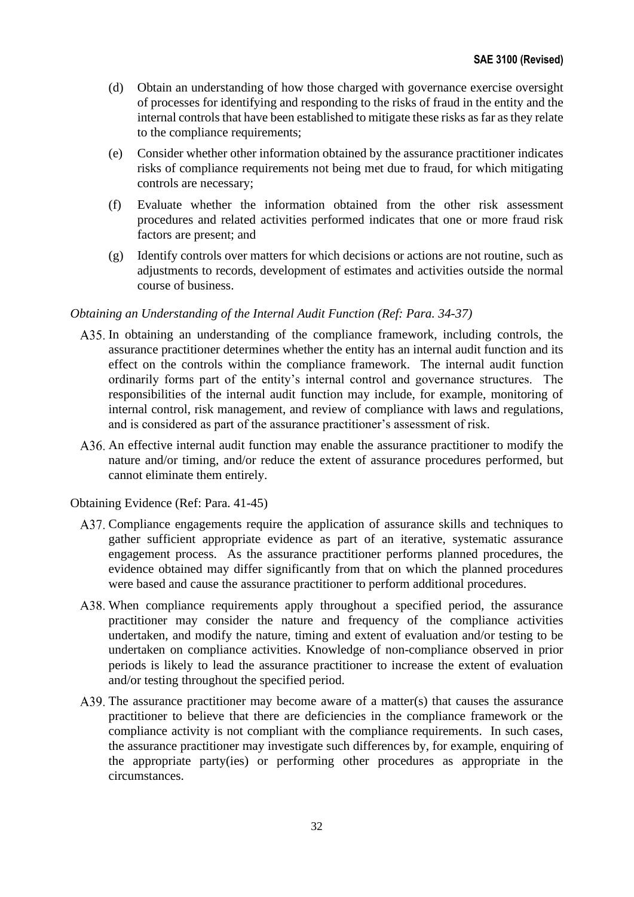- (d) Obtain an understanding of how those charged with governance exercise oversight of processes for identifying and responding to the risks of fraud in the entity and the internal controls that have been established to mitigate these risks as far as they relate to the compliance requirements;
- (e) Consider whether other information obtained by the assurance practitioner indicates risks of compliance requirements not being met due to fraud, for which mitigating controls are necessary;
- (f) Evaluate whether the information obtained from the other risk assessment procedures and related activities performed indicates that one or more fraud risk factors are present; and
- (g) Identify controls over matters for which decisions or actions are not routine, such as adjustments to records, development of estimates and activities outside the normal course of business.

#### *Obtaining an Understanding of the Internal Audit Function (Ref: Para. 34-37)*

- A35. In obtaining an understanding of the compliance framework, including controls, the assurance practitioner determines whether the entity has an internal audit function and its effect on the controls within the compliance framework. The internal audit function ordinarily forms part of the entity's internal control and governance structures. The responsibilities of the internal audit function may include, for example, monitoring of internal control, risk management, and review of compliance with laws and regulations, and is considered as part of the assurance practitioner's assessment of risk.
- A36. An effective internal audit function may enable the assurance practitioner to modify the nature and/or timing, and/or reduce the extent of assurance procedures performed, but cannot eliminate them entirely.

#### Obtaining Evidence (Ref: Para. 41-45)

- A37. Compliance engagements require the application of assurance skills and techniques to gather sufficient appropriate evidence as part of an iterative, systematic assurance engagement process. As the assurance practitioner performs planned procedures, the evidence obtained may differ significantly from that on which the planned procedures were based and cause the assurance practitioner to perform additional procedures.
- A38. When compliance requirements apply throughout a specified period, the assurance practitioner may consider the nature and frequency of the compliance activities undertaken, and modify the nature, timing and extent of evaluation and/or testing to be undertaken on compliance activities. Knowledge of non-compliance observed in prior periods is likely to lead the assurance practitioner to increase the extent of evaluation and/or testing throughout the specified period.
- A39. The assurance practitioner may become aware of a matter $(s)$  that causes the assurance practitioner to believe that there are deficiencies in the compliance framework or the compliance activity is not compliant with the compliance requirements. In such cases, the assurance practitioner may investigate such differences by, for example, enquiring of the appropriate party(ies) or performing other procedures as appropriate in the circumstances.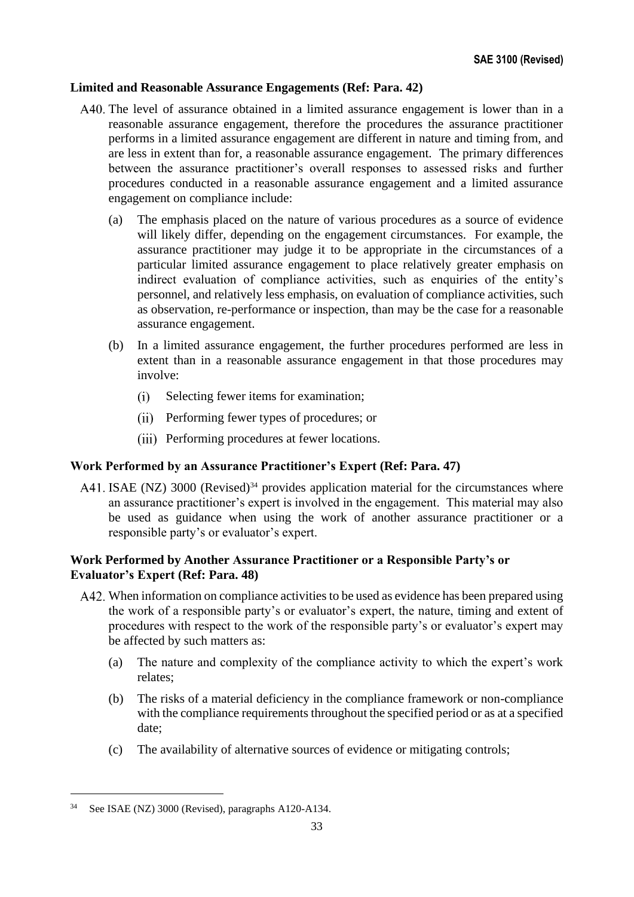# **Limited and Reasonable Assurance Engagements (Ref: Para. 42)**

- A40. The level of assurance obtained in a limited assurance engagement is lower than in a reasonable assurance engagement, therefore the procedures the assurance practitioner performs in a limited assurance engagement are different in nature and timing from, and are less in extent than for, a reasonable assurance engagement. The primary differences between the assurance practitioner's overall responses to assessed risks and further procedures conducted in a reasonable assurance engagement and a limited assurance engagement on compliance include:
	- (a) The emphasis placed on the nature of various procedures as a source of evidence will likely differ, depending on the engagement circumstances. For example, the assurance practitioner may judge it to be appropriate in the circumstances of a particular limited assurance engagement to place relatively greater emphasis on indirect evaluation of compliance activities, such as enquiries of the entity's personnel, and relatively less emphasis, on evaluation of compliance activities, such as observation, re-performance or inspection, than may be the case for a reasonable assurance engagement.
	- (b) In a limited assurance engagement, the further procedures performed are less in extent than in a reasonable assurance engagement in that those procedures may involve:
		- Selecting fewer items for examination;  $(i)$
		- Performing fewer types of procedures; or
		- (iii) Performing procedures at fewer locations.

# **Work Performed by an Assurance Practitioner's Expert (Ref: Para. 47)**

A41. ISAE (NZ) 3000 (Revised) $34$  provides application material for the circumstances where an assurance practitioner's expert is involved in the engagement. This material may also be used as guidance when using the work of another assurance practitioner or a responsible party's or evaluator's expert.

# **Work Performed by Another Assurance Practitioner or a Responsible Party's or Evaluator's Expert (Ref: Para. 48)**

- A42. When information on compliance activities to be used as evidence has been prepared using the work of a responsible party's or evaluator's expert, the nature, timing and extent of procedures with respect to the work of the responsible party's or evaluator's expert may be affected by such matters as:
	- (a) The nature and complexity of the compliance activity to which the expert's work relates;
	- (b) The risks of a material deficiency in the compliance framework or non-compliance with the compliance requirements throughout the specified period or as at a specified date;
	- (c) The availability of alternative sources of evidence or mitigating controls;

<sup>34</sup> See ISAE (NZ) 3000 (Revised), paragraphs A120-A134.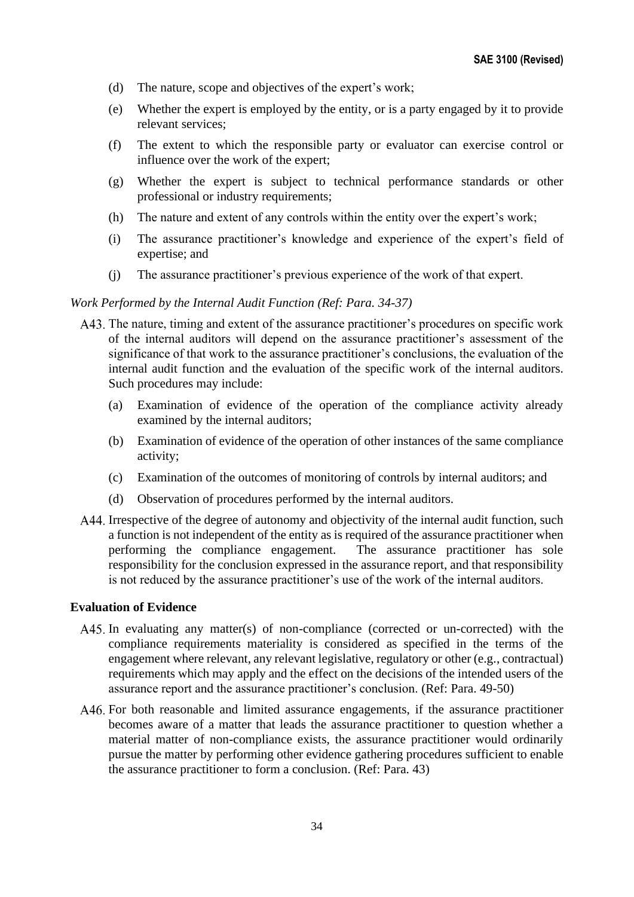- (d) The nature, scope and objectives of the expert's work;
- (e) Whether the expert is employed by the entity, or is a party engaged by it to provide relevant services;
- (f) The extent to which the responsible party or evaluator can exercise control or influence over the work of the expert;
- (g) Whether the expert is subject to technical performance standards or other professional or industry requirements;
- (h) The nature and extent of any controls within the entity over the expert's work;
- (i) The assurance practitioner's knowledge and experience of the expert's field of expertise; and
- (j) The assurance practitioner's previous experience of the work of that expert.

#### *Work Performed by the Internal Audit Function (Ref: Para. 34-37)*

- A43. The nature, timing and extent of the assurance practitioner's procedures on specific work of the internal auditors will depend on the assurance practitioner's assessment of the significance of that work to the assurance practitioner's conclusions, the evaluation of the internal audit function and the evaluation of the specific work of the internal auditors. Such procedures may include:
	- (a) Examination of evidence of the operation of the compliance activity already examined by the internal auditors;
	- (b) Examination of evidence of the operation of other instances of the same compliance activity;
	- (c) Examination of the outcomes of monitoring of controls by internal auditors; and
	- (d) Observation of procedures performed by the internal auditors.
- A44. Irrespective of the degree of autonomy and objectivity of the internal audit function, such a function is not independent of the entity as is required of the assurance practitioner when performing the compliance engagement. The assurance practitioner has sole responsibility for the conclusion expressed in the assurance report, and that responsibility is not reduced by the assurance practitioner's use of the work of the internal auditors.

#### **Evaluation of Evidence**

- A45. In evaluating any matter(s) of non-compliance (corrected or un-corrected) with the compliance requirements materiality is considered as specified in the terms of the engagement where relevant, any relevant legislative, regulatory or other (e.g., contractual) requirements which may apply and the effect on the decisions of the intended users of the assurance report and the assurance practitioner's conclusion. (Ref: Para. 49-50)
- A46. For both reasonable and limited assurance engagements, if the assurance practitioner becomes aware of a matter that leads the assurance practitioner to question whether a material matter of non-compliance exists, the assurance practitioner would ordinarily pursue the matter by performing other evidence gathering procedures sufficient to enable the assurance practitioner to form a conclusion. (Ref: Para. 43)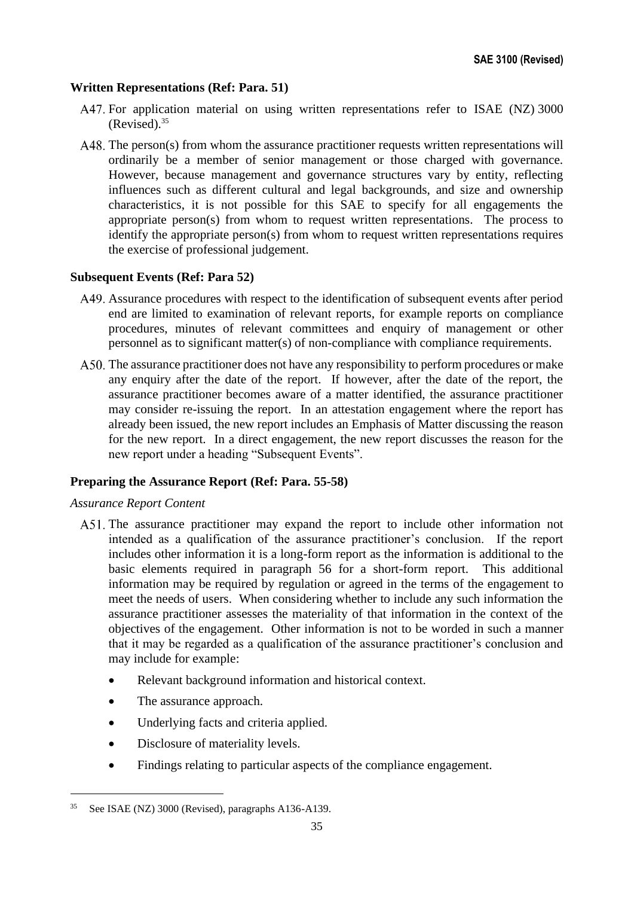# **Written Representations (Ref: Para. 51)**

- A47. For application material on using written representations refer to ISAE (NZ) 3000 (Revised). 35
- A48. The person(s) from whom the assurance practitioner requests written representations will ordinarily be a member of senior management or those charged with governance. However, because management and governance structures vary by entity, reflecting influences such as different cultural and legal backgrounds, and size and ownership characteristics, it is not possible for this SAE to specify for all engagements the appropriate person(s) from whom to request written representations. The process to identify the appropriate person(s) from whom to request written representations requires the exercise of professional judgement.

### **Subsequent Events (Ref: Para 52)**

- A49. Assurance procedures with respect to the identification of subsequent events after period end are limited to examination of relevant reports, for example reports on compliance procedures, minutes of relevant committees and enquiry of management or other personnel as to significant matter(s) of non-compliance with compliance requirements.
- A 50. The assurance practitioner does not have any responsibility to perform procedures or make any enquiry after the date of the report. If however, after the date of the report, the assurance practitioner becomes aware of a matter identified, the assurance practitioner may consider re-issuing the report. In an attestation engagement where the report has already been issued, the new report includes an Emphasis of Matter discussing the reason for the new report. In a direct engagement, the new report discusses the reason for the new report under a heading "Subsequent Events".

### **Preparing the Assurance Report (Ref: Para. 55-58)**

### *Assurance Report Content*

- A51. The assurance practitioner may expand the report to include other information not intended as a qualification of the assurance practitioner's conclusion. If the report includes other information it is a long-form report as the information is additional to the basic elements required in paragraph 56 for a short-form report. This additional information may be required by regulation or agreed in the terms of the engagement to meet the needs of users. When considering whether to include any such information the assurance practitioner assesses the materiality of that information in the context of the objectives of the engagement. Other information is not to be worded in such a manner that it may be regarded as a qualification of the assurance practitioner's conclusion and may include for example:
	- Relevant background information and historical context.
	- The assurance approach.
	- Underlying facts and criteria applied.
	- Disclosure of materiality levels.
	- Findings relating to particular aspects of the compliance engagement.

See ISAE (NZ) 3000 (Revised), paragraphs A136-A139.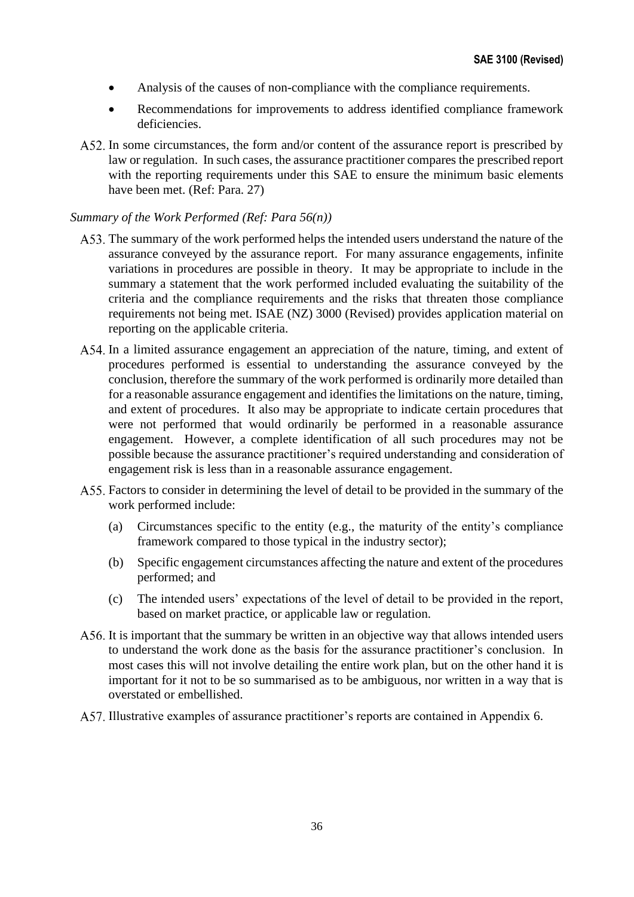- Analysis of the causes of non-compliance with the compliance requirements.
- Recommendations for improvements to address identified compliance framework deficiencies.
- A52. In some circumstances, the form and/or content of the assurance report is prescribed by law or regulation. In such cases, the assurance practitioner compares the prescribed report with the reporting requirements under this SAE to ensure the minimum basic elements have been met. (Ref: Para. 27)

#### *Summary of the Work Performed (Ref: Para 56(n))*

- A53. The summary of the work performed helps the intended users understand the nature of the assurance conveyed by the assurance report. For many assurance engagements, infinite variations in procedures are possible in theory. It may be appropriate to include in the summary a statement that the work performed included evaluating the suitability of the criteria and the compliance requirements and the risks that threaten those compliance requirements not being met. ISAE (NZ) 3000 (Revised) provides application material on reporting on the applicable criteria.
- A54. In a limited assurance engagement an appreciation of the nature, timing, and extent of procedures performed is essential to understanding the assurance conveyed by the conclusion, therefore the summary of the work performed is ordinarily more detailed than for a reasonable assurance engagement and identifies the limitations on the nature, timing, and extent of procedures. It also may be appropriate to indicate certain procedures that were not performed that would ordinarily be performed in a reasonable assurance engagement. However, a complete identification of all such procedures may not be possible because the assurance practitioner's required understanding and consideration of engagement risk is less than in a reasonable assurance engagement.
- A55. Factors to consider in determining the level of detail to be provided in the summary of the work performed include:
	- (a) Circumstances specific to the entity (e.g., the maturity of the entity's compliance framework compared to those typical in the industry sector);
	- (b) Specific engagement circumstances affecting the nature and extent of the procedures performed; and
	- (c) The intended users' expectations of the level of detail to be provided in the report, based on market practice, or applicable law or regulation.
- A56. It is important that the summary be written in an objective way that allows intended users to understand the work done as the basis for the assurance practitioner's conclusion. In most cases this will not involve detailing the entire work plan, but on the other hand it is important for it not to be so summarised as to be ambiguous, nor written in a way that is overstated or embellished.
- A57. Illustrative examples of assurance practitioner's reports are contained in Appendix 6.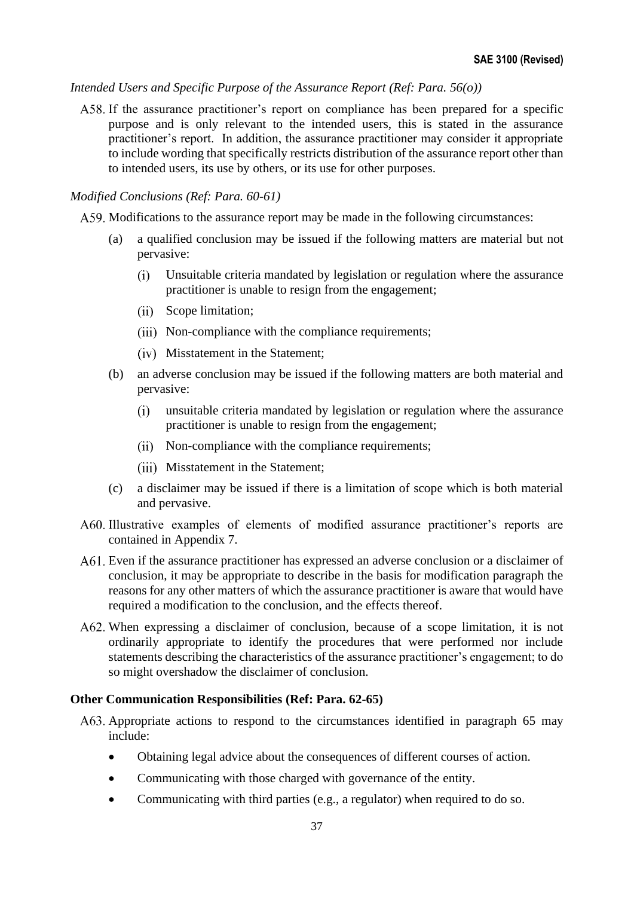### *Intended Users and Specific Purpose of the Assurance Report (Ref: Para. 56(o))*

A58. If the assurance practitioner's report on compliance has been prepared for a specific purpose and is only relevant to the intended users, this is stated in the assurance practitioner's report. In addition, the assurance practitioner may consider it appropriate to include wording that specifically restricts distribution of the assurance report other than to intended users, its use by others, or its use for other purposes.

#### *Modified Conclusions (Ref: Para. 60-61)*

A59. Modifications to the assurance report may be made in the following circumstances:

- (a) a qualified conclusion may be issued if the following matters are material but not pervasive:
	- $(i)$ Unsuitable criteria mandated by legislation or regulation where the assurance practitioner is unable to resign from the engagement;
	- (ii) Scope limitation;
	- (iii) Non-compliance with the compliance requirements;
	- Misstatement in the Statement;
- (b) an adverse conclusion may be issued if the following matters are both material and pervasive:
	- $(i)$ unsuitable criteria mandated by legislation or regulation where the assurance practitioner is unable to resign from the engagement;
	- Non-compliance with the compliance requirements;
	- (iii) Misstatement in the Statement;
- (c) a disclaimer may be issued if there is a limitation of scope which is both material and pervasive.
- A60. Illustrative examples of elements of modified assurance practitioner's reports are contained in Appendix 7.
- Even if the assurance practitioner has expressed an adverse conclusion or a disclaimer of conclusion, it may be appropriate to describe in the basis for modification paragraph the reasons for any other matters of which the assurance practitioner is aware that would have required a modification to the conclusion, and the effects thereof.
- When expressing a disclaimer of conclusion, because of a scope limitation, it is not ordinarily appropriate to identify the procedures that were performed nor include statements describing the characteristics of the assurance practitioner's engagement; to do so might overshadow the disclaimer of conclusion.

#### **Other Communication Responsibilities (Ref: Para. 62-65)**

- A63. Appropriate actions to respond to the circumstances identified in paragraph 65 may include:
	- Obtaining legal advice about the consequences of different courses of action.
	- Communicating with those charged with governance of the entity.
	- Communicating with third parties (e.g., a regulator) when required to do so.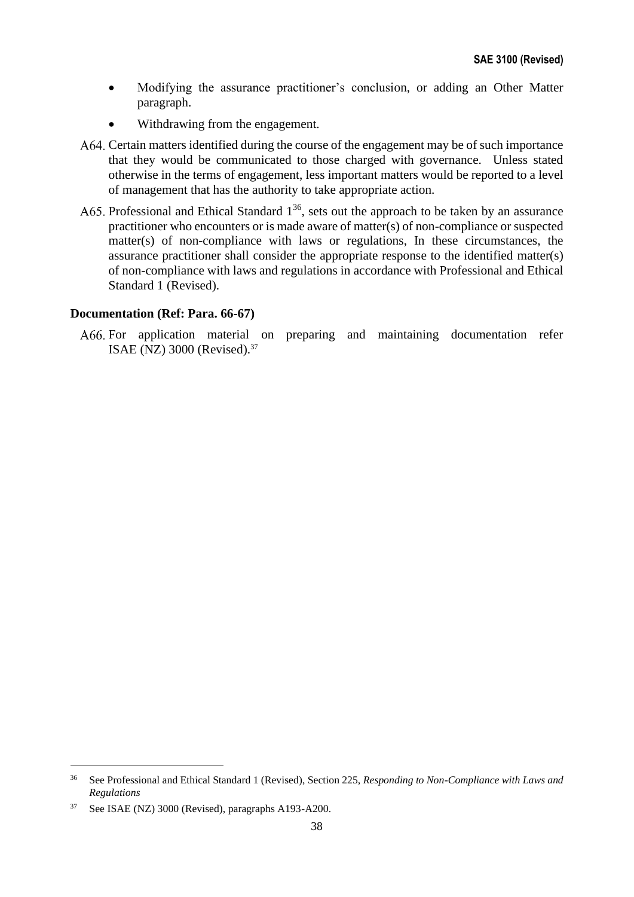- Modifying the assurance practitioner's conclusion, or adding an Other Matter paragraph.
- Withdrawing from the engagement.
- A64. Certain matters identified during the course of the engagement may be of such importance that they would be communicated to those charged with governance. Unless stated otherwise in the terms of engagement, less important matters would be reported to a level of management that has the authority to take appropriate action.
- Professional and Ethical Standard  $1^{36}$ , sets out the approach to be taken by an assurance practitioner who encounters or is made aware of matter(s) of non-compliance or suspected matter(s) of non-compliance with laws or regulations, In these circumstances, the assurance practitioner shall consider the appropriate response to the identified matter(s) of non-compliance with laws and regulations in accordance with Professional and Ethical Standard 1 (Revised).

### **Documentation (Ref: Para. 66-67)**

A66. For application material on preparing and maintaining documentation refer ISAE (NZ) 3000 (Revised). 37

<sup>36</sup> See Professional and Ethical Standard 1 (Revised), Section 225, *Responding to Non-Compliance with Laws and Regulations*

<sup>37</sup> See ISAE (NZ) 3000 (Revised), paragraphs A193-A200.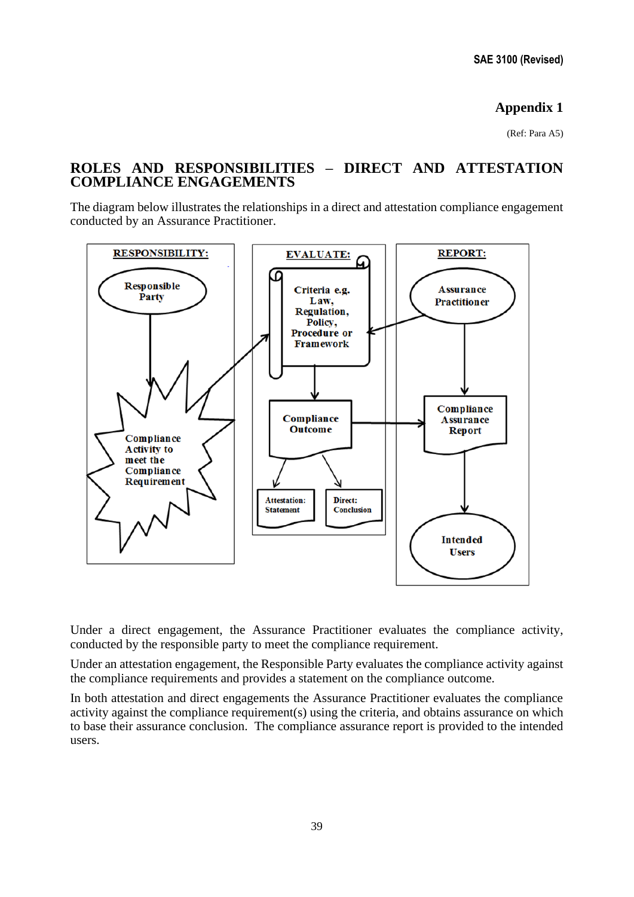# **Appendix 1**

(Ref: Para A5)

# **ROLES AND RESPONSIBILITIES – DIRECT AND ATTESTATION COMPLIANCE ENGAGEMENTS**

The diagram below illustrates the relationships in a direct and attestation compliance engagement conducted by an Assurance Practitioner.



Under a direct engagement, the Assurance Practitioner evaluates the compliance activity, conducted by the responsible party to meet the compliance requirement.

Under an attestation engagement, the Responsible Party evaluates the compliance activity against the compliance requirements and provides a statement on the compliance outcome.

In both attestation and direct engagements the Assurance Practitioner evaluates the compliance activity against the compliance requirement(s) using the criteria, and obtains assurance on which to base their assurance conclusion. The compliance assurance report is provided to the intended users.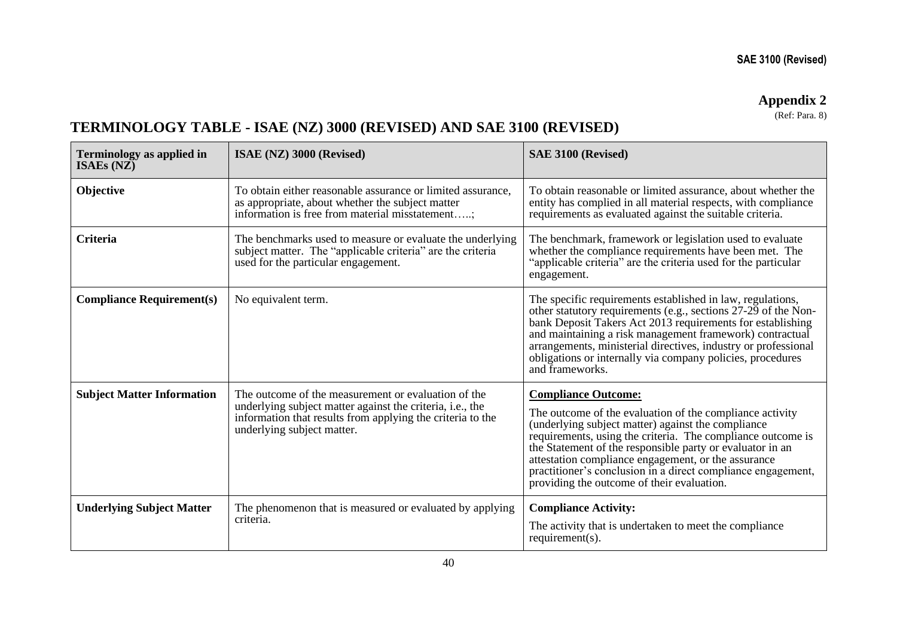# **Appendix 2**

 $(Ref: Para. 8)$ 

# **TERMINOLOGY TABLE - ISAE (NZ) 3000 (REVISED) AND SAE 3100 (REVISED)**

| <b>Terminology as applied in</b><br><b>ISAEs</b> (NZ)                                                                                                                             | ISAE (NZ) 3000 (Revised)                                                                                                                                                                                     | SAE 3100 (Revised)                                                                                                                                                                                                                                                                                                                                                                                                                            |  |  |
|-----------------------------------------------------------------------------------------------------------------------------------------------------------------------------------|--------------------------------------------------------------------------------------------------------------------------------------------------------------------------------------------------------------|-----------------------------------------------------------------------------------------------------------------------------------------------------------------------------------------------------------------------------------------------------------------------------------------------------------------------------------------------------------------------------------------------------------------------------------------------|--|--|
| Objective                                                                                                                                                                         | To obtain either reasonable assurance or limited assurance,<br>as appropriate, about whether the subject matter<br>information is free from material misstatement;                                           | To obtain reasonable or limited assurance, about whether the<br>entity has complied in all material respects, with compliance<br>requirements as evaluated against the suitable criteria.                                                                                                                                                                                                                                                     |  |  |
| <b>Criteria</b><br>The benchmarks used to measure or evaluate the underlying<br>subject matter. The "applicable criteria" are the criteria<br>used for the particular engagement. |                                                                                                                                                                                                              | The benchmark, framework or legislation used to evaluate<br>whether the compliance requirements have been met. The<br>"applicable criteria" are the criteria used for the particular<br>engagement.                                                                                                                                                                                                                                           |  |  |
| <b>Compliance Requirement(s)</b>                                                                                                                                                  | No equivalent term.                                                                                                                                                                                          | The specific requirements established in law, regulations,<br>other statutory requirements (e.g., sections 27-29 of the Non-<br>bank Deposit Takers Act 2013 requirements for establishing<br>and maintaining a risk management framework) contractual<br>arrangements, ministerial directives, industry or professional<br>obligations or internally via company policies, procedures<br>and frameworks.                                     |  |  |
| <b>Subject Matter Information</b>                                                                                                                                                 | The outcome of the measurement or evaluation of the<br>underlying subject matter against the criteria, i.e., the<br>information that results from applying the criteria to the<br>underlying subject matter. | <b>Compliance Outcome:</b><br>The outcome of the evaluation of the compliance activity<br>(underlying subject matter) against the compliance<br>requirements, using the criteria. The compliance outcome is<br>the Statement of the responsible party or evaluator in an<br>attestation compliance engagement, or the assurance<br>practitioner's conclusion in a direct compliance engagement,<br>providing the outcome of their evaluation. |  |  |
| <b>Underlying Subject Matter</b>                                                                                                                                                  | The phenomenon that is measured or evaluated by applying<br>criteria.                                                                                                                                        | <b>Compliance Activity:</b><br>The activity that is undertaken to meet the compliance<br>$requirement(s)$ .                                                                                                                                                                                                                                                                                                                                   |  |  |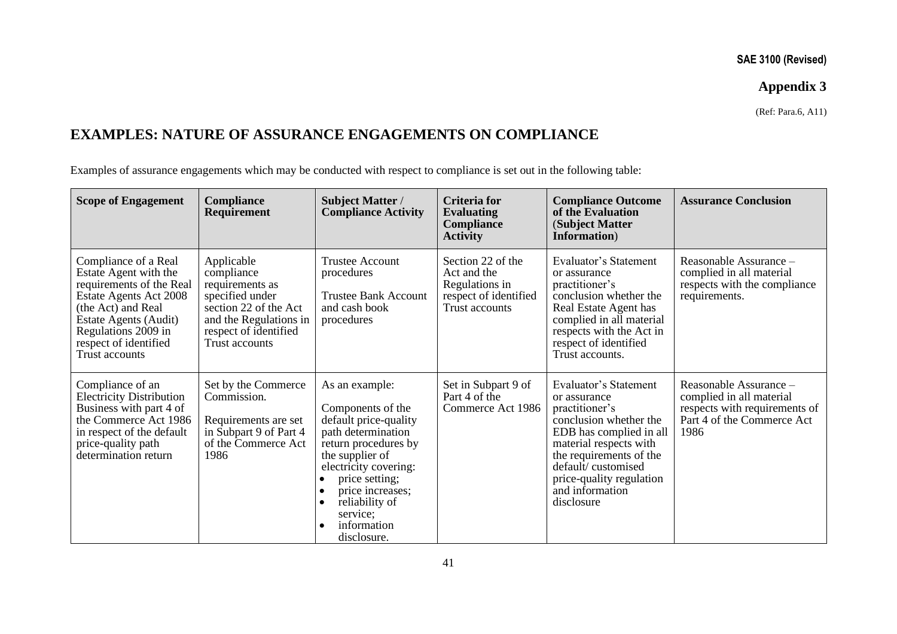# **Appendix 3**

(Ref: Para.6, A11)

# **EXAMPLES: NATURE OF ASSURANCE ENGAGEMENTS ON COMPLIANCE**

Examples of assurance engagements which may be conducted with respect to compliance is set out in the following table:

| <b>Scope of Engagement</b>                                                                                                                                                                                           | Compliance<br><b>Requirement</b>                                                                                                                                    | <b>Subject Matter /</b><br><b>Compliance Activity</b>                                                                                                                                                                                                    | <b>Criteria</b> for<br><b>Evaluating</b><br>Compliance<br><b>Activity</b>                     | <b>Compliance Outcome</b><br>of the Evaluation<br>(Subject Matter<br>Information)                                                                                                                                                                    | <b>Assurance Conclusion</b>                                                                                               |
|----------------------------------------------------------------------------------------------------------------------------------------------------------------------------------------------------------------------|---------------------------------------------------------------------------------------------------------------------------------------------------------------------|----------------------------------------------------------------------------------------------------------------------------------------------------------------------------------------------------------------------------------------------------------|-----------------------------------------------------------------------------------------------|------------------------------------------------------------------------------------------------------------------------------------------------------------------------------------------------------------------------------------------------------|---------------------------------------------------------------------------------------------------------------------------|
| Compliance of a Real<br>Estate Agent with the<br>requirements of the Real<br>Estate Agents Act 2008<br>(the Act) and Real<br>Estate Agents (Audit)<br>Regulations 2009 in<br>respect of identified<br>Trust accounts | Applicable<br>compliance<br>requirements as<br>specified under<br>section 22 of the Act<br>and the Regulations in<br>respect of identified<br><b>Trust accounts</b> | <b>Trustee Account</b><br>procedures<br><b>Trustee Bank Account</b><br>and cash book<br>procedures                                                                                                                                                       | Section 22 of the<br>Act and the<br>Regulations in<br>respect of identified<br>Trust accounts | Evaluator's Statement<br>or assurance<br>practitioner's<br>conclusion whether the<br>Real Estate Agent has<br>complied in all material<br>respects with the Act in<br>respect of identified<br>Trust accounts.                                       | Reasonable Assurance -<br>complied in all material<br>respects with the compliance<br>requirements.                       |
| Compliance of an<br><b>Electricity Distribution</b><br>Business with part 4 of<br>the Commerce Act 1986<br>in respect of the default<br>price-quality path<br>determination return                                   | Set by the Commerce<br>Commission.<br>Requirements are set<br>in Subpart 9 of Part 4<br>of the Commerce Act<br>1986                                                 | As an example:<br>Components of the<br>default price-quality<br>path determination<br>return procedures by<br>the supplier of<br>electricity covering:<br>price setting;<br>price increases;<br>reliability of<br>service;<br>information<br>disclosure. | Set in Subpart 9 of<br>Part 4 of the<br>Commerce Act 1986                                     | Evaluator's Statement<br>or assurance<br>practitioner's<br>conclusion whether the<br>EDB has complied in all<br>material respects with<br>the requirements of the<br>default/customised<br>price-quality regulation<br>and information<br>disclosure | Reasonable Assurance -<br>complied in all material<br>respects with requirements of<br>Part 4 of the Commerce Act<br>1986 |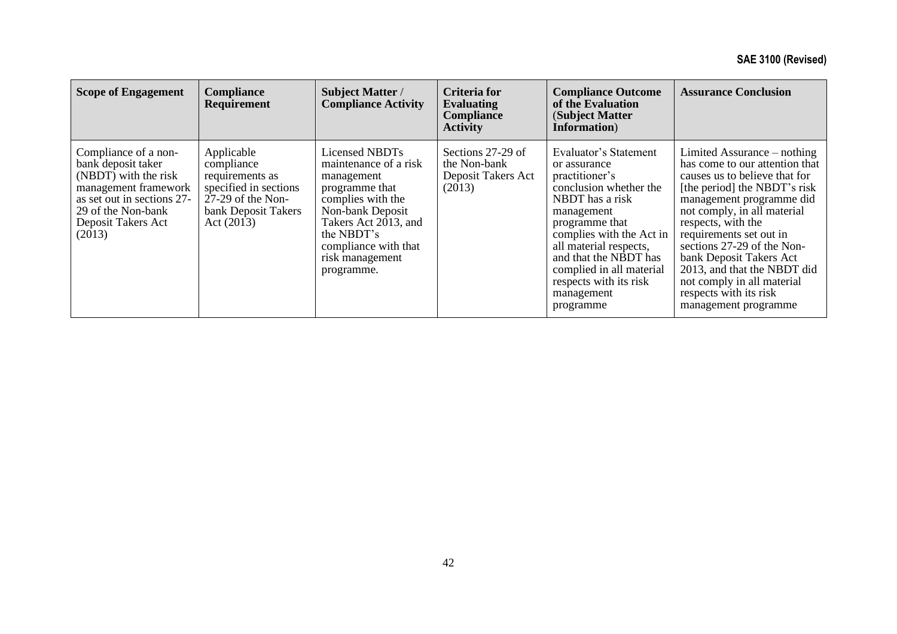| <b>Scope of Engagement</b>                                                                                                                                                       | <b>Compliance</b><br><b>Requirement</b>                                                                                            | <b>Subject Matter /</b><br><b>Compliance Activity</b>                                                                                                                                                           | <b>Criteria for</b><br><b>Evaluating</b><br><b>Compliance</b><br><b>Activity</b> | <b>Compliance Outcome</b><br>of the Evaluation<br>(Subject Matter<br>Information)                                                                                                                                                                                                                    | <b>Assurance Conclusion</b>                                                                                                                                                                                                                                                                                                                                                                                        |
|----------------------------------------------------------------------------------------------------------------------------------------------------------------------------------|------------------------------------------------------------------------------------------------------------------------------------|-----------------------------------------------------------------------------------------------------------------------------------------------------------------------------------------------------------------|----------------------------------------------------------------------------------|------------------------------------------------------------------------------------------------------------------------------------------------------------------------------------------------------------------------------------------------------------------------------------------------------|--------------------------------------------------------------------------------------------------------------------------------------------------------------------------------------------------------------------------------------------------------------------------------------------------------------------------------------------------------------------------------------------------------------------|
| Compliance of a non-<br>bank deposit taker<br>$(NBDT)$ with the risk<br>management framework<br>as set out in sections 27-<br>29 of the Non-bank<br>Deposit Takers Act<br>(2013) | Applicable<br>compliance<br>requirements as<br>specified in sections<br>$27-29$ of the Non-<br>bank Deposit Takers<br>Act $(2013)$ | Licensed NBDTs<br>maintenance of a risk<br>management<br>programme that<br>complies with the<br>Non-bank Deposit<br>Takers Act 2013, and<br>the NBDT's<br>compliance with that<br>risk management<br>programme. | Sections 27-29 of<br>the Non-bank<br>Deposit Takers Act<br>(2013)                | Evaluator's Statement<br>or assurance<br>practitioner's<br>conclusion whether the<br>NBDT has a risk<br>management<br>programme that<br>complies with the Act in<br>all material respects,<br>and that the NBDT has<br>complied in all material<br>respects with its risk<br>management<br>programme | Limited Assurance – nothing<br>has come to our attention that<br>causes us to believe that for<br>[the period] the NBDT's risk<br>management programme did<br>not comply, in all material<br>respects, with the<br>requirements set out in<br>sections 27-29 of the Non-<br>bank Deposit Takers Act<br>2013, and that the NBDT did<br>not comply in all material<br>respects with its risk<br>management programme |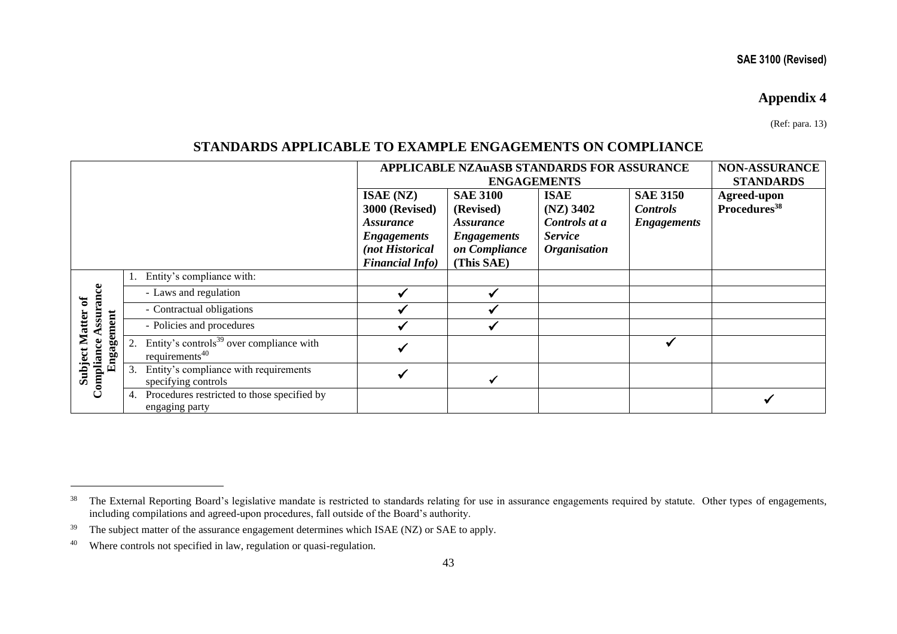# **Appendix 4**

(Ref: para. 13)

# **STANDARDS APPLICABLE TO EXAMPLE ENGAGEMENTS ON COMPLIANCE**

|                                     |                                                                                    | APPLICABLE NZAuASB STANDARDS FOR ASSURANCE<br><b>ENGAGEMENTS</b>                                                          |                                                                                                              |                                                                                      |                                                          | <b>NON-ASSURANCE</b><br><b>STANDARDS</b> |
|-------------------------------------|------------------------------------------------------------------------------------|---------------------------------------------------------------------------------------------------------------------------|--------------------------------------------------------------------------------------------------------------|--------------------------------------------------------------------------------------|----------------------------------------------------------|------------------------------------------|
|                                     |                                                                                    | <b>ISAE</b> (NZ)<br><b>3000 (Revised)</b><br>Assurance<br><b>Engagements</b><br>(not Historical<br><b>Financial Info)</b> | <b>SAE 3100</b><br>(Revised)<br><i><b>Assurance</b></i><br><b>Engagements</b><br>on Compliance<br>(This SAE) | <b>ISAE</b><br>$(NZ)$ 3402<br>Controls at a<br><b>Service</b><br><b>Organisation</b> | <b>SAE 3150</b><br><b>Controls</b><br><b>Engagements</b> | Agreed-upon<br>Procedures <sup>38</sup>  |
|                                     | Entity's compliance with:                                                          |                                                                                                                           |                                                                                                              |                                                                                      |                                                          |                                          |
| ssurance<br>ð                       | - Laws and regulation                                                              |                                                                                                                           |                                                                                                              |                                                                                      |                                                          |                                          |
|                                     | - Contractual obligations                                                          |                                                                                                                           |                                                                                                              |                                                                                      |                                                          |                                          |
|                                     | - Policies and procedures                                                          |                                                                                                                           |                                                                                                              |                                                                                      |                                                          |                                          |
| <b>Subject Matter</b><br>Engagement | Entity's controls <sup>39</sup> over compliance with<br>requirements <sup>40</sup> |                                                                                                                           |                                                                                                              |                                                                                      |                                                          |                                          |
| Compliance                          | Entity's compliance with requirements<br>3.<br>specifying controls                 |                                                                                                                           |                                                                                                              |                                                                                      |                                                          |                                          |
|                                     | Procedures restricted to those specified by<br>4.<br>engaging party                |                                                                                                                           |                                                                                                              |                                                                                      |                                                          |                                          |

<sup>&</sup>lt;sup>38</sup> The External Reporting Board's legislative mandate is restricted to standards relating for use in assurance engagements required by statute. Other types of engagements, including compilations and agreed-upon procedures, fall outside of the Board's authority.

<sup>&</sup>lt;sup>39</sup> The subject matter of the assurance engagement determines which ISAE (NZ) or SAE to apply.

<sup>&</sup>lt;sup>40</sup> Where controls not specified in law, regulation or quasi-regulation.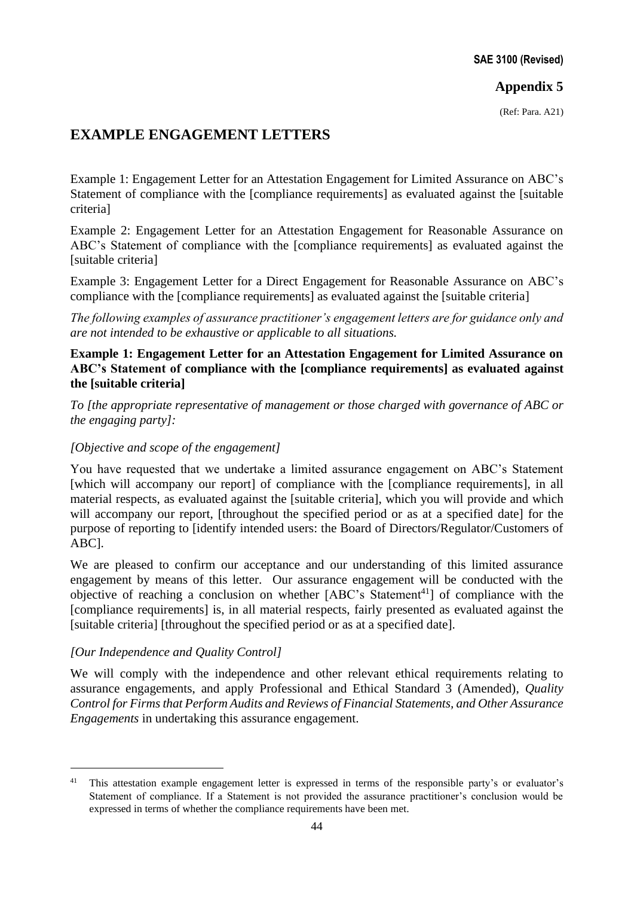# **Appendix 5**

(Ref: Para. A21)

# **EXAMPLE ENGAGEMENT LETTERS**

Example 1: Engagement Letter for an Attestation Engagement for Limited Assurance on ABC's Statement of compliance with the [compliance requirements] as evaluated against the [suitable criteria]

Example 2: Engagement Letter for an Attestation Engagement for Reasonable Assurance on ABC's Statement of compliance with the [compliance requirements] as evaluated against the [suitable criteria]

Example 3: Engagement Letter for a Direct Engagement for Reasonable Assurance on ABC's compliance with the [compliance requirements] as evaluated against the [suitable criteria]

*The following examples of assurance practitioner's engagement letters are for guidance only and are not intended to be exhaustive or applicable to all situations.*

**Example 1: Engagement Letter for an Attestation Engagement for Limited Assurance on ABC's Statement of compliance with the [compliance requirements] as evaluated against the [suitable criteria]**

*To [the appropriate representative of management or those charged with governance of ABC or the engaging party]:*

### *[Objective and scope of the engagement]*

You have requested that we undertake a limited assurance engagement on ABC's Statement [which will accompany our report] of compliance with the [compliance requirements], in all material respects, as evaluated against the [suitable criteria], which you will provide and which will accompany our report, [throughout the specified period or as at a specified date] for the purpose of reporting to [identify intended users: the Board of Directors/Regulator/Customers of ABC].

We are pleased to confirm our acceptance and our understanding of this limited assurance engagement by means of this letter. Our assurance engagement will be conducted with the objective of reaching a conclusion on whether  $[ABC]$ 's Statement<sup>41</sup> of compliance with the [compliance requirements] is, in all material respects, fairly presented as evaluated against the [suitable criteria] [throughout the specified period or as at a specified date].

### *[Our Independence and Quality Control]*

We will comply with the independence and other relevant ethical requirements relating to assurance engagements, and apply Professional and Ethical Standard 3 (Amended), *Quality Control for Firms that Perform Audits and Reviews of Financial Statements, and Other Assurance Engagements* in undertaking this assurance engagement.

<sup>&</sup>lt;sup>41</sup> This attestation example engagement letter is expressed in terms of the responsible party's or evaluator's Statement of compliance. If a Statement is not provided the assurance practitioner's conclusion would be expressed in terms of whether the compliance requirements have been met.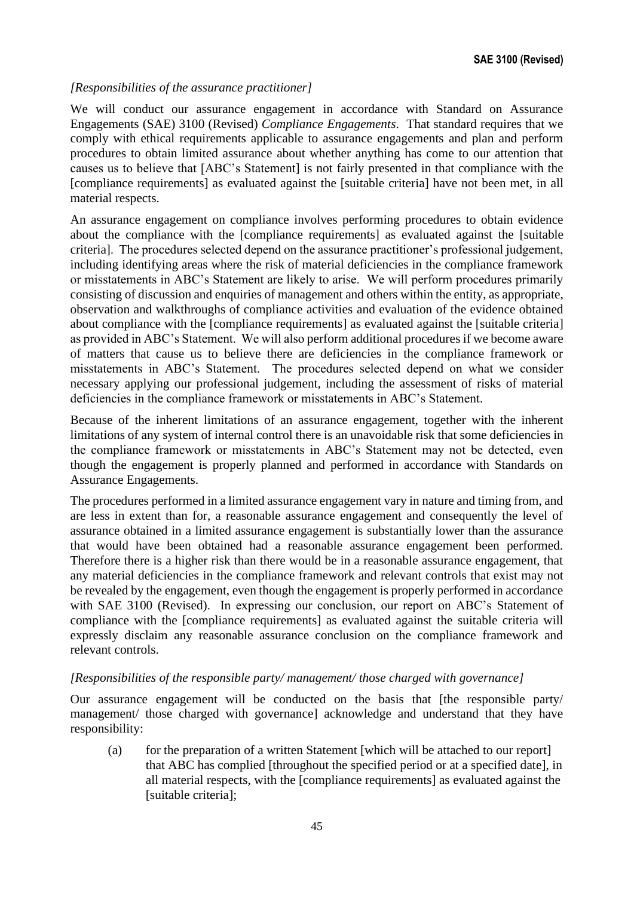# *[Responsibilities of the assurance practitioner]*

We will conduct our assurance engagement in accordance with Standard on Assurance Engagements (SAE) 3100 (Revised) *Compliance Engagements*. That standard requires that we comply with ethical requirements applicable to assurance engagements and plan and perform procedures to obtain limited assurance about whether anything has come to our attention that causes us to believe that [ABC's Statement] is not fairly presented in that compliance with the [compliance requirements] as evaluated against the [suitable criteria] have not been met, in all material respects.

An assurance engagement on compliance involves performing procedures to obtain evidence about the compliance with the [compliance requirements] as evaluated against the [suitable criteria]. The procedures selected depend on the assurance practitioner's professional judgement, including identifying areas where the risk of material deficiencies in the compliance framework or misstatements in ABC's Statement are likely to arise. We will perform procedures primarily consisting of discussion and enquiries of management and others within the entity, as appropriate, observation and walkthroughs of compliance activities and evaluation of the evidence obtained about compliance with the [compliance requirements] as evaluated against the [suitable criteria] as provided in ABC's Statement. We will also perform additional procedures if we become aware of matters that cause us to believe there are deficiencies in the compliance framework or misstatements in ABC's Statement. The procedures selected depend on what we consider necessary applying our professional judgement, including the assessment of risks of material deficiencies in the compliance framework or misstatements in ABC's Statement.

Because of the inherent limitations of an assurance engagement, together with the inherent limitations of any system of internal control there is an unavoidable risk that some deficiencies in the compliance framework or misstatements in ABC's Statement may not be detected, even though the engagement is properly planned and performed in accordance with Standards on Assurance Engagements.

The procedures performed in a limited assurance engagement vary in nature and timing from, and are less in extent than for, a reasonable assurance engagement and consequently the level of assurance obtained in a limited assurance engagement is substantially lower than the assurance that would have been obtained had a reasonable assurance engagement been performed. Therefore there is a higher risk than there would be in a reasonable assurance engagement, that any material deficiencies in the compliance framework and relevant controls that exist may not be revealed by the engagement, even though the engagement is properly performed in accordance with SAE 3100 (Revised). In expressing our conclusion, our report on ABC's Statement of compliance with the [compliance requirements] as evaluated against the suitable criteria will expressly disclaim any reasonable assurance conclusion on the compliance framework and relevant controls.

### *[Responsibilities of the responsible party/ management/ those charged with governance]*

Our assurance engagement will be conducted on the basis that [the responsible party/ management/ those charged with governance] acknowledge and understand that they have responsibility:

(a) for the preparation of a written Statement [which will be attached to our report] that ABC has complied [throughout the specified period or at a specified date], in all material respects, with the [compliance requirements] as evaluated against the [suitable criteria];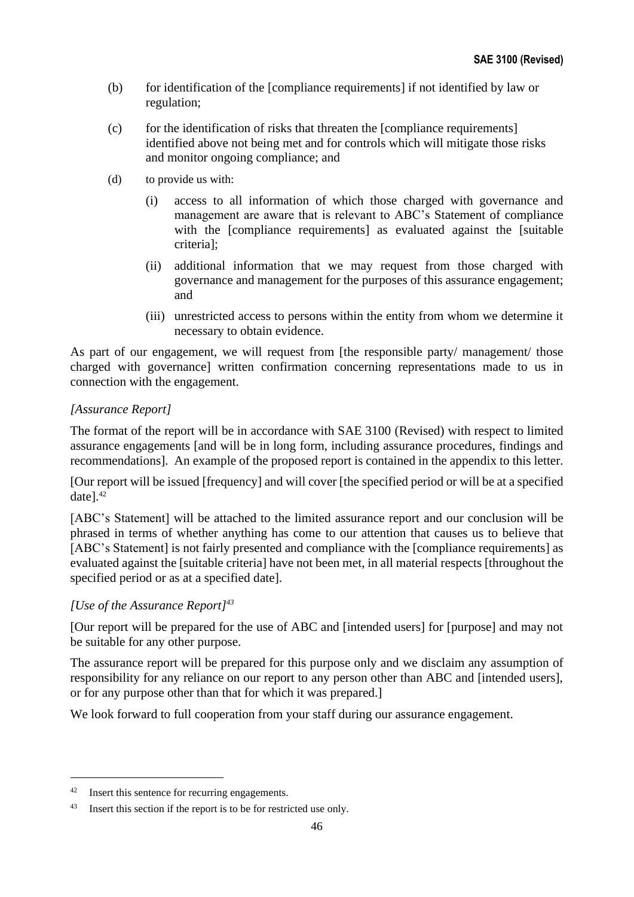- (b) for identification of the [compliance requirements] if not identified by law or regulation;
- (c) for the identification of risks that threaten the [compliance requirements] identified above not being met and for controls which will mitigate those risks and monitor ongoing compliance; and
- (d) to provide us with:
	- (i) access to all information of which those charged with governance and management are aware that is relevant to ABC's Statement of compliance with the [compliance requirements] as evaluated against the [suitable criteria];
	- (ii) additional information that we may request from those charged with governance and management for the purposes of this assurance engagement; and
	- (iii) unrestricted access to persons within the entity from whom we determine it necessary to obtain evidence.

As part of our engagement, we will request from [the responsible party/ management/ those charged with governance] written confirmation concerning representations made to us in connection with the engagement.

# *[Assurance Report]*

The format of the report will be in accordance with SAE 3100 (Revised) with respect to limited assurance engagements [and will be in long form, including assurance procedures, findings and recommendations]. An example of the proposed report is contained in the appendix to this letter.

[Our report will be issued [frequency] and will cover [the specified period or will be at a specified date].<sup>42</sup>

[ABC's Statement] will be attached to the limited assurance report and our conclusion will be phrased in terms of whether anything has come to our attention that causes us to believe that [ABC's Statement] is not fairly presented and compliance with the [compliance requirements] as evaluated against the [suitable criteria] have not been met, in all material respects [throughout the specified period or as at a specified date].

# *[Use of the Assurance Report]<sup>43</sup>*

[Our report will be prepared for the use of ABC and [intended users] for [purpose] and may not be suitable for any other purpose.

The assurance report will be prepared for this purpose only and we disclaim any assumption of responsibility for any reliance on our report to any person other than ABC and [intended users], or for any purpose other than that for which it was prepared.]

We look forward to full cooperation from your staff during our assurance engagement.

<sup>42</sup> Insert this sentence for recurring engagements.

<sup>&</sup>lt;sup>43</sup> Insert this section if the report is to be for restricted use only.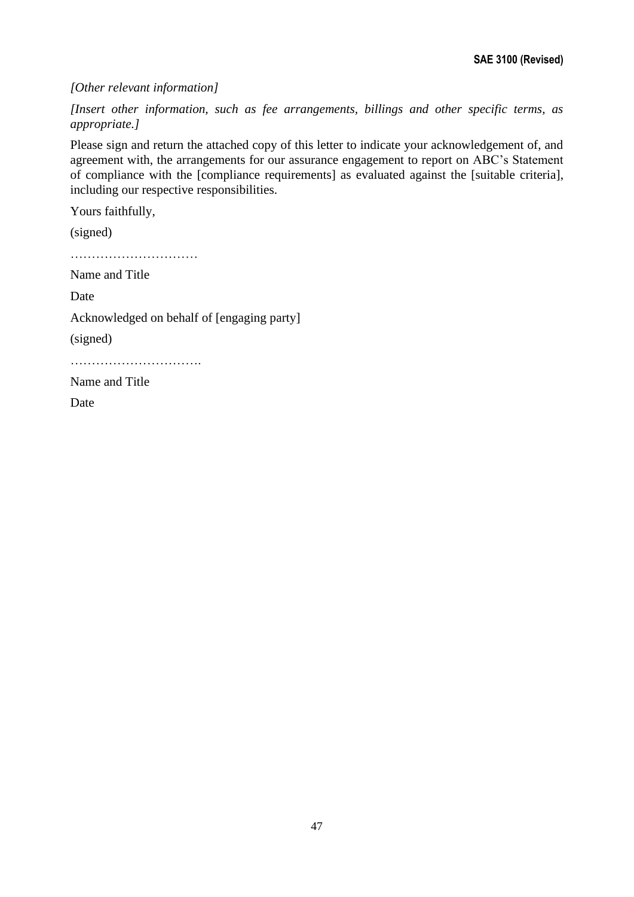*[Other relevant information]*

*[Insert other information, such as fee arrangements, billings and other specific terms, as appropriate.]*

Please sign and return the attached copy of this letter to indicate your acknowledgement of, and agreement with, the arrangements for our assurance engagement to report on ABC's Statement of compliance with the [compliance requirements] as evaluated against the [suitable criteria], including our respective responsibilities.

Yours faithfully,

(signed)

…………………………

Name and Title

Date

Acknowledged on behalf of [engaging party]

(signed)

………………………….

Name and Title

Date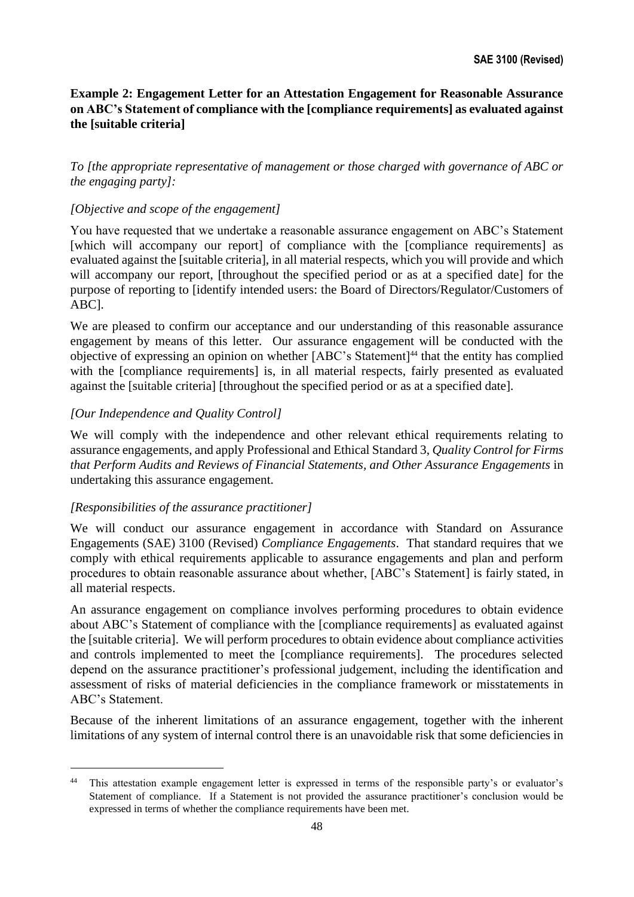# **Example 2: Engagement Letter for an Attestation Engagement for Reasonable Assurance on ABC's Statement of compliance with the [compliance requirements] as evaluated against the [suitable criteria]**

*To [the appropriate representative of management or those charged with governance of ABC or the engaging party]:*

# *[Objective and scope of the engagement]*

You have requested that we undertake a reasonable assurance engagement on ABC's Statement [which will accompany our report] of compliance with the [compliance requirements] as evaluated against the [suitable criteria], in all material respects, which you will provide and which will accompany our report, [throughout the specified period or as at a specified date] for the purpose of reporting to [identify intended users: the Board of Directors/Regulator/Customers of ABC].

We are pleased to confirm our acceptance and our understanding of this reasonable assurance engagement by means of this letter. Our assurance engagement will be conducted with the objective of expressing an opinion on whether  $[ABC]$ 's Statement $]$ <sup>44</sup> that the entity has complied with the [compliance requirements] is, in all material respects, fairly presented as evaluated against the [suitable criteria] [throughout the specified period or as at a specified date].

# *[Our Independence and Quality Control]*

We will comply with the independence and other relevant ethical requirements relating to assurance engagements, and apply Professional and Ethical Standard 3, *Quality Control for Firms that Perform Audits and Reviews of Financial Statements, and Other Assurance Engagements* in undertaking this assurance engagement.

### *[Responsibilities of the assurance practitioner]*

We will conduct our assurance engagement in accordance with Standard on Assurance Engagements (SAE) 3100 (Revised) *Compliance Engagements*. That standard requires that we comply with ethical requirements applicable to assurance engagements and plan and perform procedures to obtain reasonable assurance about whether, [ABC's Statement] is fairly stated, in all material respects.

An assurance engagement on compliance involves performing procedures to obtain evidence about ABC's Statement of compliance with the [compliance requirements] as evaluated against the [suitable criteria]. We will perform procedures to obtain evidence about compliance activities and controls implemented to meet the [compliance requirements]. The procedures selected depend on the assurance practitioner's professional judgement, including the identification and assessment of risks of material deficiencies in the compliance framework or misstatements in ABC's Statement.

Because of the inherent limitations of an assurance engagement, together with the inherent limitations of any system of internal control there is an unavoidable risk that some deficiencies in

This attestation example engagement letter is expressed in terms of the responsible party's or evaluator's Statement of compliance. If a Statement is not provided the assurance practitioner's conclusion would be expressed in terms of whether the compliance requirements have been met.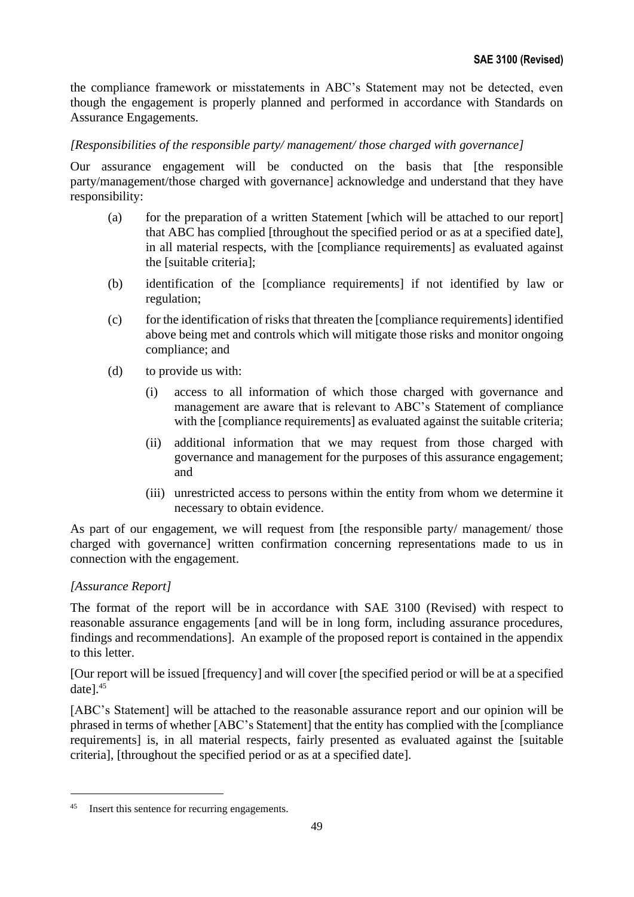the compliance framework or misstatements in ABC's Statement may not be detected, even though the engagement is properly planned and performed in accordance with Standards on Assurance Engagements.

# *[Responsibilities of the responsible party/ management/ those charged with governance]*

Our assurance engagement will be conducted on the basis that [the responsible party/management/those charged with governance] acknowledge and understand that they have responsibility:

- (a) for the preparation of a written Statement [which will be attached to our report] that ABC has complied [throughout the specified period or as at a specified date], in all material respects, with the [compliance requirements] as evaluated against the [suitable criteria];
- (b) identification of the [compliance requirements] if not identified by law or regulation;
- (c) for the identification of risks that threaten the [compliance requirements] identified above being met and controls which will mitigate those risks and monitor ongoing compliance; and
- (d) to provide us with:
	- (i) access to all information of which those charged with governance and management are aware that is relevant to ABC's Statement of compliance with the [compliance requirements] as evaluated against the suitable criteria;
	- (ii) additional information that we may request from those charged with governance and management for the purposes of this assurance engagement; and
	- (iii) unrestricted access to persons within the entity from whom we determine it necessary to obtain evidence.

As part of our engagement, we will request from [the responsible party/ management/ those charged with governance] written confirmation concerning representations made to us in connection with the engagement.

# *[Assurance Report]*

The format of the report will be in accordance with SAE 3100 (Revised) with respect to reasonable assurance engagements [and will be in long form, including assurance procedures, findings and recommendations]. An example of the proposed report is contained in the appendix to this letter.

[Our report will be issued [frequency] and will cover [the specified period or will be at a specified date].<sup>45</sup>

[ABC's Statement] will be attached to the reasonable assurance report and our opinion will be phrased in terms of whether [ABC's Statement] that the entity has complied with the [compliance requirements] is, in all material respects, fairly presented as evaluated against the [suitable criteria], [throughout the specified period or as at a specified date].

Insert this sentence for recurring engagements.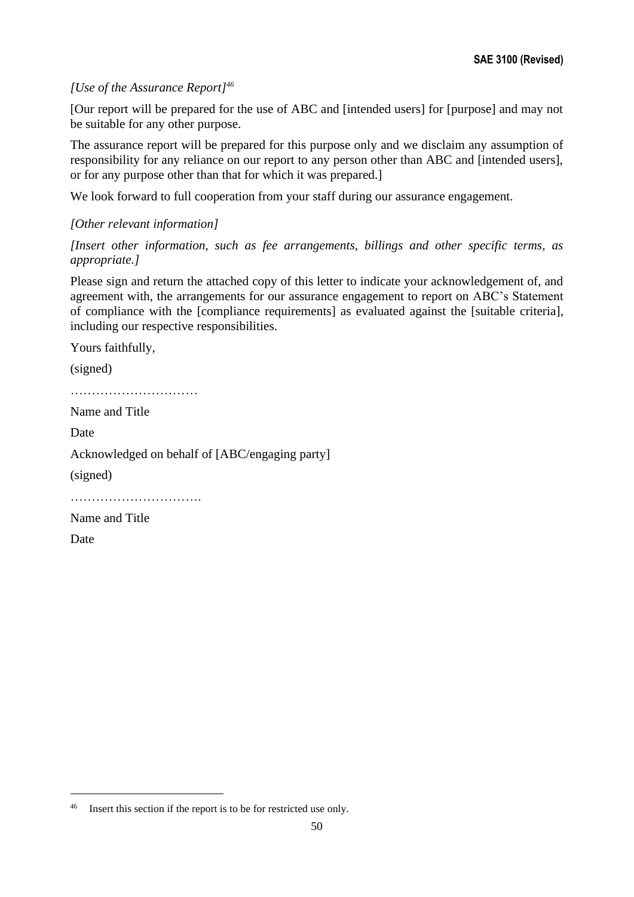# *[Use of the Assurance Report]<sup>46</sup>*

[Our report will be prepared for the use of ABC and [intended users] for [purpose] and may not be suitable for any other purpose.

The assurance report will be prepared for this purpose only and we disclaim any assumption of responsibility for any reliance on our report to any person other than ABC and [intended users], or for any purpose other than that for which it was prepared.]

We look forward to full cooperation from your staff during our assurance engagement.

# *[Other relevant information]*

*[Insert other information, such as fee arrangements, billings and other specific terms, as appropriate.]*

Please sign and return the attached copy of this letter to indicate your acknowledgement of, and agreement with, the arrangements for our assurance engagement to report on ABC's Statement of compliance with the [compliance requirements] as evaluated against the [suitable criteria], including our respective responsibilities.

Yours faithfully,

(signed)

………………………………

Name and Title

Date

Acknowledged on behalf of [ABC/engaging party]

(signed)

………………………….

Name and Title

Date

<sup>46</sup> Insert this section if the report is to be for restricted use only.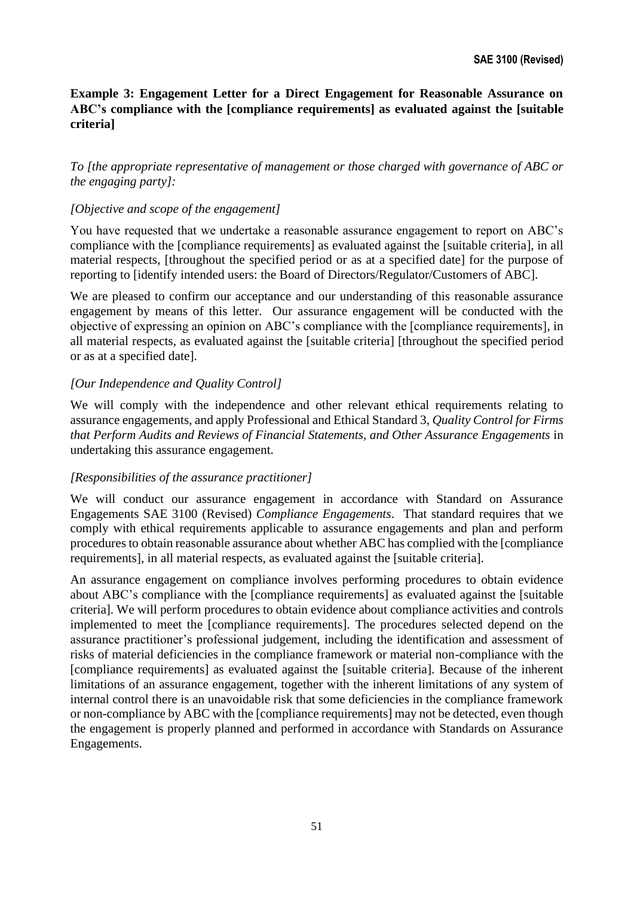# **Example 3: Engagement Letter for a Direct Engagement for Reasonable Assurance on ABC's compliance with the [compliance requirements] as evaluated against the [suitable criteria]**

*To [the appropriate representative of management or those charged with governance of ABC or the engaging party]:*

# *[Objective and scope of the engagement]*

You have requested that we undertake a reasonable assurance engagement to report on ABC's compliance with the [compliance requirements] as evaluated against the [suitable criteria], in all material respects, [throughout the specified period or as at a specified date] for the purpose of reporting to [identify intended users: the Board of Directors/Regulator/Customers of ABC].

We are pleased to confirm our acceptance and our understanding of this reasonable assurance engagement by means of this letter. Our assurance engagement will be conducted with the objective of expressing an opinion on ABC's compliance with the [compliance requirements], in all material respects, as evaluated against the [suitable criteria] [throughout the specified period or as at a specified date].

# *[Our Independence and Quality Control]*

We will comply with the independence and other relevant ethical requirements relating to assurance engagements, and apply Professional and Ethical Standard 3, *Quality Control for Firms that Perform Audits and Reviews of Financial Statements, and Other Assurance Engagements* in undertaking this assurance engagement.

### *[Responsibilities of the assurance practitioner]*

We will conduct our assurance engagement in accordance with Standard on Assurance Engagements SAE 3100 (Revised) *Compliance Engagements*. That standard requires that we comply with ethical requirements applicable to assurance engagements and plan and perform procedures to obtain reasonable assurance about whether ABC has complied with the [compliance requirements], in all material respects, as evaluated against the [suitable criteria].

An assurance engagement on compliance involves performing procedures to obtain evidence about ABC's compliance with the [compliance requirements] as evaluated against the [suitable criteria]. We will perform procedures to obtain evidence about compliance activities and controls implemented to meet the [compliance requirements]. The procedures selected depend on the assurance practitioner's professional judgement, including the identification and assessment of risks of material deficiencies in the compliance framework or material non-compliance with the [compliance requirements] as evaluated against the [suitable criteria]. Because of the inherent limitations of an assurance engagement, together with the inherent limitations of any system of internal control there is an unavoidable risk that some deficiencies in the compliance framework or non-compliance by ABC with the [compliance requirements] may not be detected, even though the engagement is properly planned and performed in accordance with Standards on Assurance Engagements.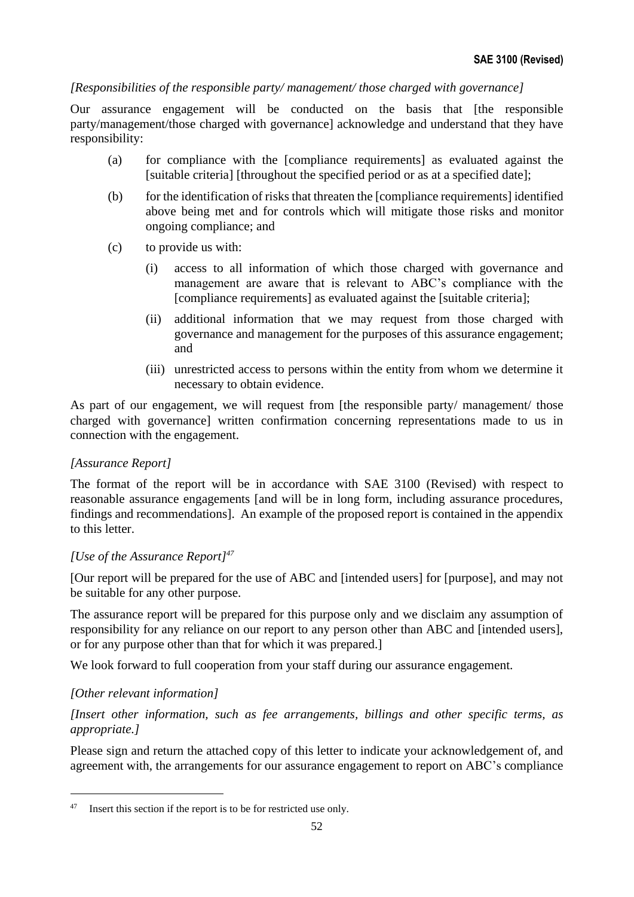# *[Responsibilities of the responsible party/ management/ those charged with governance]*

Our assurance engagement will be conducted on the basis that [the responsible party/management/those charged with governance] acknowledge and understand that they have responsibility:

- (a) for compliance with the [compliance requirements] as evaluated against the [suitable criteria] [throughout the specified period or as at a specified date];
- (b) for the identification of risks that threaten the [compliance requirements] identified above being met and for controls which will mitigate those risks and monitor ongoing compliance; and
- (c) to provide us with:
	- (i) access to all information of which those charged with governance and management are aware that is relevant to ABC's compliance with the [compliance requirements] as evaluated against the [suitable criteria];
	- (ii) additional information that we may request from those charged with governance and management for the purposes of this assurance engagement; and
	- (iii) unrestricted access to persons within the entity from whom we determine it necessary to obtain evidence.

As part of our engagement, we will request from [the responsible party/ management/ those charged with governance] written confirmation concerning representations made to us in connection with the engagement.

### *[Assurance Report]*

The format of the report will be in accordance with SAE 3100 (Revised) with respect to reasonable assurance engagements [and will be in long form, including assurance procedures, findings and recommendations]. An example of the proposed report is contained in the appendix to this letter.

### *[Use of the Assurance Report]<sup>47</sup>*

[Our report will be prepared for the use of ABC and [intended users] for [purpose], and may not be suitable for any other purpose.

The assurance report will be prepared for this purpose only and we disclaim any assumption of responsibility for any reliance on our report to any person other than ABC and [intended users], or for any purpose other than that for which it was prepared.]

We look forward to full cooperation from your staff during our assurance engagement.

# *[Other relevant information]*

*[Insert other information, such as fee arrangements, billings and other specific terms, as appropriate.]*

Please sign and return the attached copy of this letter to indicate your acknowledgement of, and agreement with, the arrangements for our assurance engagement to report on ABC's compliance

<sup>&</sup>lt;sup>47</sup> Insert this section if the report is to be for restricted use only.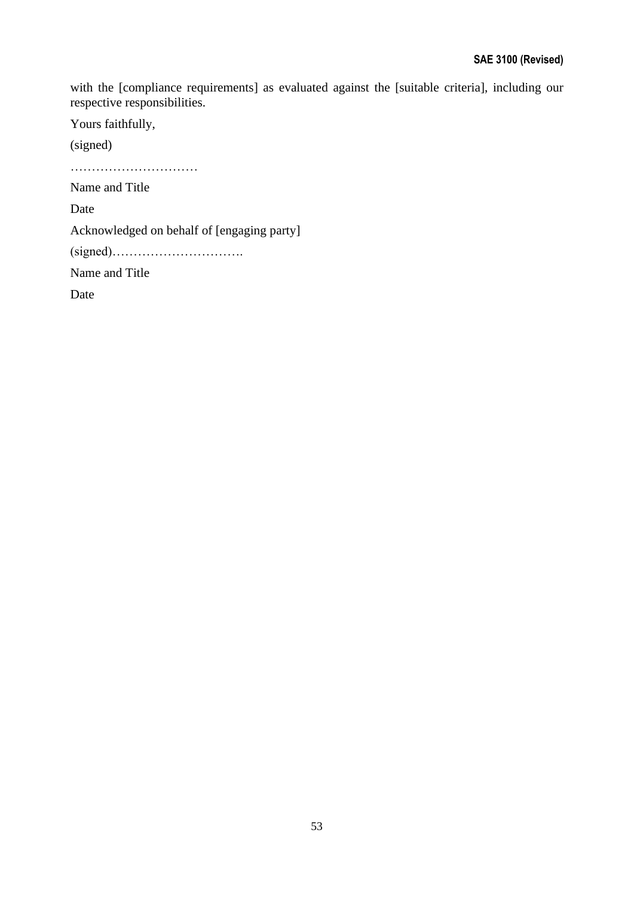with the [compliance requirements] as evaluated against the [suitable criteria], including our respective responsibilities.

Yours faithfully,

(signed)

…………………………

Name and Title

Date

Acknowledged on behalf of [engaging party]

(signed)………………………….

Name and Title

Date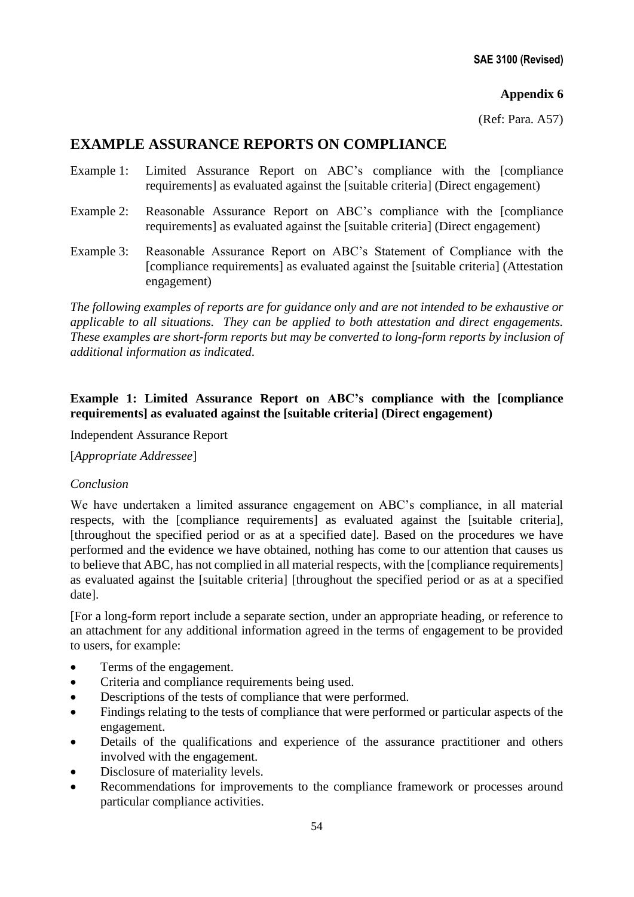# **Appendix 6**

(Ref: Para. A57)

# **EXAMPLE ASSURANCE REPORTS ON COMPLIANCE**

- Example 1: Limited Assurance Report on ABC's compliance with the [compliance requirements] as evaluated against the [suitable criteria] (Direct engagement)
- Example 2: Reasonable Assurance Report on ABC's compliance with the [compliance requirements] as evaluated against the [suitable criteria] (Direct engagement)
- Example 3: Reasonable Assurance Report on ABC's Statement of Compliance with the [compliance requirements] as evaluated against the [suitable criteria] (Attestation engagement)

*The following examples of reports are for guidance only and are not intended to be exhaustive or applicable to all situations. They can be applied to both attestation and direct engagements. These examples are short-form reports but may be converted to long-form reports by inclusion of additional information as indicated*.

# **Example 1: Limited Assurance Report on ABC's compliance with the [compliance requirements] as evaluated against the [suitable criteria] (Direct engagement)**

Independent Assurance Report

[*Appropriate Addressee*]

### *Conclusion*

We have undertaken a limited assurance engagement on ABC's compliance, in all material respects, with the [compliance requirements] as evaluated against the [suitable criteria], [throughout the specified period or as at a specified date]. Based on the procedures we have performed and the evidence we have obtained, nothing has come to our attention that causes us to believe that ABC, has not complied in all material respects, with the [compliance requirements] as evaluated against the [suitable criteria] [throughout the specified period or as at a specified date].

[For a long-form report include a separate section, under an appropriate heading, or reference to an attachment for any additional information agreed in the terms of engagement to be provided to users, for example:

- Terms of the engagement.
- Criteria and compliance requirements being used.
- Descriptions of the tests of compliance that were performed.
- Findings relating to the tests of compliance that were performed or particular aspects of the engagement.
- Details of the qualifications and experience of the assurance practitioner and others involved with the engagement.
- Disclosure of materiality levels.
- Recommendations for improvements to the compliance framework or processes around particular compliance activities.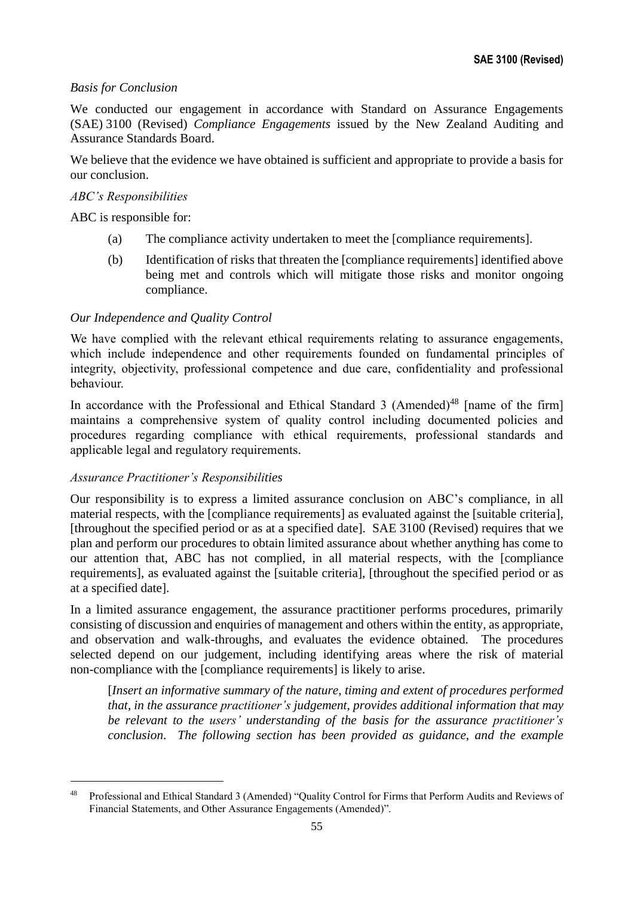# *Basis for Conclusion*

We conducted our engagement in accordance with Standard on Assurance Engagements (SAE) 3100 (Revised) *Compliance Engagements* issued by the New Zealand Auditing and Assurance Standards Board.

We believe that the evidence we have obtained is sufficient and appropriate to provide a basis for our conclusion.

#### *ABC's Responsibilities*

ABC is responsible for:

- (a) The compliance activity undertaken to meet the [compliance requirements].
- (b) Identification of risks that threaten the [compliance requirements] identified above being met and controls which will mitigate those risks and monitor ongoing compliance.

### *Our Independence and Quality Control*

We have complied with the relevant ethical requirements relating to assurance engagements, which include independence and other requirements founded on fundamental principles of integrity, objectivity, professional competence and due care, confidentiality and professional behaviour.

In accordance with the Professional and Ethical Standard 3 (Amended)<sup>48</sup> [name of the firm] maintains a comprehensive system of quality control including documented policies and procedures regarding compliance with ethical requirements, professional standards and applicable legal and regulatory requirements.

### *Assurance Practitioner's Responsibilities*

Our responsibility is to express a limited assurance conclusion on ABC's compliance, in all material respects, with the [compliance requirements] as evaluated against the [suitable criteria], [throughout the specified period or as at a specified date]. SAE 3100 (Revised) requires that we plan and perform our procedures to obtain limited assurance about whether anything has come to our attention that, ABC has not complied, in all material respects, with the [compliance requirements], as evaluated against the [suitable criteria], [throughout the specified period or as at a specified date].

In a limited assurance engagement, the assurance practitioner performs procedures, primarily consisting of discussion and enquiries of management and others within the entity, as appropriate, and observation and walk-throughs, and evaluates the evidence obtained. The procedures selected depend on our judgement, including identifying areas where the risk of material non-compliance with the [compliance requirements] is likely to arise.

[*Insert an informative summary of the nature*, *timing and extent of procedures performed that*, *in the assurance practitioner's judgement*, *provides additional information that may be relevant to the users' understanding of the basis for the assurance practitioner's conclusion*. *The following section has been provided as guidance*, *and the example*

<sup>48</sup> Professional and Ethical Standard 3 (Amended) "Quality Control for Firms that Perform Audits and Reviews of Financial Statements, and Other Assurance Engagements (Amended)".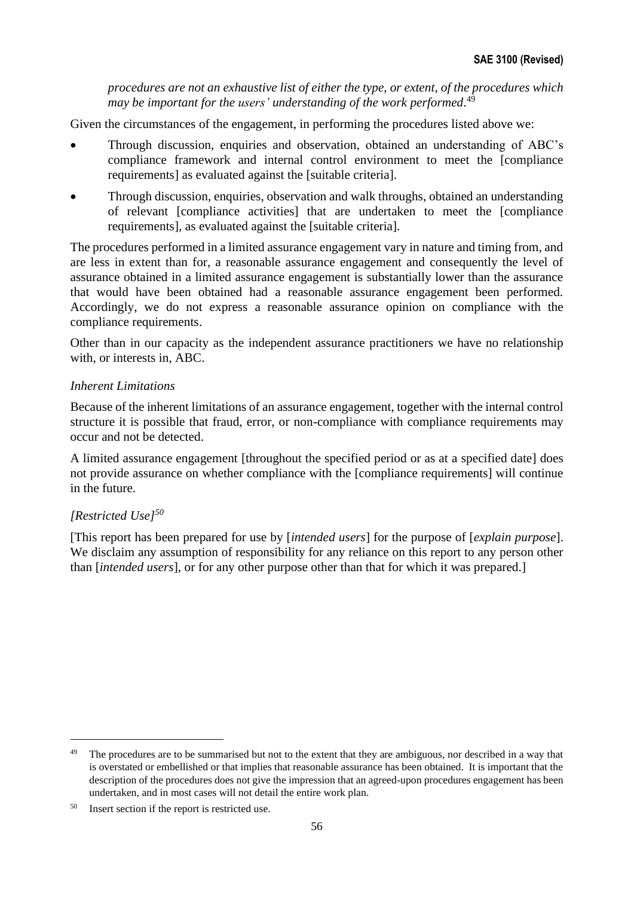*procedures are not an exhaustive list of either the type*, *or extent*, *of the procedures which may be important for the users' understanding of the work performed*. 49

Given the circumstances of the engagement, in performing the procedures listed above we:

- Through discussion, enquiries and observation, obtained an understanding of ABC's compliance framework and internal control environment to meet the [compliance requirements] as evaluated against the [suitable criteria].
- Through discussion, enquiries, observation and walk throughs, obtained an understanding of relevant [compliance activities] that are undertaken to meet the [compliance requirements], as evaluated against the [suitable criteria].

The procedures performed in a limited assurance engagement vary in nature and timing from, and are less in extent than for, a reasonable assurance engagement and consequently the level of assurance obtained in a limited assurance engagement is substantially lower than the assurance that would have been obtained had a reasonable assurance engagement been performed. Accordingly, we do not express a reasonable assurance opinion on compliance with the compliance requirements.

Other than in our capacity as the independent assurance practitioners we have no relationship with, or interests in, ABC.

# *Inherent Limitations*

Because of the inherent limitations of an assurance engagement, together with the internal control structure it is possible that fraud, error, or non-compliance with compliance requirements may occur and not be detected.

A limited assurance engagement [throughout the specified period or as at a specified date] does not provide assurance on whether compliance with the [compliance requirements] will continue in the future.

# *[Restricted Use]<sup>50</sup>*

[This report has been prepared for use by [*intended users*] for the purpose of [*explain purpose*]. We disclaim any assumption of responsibility for any reliance on this report to any person other than [*intended users*], or for any other purpose other than that for which it was prepared.]

<sup>&</sup>lt;sup>49</sup> The procedures are to be summarised but not to the extent that they are ambiguous, nor described in a way that is overstated or embellished or that implies that reasonable assurance has been obtained. It is important that the description of the procedures does not give the impression that an agreed-upon procedures engagement has been undertaken, and in most cases will not detail the entire work plan.

<sup>50</sup> Insert section if the report is restricted use.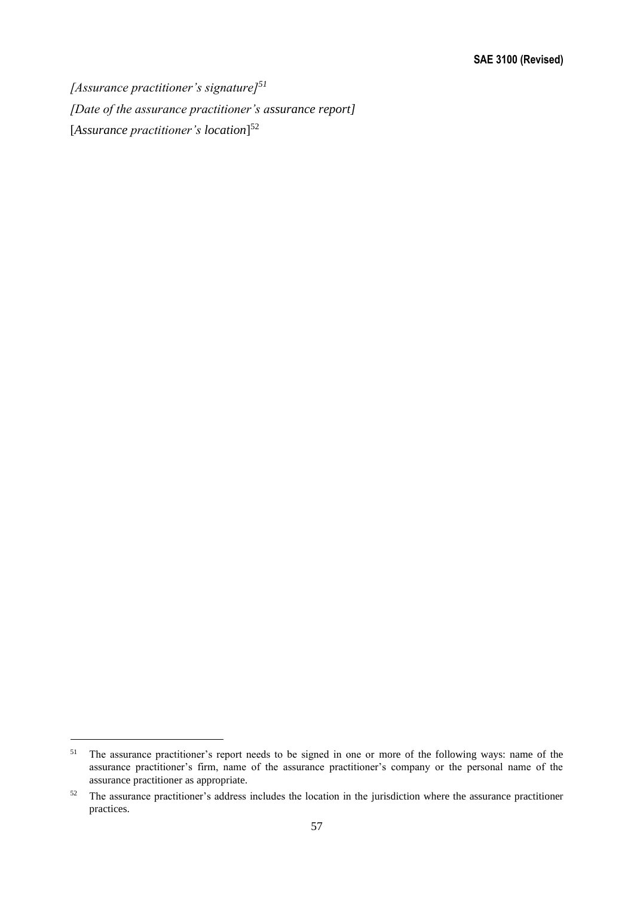*[Assurance practitioner's signature]<sup>51</sup> [Date of the assurance practitioner's assurance report]* [*Assurance practitioner's location*] 52

<sup>&</sup>lt;sup>51</sup> The assurance practitioner's report needs to be signed in one or more of the following ways: name of the assurance practitioner's firm, name of the assurance practitioner's company or the personal name of the assurance practitioner as appropriate.

<sup>&</sup>lt;sup>52</sup> The assurance practitioner's address includes the location in the jurisdiction where the assurance practitioner practices.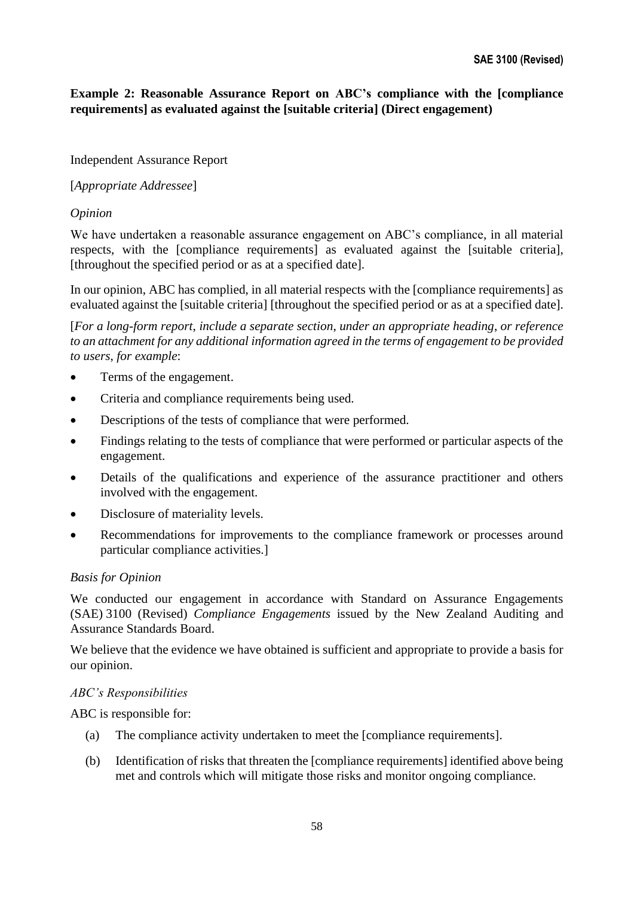# **Example 2: Reasonable Assurance Report on ABC's compliance with the [compliance requirements] as evaluated against the [suitable criteria] (Direct engagement)**

# Independent Assurance Report

[*Appropriate Addressee*]

# *Opinion*

We have undertaken a reasonable assurance engagement on ABC's compliance, in all material respects, with the [compliance requirements] as evaluated against the [suitable criteria], [throughout the specified period or as at a specified date].

In our opinion, ABC has complied, in all material respects with the [compliance requirements] as evaluated against the [suitable criteria] [throughout the specified period or as at a specified date].

[*For a long*-*form report*, *include a separate section*, *under an appropriate heading*, *or reference to an attachment for any additional information agreed in the terms of engagement to be provided to users*, *for example*:

- Terms of the engagement.
- Criteria and compliance requirements being used.
- Descriptions of the tests of compliance that were performed.
- Findings relating to the tests of compliance that were performed or particular aspects of the engagement.
- Details of the qualifications and experience of the assurance practitioner and others involved with the engagement.
- Disclosure of materiality levels.
- Recommendations for improvements to the compliance framework or processes around particular compliance activities.]

# *Basis for Opinion*

We conducted our engagement in accordance with Standard on Assurance Engagements (SAE) 3100 (Revised) *Compliance Engagements* issued by the New Zealand Auditing and Assurance Standards Board.

We believe that the evidence we have obtained is sufficient and appropriate to provide a basis for our opinion.

### *ABC's Responsibilities*

ABC is responsible for:

- (a) The compliance activity undertaken to meet the [compliance requirements].
- (b) Identification of risks that threaten the [compliance requirements] identified above being met and controls which will mitigate those risks and monitor ongoing compliance.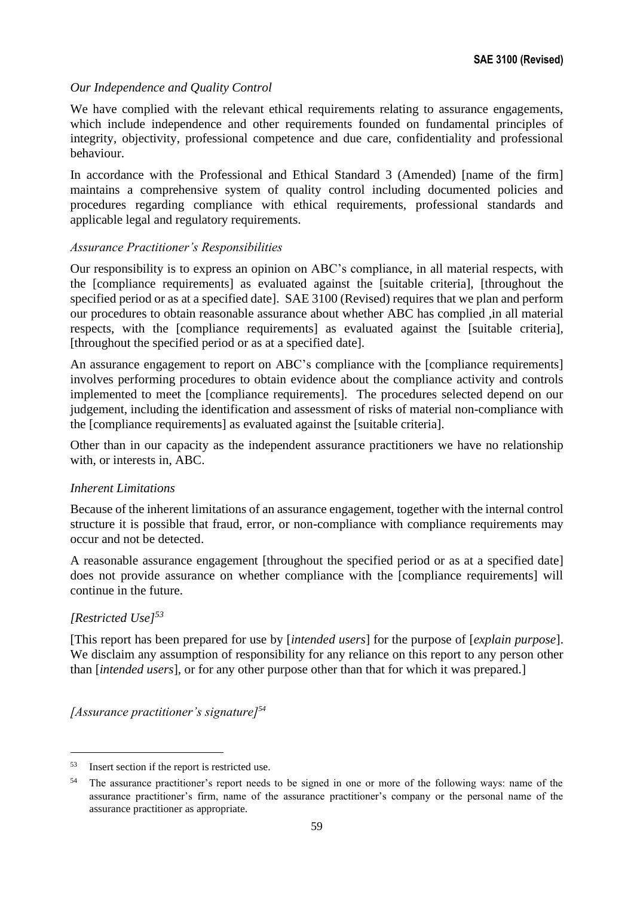# *Our Independence and Quality Control*

We have complied with the relevant ethical requirements relating to assurance engagements, which include independence and other requirements founded on fundamental principles of integrity, objectivity, professional competence and due care, confidentiality and professional behaviour.

In accordance with the Professional and Ethical Standard 3 (Amended) [name of the firm] maintains a comprehensive system of quality control including documented policies and procedures regarding compliance with ethical requirements, professional standards and applicable legal and regulatory requirements.

### *Assurance Practitioner's Responsibilities*

Our responsibility is to express an opinion on ABC's compliance, in all material respects, with the [compliance requirements] as evaluated against the [suitable criteria], [throughout the specified period or as at a specified date]. SAE 3100 (Revised) requires that we plan and perform our procedures to obtain reasonable assurance about whether ABC has complied ,in all material respects, with the [compliance requirements] as evaluated against the [suitable criteria], [throughout the specified period or as at a specified date].

An assurance engagement to report on ABC's compliance with the [compliance requirements] involves performing procedures to obtain evidence about the compliance activity and controls implemented to meet the [compliance requirements]. The procedures selected depend on our judgement, including the identification and assessment of risks of material non-compliance with the [compliance requirements] as evaluated against the [suitable criteria].

Other than in our capacity as the independent assurance practitioners we have no relationship with, or interests in, ABC.

# *Inherent Limitations*

Because of the inherent limitations of an assurance engagement, together with the internal control structure it is possible that fraud, error, or non-compliance with compliance requirements may occur and not be detected.

A reasonable assurance engagement [throughout the specified period or as at a specified date] does not provide assurance on whether compliance with the [compliance requirements] will continue in the future.

# *[Restricted Use]<sup>53</sup>*

[This report has been prepared for use by [*intended users*] for the purpose of [*explain purpose*]. We disclaim any assumption of responsibility for any reliance on this report to any person other than [*intended users*], or for any other purpose other than that for which it was prepared.]

*[Assurance practitioner's signature]<sup>54</sup>*

<sup>53</sup> Insert section if the report is restricted use.

<sup>&</sup>lt;sup>54</sup> The assurance practitioner's report needs to be signed in one or more of the following ways: name of the assurance practitioner's firm, name of the assurance practitioner's company or the personal name of the assurance practitioner as appropriate.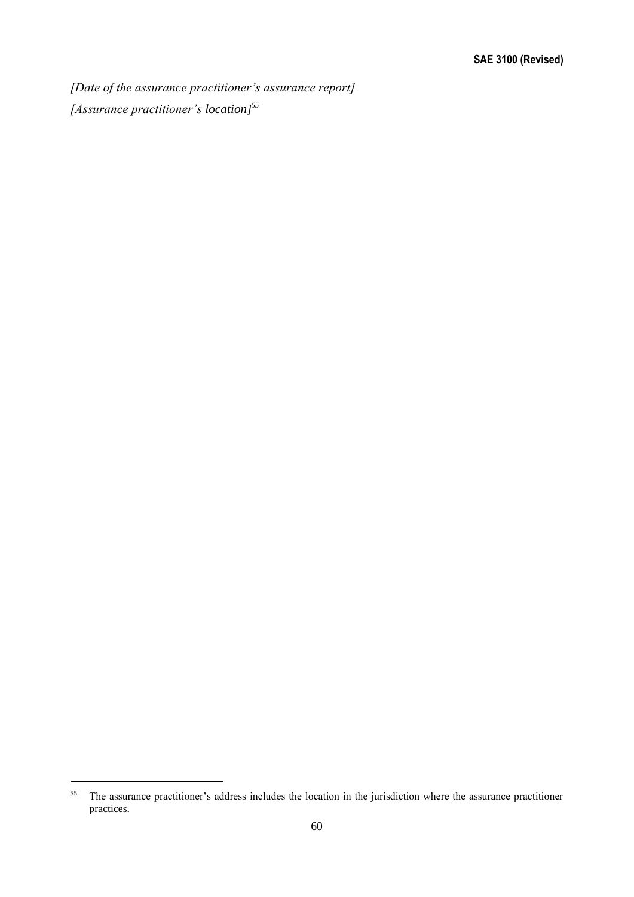*[Date of the assurance practitioner's assurance report] [Assurance practitioner's location] 55*

<sup>&</sup>lt;sup>55</sup> The assurance practitioner's address includes the location in the jurisdiction where the assurance practitioner practices.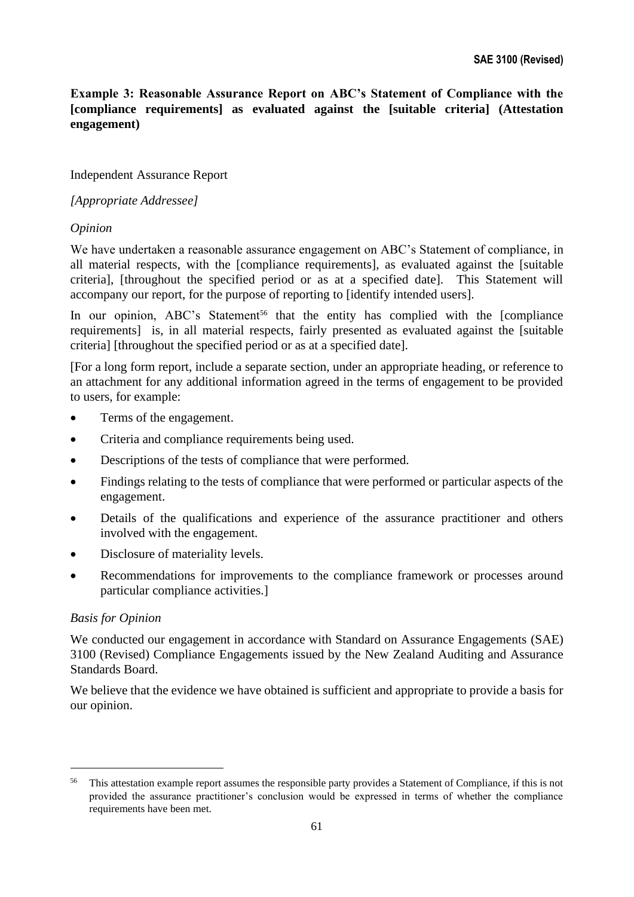**Example 3: Reasonable Assurance Report on ABC's Statement of Compliance with the [compliance requirements] as evaluated against the [suitable criteria] (Attestation engagement)**

### Independent Assurance Report

### *[Appropriate Addressee]*

# *Opinion*

We have undertaken a reasonable assurance engagement on ABC's Statement of compliance, in all material respects, with the [compliance requirements], as evaluated against the [suitable criteria], [throughout the specified period or as at a specified date]. This Statement will accompany our report, for the purpose of reporting to [identify intended users].

In our opinion, ABC's Statement<sup>56</sup> that the entity has complied with the [compliance requirements] is, in all material respects, fairly presented as evaluated against the [suitable criteria] [throughout the specified period or as at a specified date].

[For a long form report, include a separate section, under an appropriate heading, or reference to an attachment for any additional information agreed in the terms of engagement to be provided to users, for example:

- Terms of the engagement.
- Criteria and compliance requirements being used.
- Descriptions of the tests of compliance that were performed.
- Findings relating to the tests of compliance that were performed or particular aspects of the engagement.
- Details of the qualifications and experience of the assurance practitioner and others involved with the engagement.
- Disclosure of materiality levels.
- Recommendations for improvements to the compliance framework or processes around particular compliance activities.]

### *Basis for Opinion*

We conducted our engagement in accordance with Standard on Assurance Engagements (SAE) 3100 (Revised) Compliance Engagements issued by the New Zealand Auditing and Assurance Standards Board.

We believe that the evidence we have obtained is sufficient and appropriate to provide a basis for our opinion.

<sup>&</sup>lt;sup>56</sup> This attestation example report assumes the responsible party provides a Statement of Compliance, if this is not provided the assurance practitioner's conclusion would be expressed in terms of whether the compliance requirements have been met.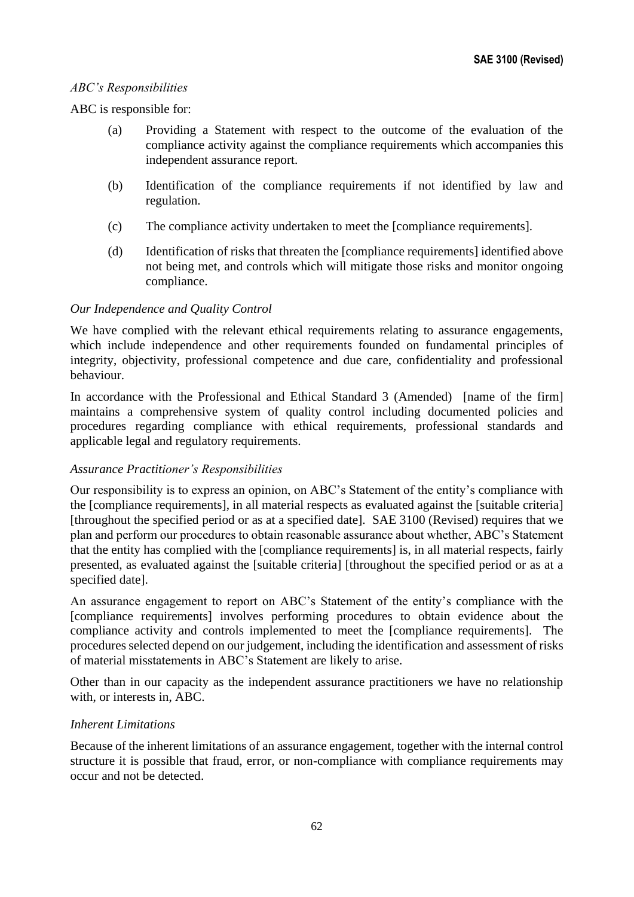# *ABC's Responsibilities*

### ABC is responsible for:

- (a) Providing a Statement with respect to the outcome of the evaluation of the compliance activity against the compliance requirements which accompanies this independent assurance report.
- (b) Identification of the compliance requirements if not identified by law and regulation.
- (c) The compliance activity undertaken to meet the [compliance requirements].
- (d) Identification of risks that threaten the [compliance requirements] identified above not being met, and controls which will mitigate those risks and monitor ongoing compliance.

### *Our Independence and Quality Control*

We have complied with the relevant ethical requirements relating to assurance engagements, which include independence and other requirements founded on fundamental principles of integrity, objectivity, professional competence and due care, confidentiality and professional behaviour.

In accordance with the Professional and Ethical Standard 3 (Amended) [name of the firm] maintains a comprehensive system of quality control including documented policies and procedures regarding compliance with ethical requirements, professional standards and applicable legal and regulatory requirements.

### *Assurance Practitioner's Responsibilities*

Our responsibility is to express an opinion, on ABC's Statement of the entity's compliance with the [compliance requirements], in all material respects as evaluated against the [suitable criteria] [throughout the specified period or as at a specified date]. SAE 3100 (Revised) requires that we plan and perform our procedures to obtain reasonable assurance about whether, ABC's Statement that the entity has complied with the [compliance requirements] is, in all material respects, fairly presented, as evaluated against the [suitable criteria] [throughout the specified period or as at a specified date].

An assurance engagement to report on ABC's Statement of the entity's compliance with the [compliance requirements] involves performing procedures to obtain evidence about the compliance activity and controls implemented to meet the [compliance requirements]. The procedures selected depend on our judgement, including the identification and assessment of risks of material misstatements in ABC's Statement are likely to arise.

Other than in our capacity as the independent assurance practitioners we have no relationship with, or interests in, ABC.

### *Inherent Limitations*

Because of the inherent limitations of an assurance engagement, together with the internal control structure it is possible that fraud, error, or non-compliance with compliance requirements may occur and not be detected.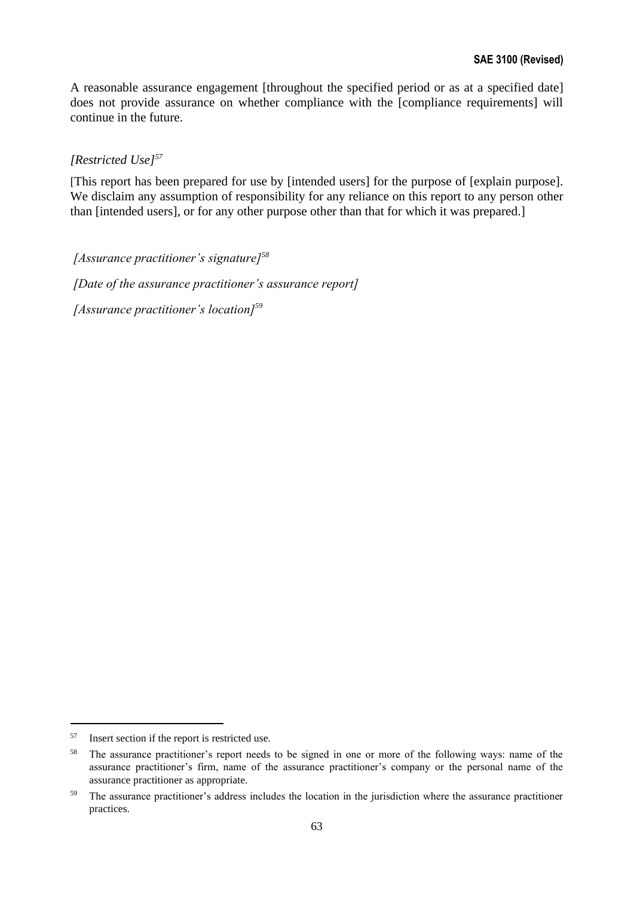A reasonable assurance engagement [throughout the specified period or as at a specified date] does not provide assurance on whether compliance with the [compliance requirements] will continue in the future.

# *[Restricted Use]<sup>57</sup>*

[This report has been prepared for use by [intended users] for the purpose of [explain purpose]. We disclaim any assumption of responsibility for any reliance on this report to any person other than [intended users], or for any other purpose other than that for which it was prepared.]

*[Assurance practitioner's signature]<sup>58</sup> [Date of the assurance practitioner's assurance report] [Assurance practitioner's location]<sup>59</sup>* 

<sup>57</sup> Insert section if the report is restricted use.

<sup>58</sup> The assurance practitioner's report needs to be signed in one or more of the following ways: name of the assurance practitioner's firm, name of the assurance practitioner's company or the personal name of the assurance practitioner as appropriate.

<sup>&</sup>lt;sup>59</sup> The assurance practitioner's address includes the location in the jurisdiction where the assurance practitioner practices.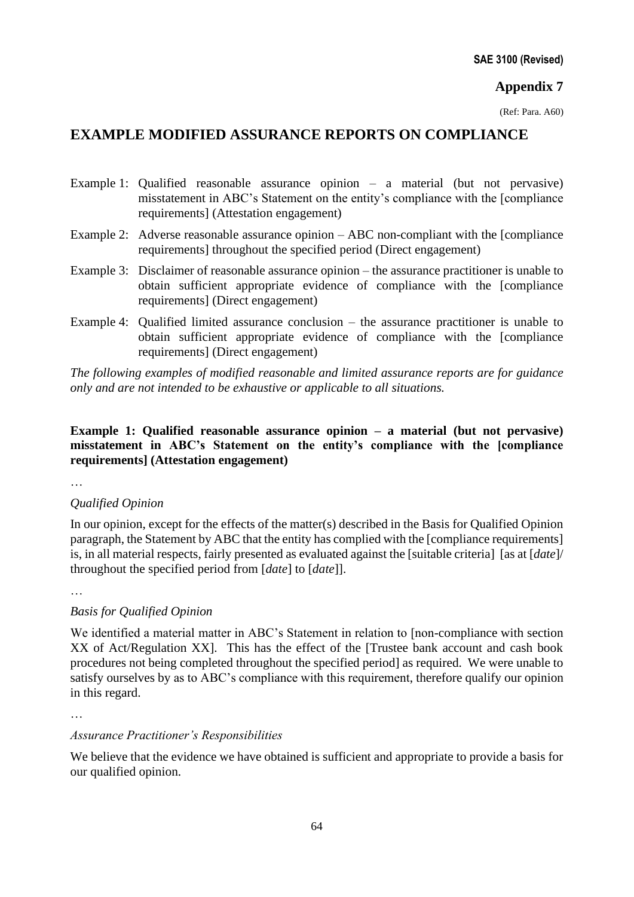### **Appendix 7**

(Ref: Para. A60)

# **EXAMPLE MODIFIED ASSURANCE REPORTS ON COMPLIANCE**

- Example 1: Qualified reasonable assurance opinion a material (but not pervasive) misstatement in ABC's Statement on the entity's compliance with the [compliance requirements] (Attestation engagement)
- Example 2: Adverse reasonable assurance opinion ABC non-compliant with the [compliance requirements] throughout the specified period (Direct engagement)
- Example 3: Disclaimer of reasonable assurance opinion the assurance practitioner is unable to obtain sufficient appropriate evidence of compliance with the [compliance requirements] (Direct engagement)
- Example 4: Qualified limited assurance conclusion the assurance practitioner is unable to obtain sufficient appropriate evidence of compliance with the [compliance requirements] (Direct engagement)

*The following examples of modified reasonable and limited assurance reports are for guidance only and are not intended to be exhaustive or applicable to all situations.* 

**Example 1: Qualified reasonable assurance opinion – a material (but not pervasive) misstatement in ABC's Statement on the entity's compliance with the [compliance requirements] (Attestation engagement)**

…

#### *Qualified Opinion*

In our opinion, except for the effects of the matter(s) described in the Basis for Qualified Opinion paragraph, the Statement by ABC that the entity has complied with the [compliance requirements] is, in all material respects, fairly presented as evaluated against the [suitable criteria] [as at [*date*]/ throughout the specified period from [*date*] to [*date*]].

…

### *Basis for Qualified Opinion*

We identified a material matter in ABC's Statement in relation to [non-compliance with section XX of Act/Regulation XX]. This has the effect of the [Trustee bank account and cash book procedures not being completed throughout the specified period] as required. We were unable to satisfy ourselves by as to ABC's compliance with this requirement, therefore qualify our opinion in this regard.

…

#### *Assurance Practitioner's Responsibilities*

We believe that the evidence we have obtained is sufficient and appropriate to provide a basis for our qualified opinion.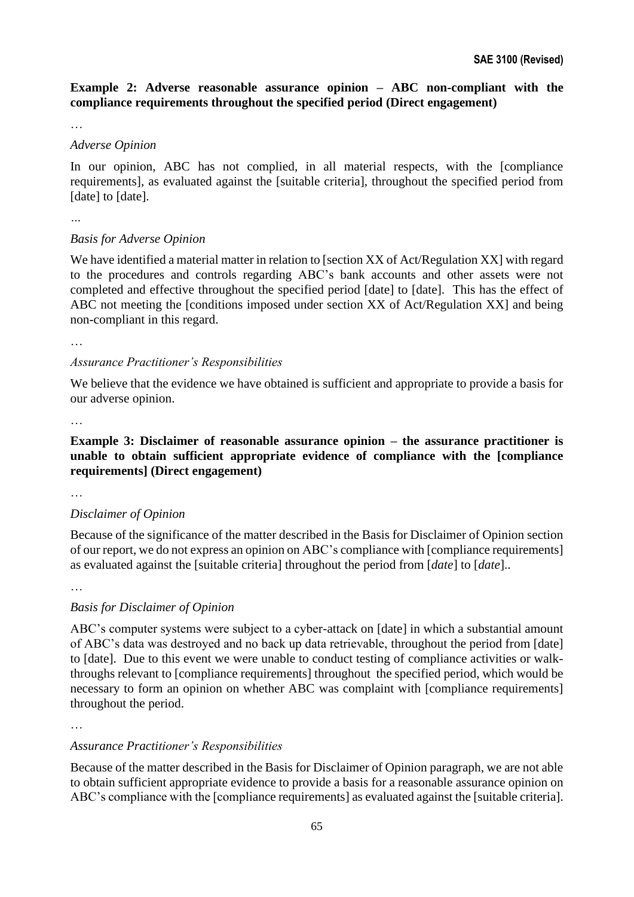# **Example 2: Adverse reasonable assurance opinion – ABC non-compliant with the compliance requirements throughout the specified period (Direct engagement)**

…

#### *Adverse Opinion*

In our opinion, ABC has not complied, in all material respects, with the [compliance requirements], as evaluated against the [suitable criteria], throughout the specified period from [date] to [date].

### *Basis for Adverse Opinion*

We have identified a material matter in relation to [section XX of Act/Regulation XX] with regard to the procedures and controls regarding ABC's bank accounts and other assets were not completed and effective throughout the specified period [date] to [date]. This has the effect of ABC not meeting the [conditions imposed under section XX of Act/Regulation XX] and being non-compliant in this regard.

…

### *Assurance Practitioner's Responsibilities*

We believe that the evidence we have obtained is sufficient and appropriate to provide a basis for our adverse opinion.

…

# **Example 3: Disclaimer of reasonable assurance opinion – the assurance practitioner is unable to obtain sufficient appropriate evidence of compliance with the [compliance requirements] (Direct engagement)**

…

### *Disclaimer of Opinion*

Because of the significance of the matter described in the Basis for Disclaimer of Opinion section of our report, we do not express an opinion on ABC's compliance with [compliance requirements] as evaluated against the [suitable criteria] throughout the period from [*date*] to [*date*]..

…

# *Basis for Disclaimer of Opinion*

ABC's computer systems were subject to a cyber-attack on [date] in which a substantial amount of ABC's data was destroyed and no back up data retrievable, throughout the period from [date] to [date]. Due to this event we were unable to conduct testing of compliance activities or walkthroughs relevant to [compliance requirements] throughout the specified period, which would be necessary to form an opinion on whether ABC was complaint with [compliance requirements] throughout the period.

…

### *Assurance Practitioner's Responsibilities*

Because of the matter described in the Basis for Disclaimer of Opinion paragraph, we are not able to obtain sufficient appropriate evidence to provide a basis for a reasonable assurance opinion on ABC's compliance with the [compliance requirements] as evaluated against the [suitable criteria].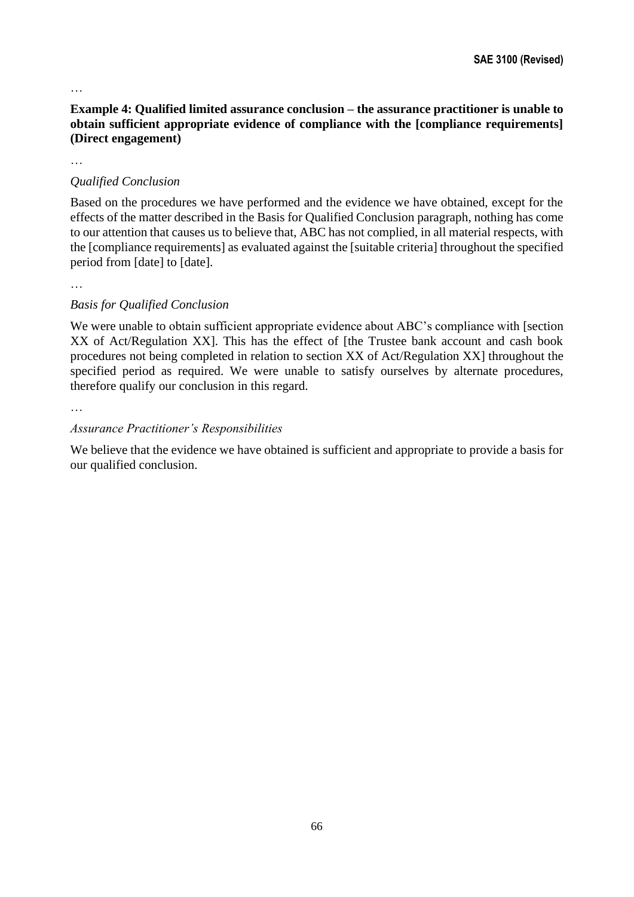…

**Example 4: Qualified limited assurance conclusion – the assurance practitioner is unable to obtain sufficient appropriate evidence of compliance with the [compliance requirements] (Direct engagement)** 

…

### *Qualified Conclusion*

Based on the procedures we have performed and the evidence we have obtained, except for the effects of the matter described in the Basis for Qualified Conclusion paragraph, nothing has come to our attention that causes us to believe that, ABC has not complied, in all material respects, with the [compliance requirements] as evaluated against the [suitable criteria] throughout the specified period from [date] to [date].

…

# *Basis for Qualified Conclusion*

We were unable to obtain sufficient appropriate evidence about ABC's compliance with [section XX of Act/Regulation XX]. This has the effect of [the Trustee bank account and cash book procedures not being completed in relation to section XX of Act/Regulation XX] throughout the specified period as required. We were unable to satisfy ourselves by alternate procedures, therefore qualify our conclusion in this regard.

…

### *Assurance Practitioner's Responsibilities*

We believe that the evidence we have obtained is sufficient and appropriate to provide a basis for our qualified conclusion.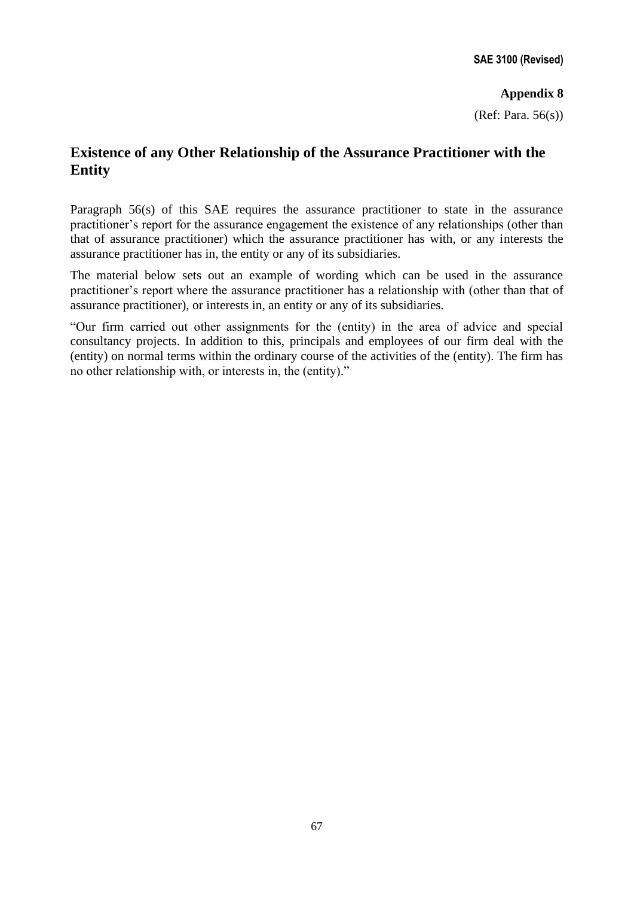### **Appendix 8**

(Ref: Para. 56(s))

# **Existence of any Other Relationship of the Assurance Practitioner with the Entity**

Paragraph 56(s) of this SAE requires the assurance practitioner to state in the assurance practitioner's report for the assurance engagement the existence of any relationships (other than that of assurance practitioner) which the assurance practitioner has with, or any interests the assurance practitioner has in, the entity or any of its subsidiaries.

The material below sets out an example of wording which can be used in the assurance practitioner's report where the assurance practitioner has a relationship with (other than that of assurance practitioner), or interests in, an entity or any of its subsidiaries.

"Our firm carried out other assignments for the (entity) in the area of advice and special consultancy projects. In addition to this, principals and employees of our firm deal with the (entity) on normal terms within the ordinary course of the activities of the (entity). The firm has no other relationship with, or interests in, the (entity)."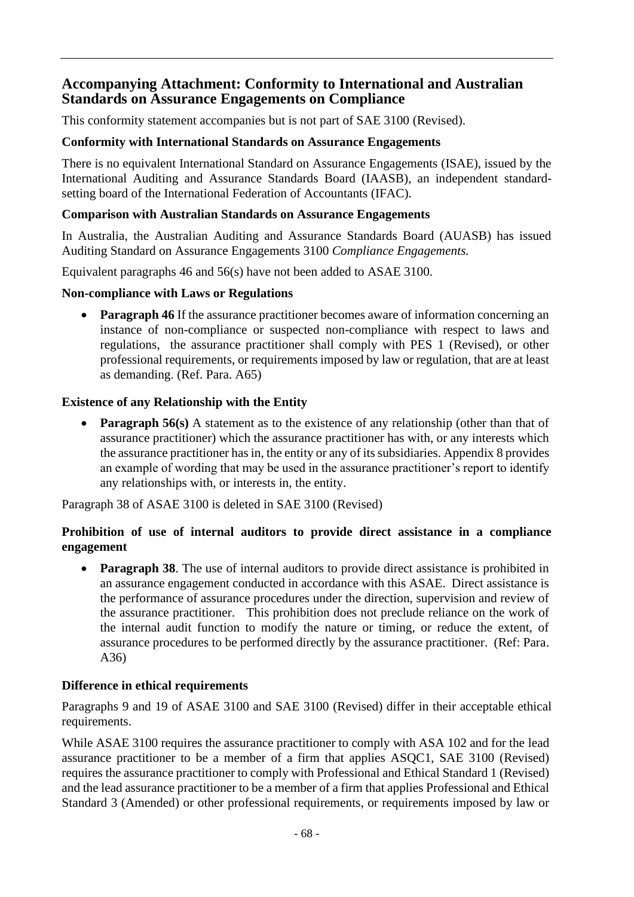# **Accompanying Attachment: Conformity to International and Australian Standards on Assurance Engagements on Compliance**

This conformity statement accompanies but is not part of SAE 3100 (Revised).

# **Conformity with International Standards on Assurance Engagements**

There is no equivalent International Standard on Assurance Engagements (ISAE), issued by the International Auditing and Assurance Standards Board (IAASB), an independent standardsetting board of the International Federation of Accountants (IFAC).

# **Comparison with Australian Standards on Assurance Engagements**

In Australia, the Australian Auditing and Assurance Standards Board (AUASB) has issued Auditing Standard on Assurance Engagements 3100 *Compliance Engagements.*

Equivalent paragraphs 46 and 56(s) have not been added to ASAE 3100.

# **Non-compliance with Laws or Regulations**

**Paragraph 46** If the assurance practitioner becomes aware of information concerning an instance of non-compliance or suspected non-compliance with respect to laws and regulations, the assurance practitioner shall comply with PES 1 (Revised), or other professional requirements, or requirements imposed by law or regulation, that are at least as demanding. (Ref. Para. A65)

# **Existence of any Relationship with the Entity**

**Paragraph 56(s)** A statement as to the existence of any relationship (other than that of assurance practitioner) which the assurance practitioner has with, or any interests which the assurance practitioner has in, the entity or any of its subsidiaries. Appendix 8 provides an example of wording that may be used in the assurance practitioner's report to identify any relationships with, or interests in, the entity.

Paragraph 38 of ASAE 3100 is deleted in SAE 3100 (Revised)

# **Prohibition of use of internal auditors to provide direct assistance in a compliance engagement**

• **Paragraph 38**. The use of internal auditors to provide direct assistance is prohibited in an assurance engagement conducted in accordance with this ASAE. Direct assistance is the performance of assurance procedures under the direction, supervision and review of the assurance practitioner. This prohibition does not preclude reliance on the work of the internal audit function to modify the nature or timing, or reduce the extent, of assurance procedures to be performed directly by the assurance practitioner. (Ref: Para. A36)

# **Difference in ethical requirements**

Paragraphs 9 and 19 of ASAE 3100 and SAE 3100 (Revised) differ in their acceptable ethical requirements.

While ASAE 3100 requires the assurance practitioner to comply with ASA 102 and for the lead assurance practitioner to be a member of a firm that applies ASQC1, SAE 3100 (Revised) requires the assurance practitioner to comply with Professional and Ethical Standard 1 (Revised) and the lead assurance practitioner to be a member of a firm that applies Professional and Ethical Standard 3 (Amended) or other professional requirements, or requirements imposed by law or